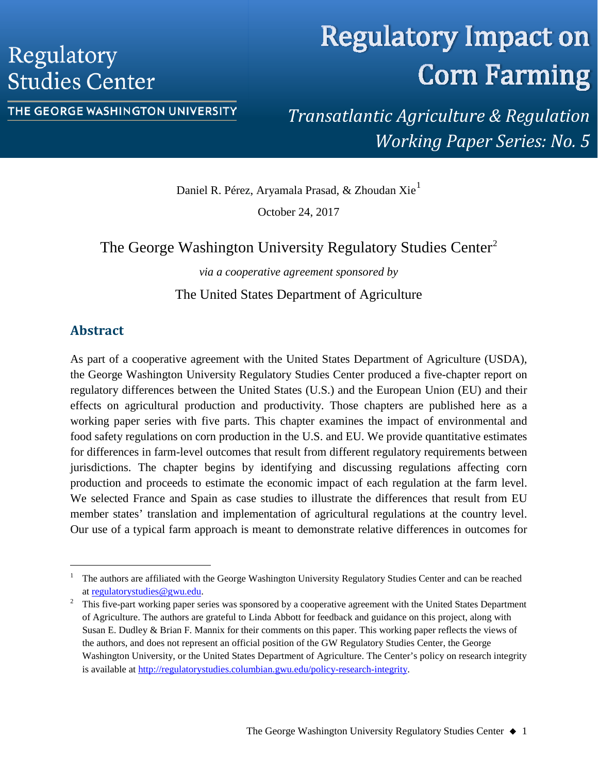## Regulatory **Studies Center**

# **Regulatory Impact on Corn Farming**

#### THE GEORGE WASHINGTON UNIVERSITY

*Transatlantic Agriculture & Regulation Working Paper Series: No. 5*

Daniel R. Pérez, Aryamala Prasad, & Zhoudan Xie<sup>[1](#page-0-0)</sup>

October 24, 2017

## The George Washington University Regulatory Studies Center<sup>[2](#page-0-1)</sup>

*via a cooperative agreement sponsored by*

The United States Department of Agriculture

## **Abstract**

As part of a cooperative agreement with the United States Department of Agriculture (USDA), the George Washington University Regulatory Studies Center produced a five-chapter report on regulatory differences between the United States (U.S.) and the European Union (EU) and their effects on agricultural production and productivity. Those chapters are published here as a working paper series with five parts. This chapter examines the impact of environmental and food safety regulations on corn production in the U.S. and EU. We provide quantitative estimates for differences in farm-level outcomes that result from different regulatory requirements between jurisdictions. The chapter begins by identifying and discussing regulations affecting corn production and proceeds to estimate the economic impact of each regulation at the farm level. We selected France and Spain as case studies to illustrate the differences that result from EU member states' translation and implementation of agricultural regulations at the country level. Our use of a typical farm approach is meant to demonstrate relative differences in outcomes for

<span id="page-0-0"></span> <sup>1</sup> The authors are affiliated with the George Washington University Regulatory Studies Center and can be reached at [regulatorystudies@gwu.edu.](mailto:regulatorystudies@gwu.edu)<br><sup>2</sup> This five-part working paper series was sponsored by a cooperative agreement with the United States Department

<span id="page-0-1"></span>of Agriculture. The authors are grateful to Linda Abbott for feedback and guidance on this project, along with Susan E. Dudley & Brian F. Mannix for their comments on this paper. This working paper reflects the views of the authors, and does not represent an official position of the GW Regulatory Studies Center, the George Washington University, or the United States Department of Agriculture. The Center's policy on research integrity is available a[t http://regulatorystudies.columbian.gwu.edu/policy-research-integrity.](http://regulatorystudies.columbian.gwu.edu/policy-research-integrity)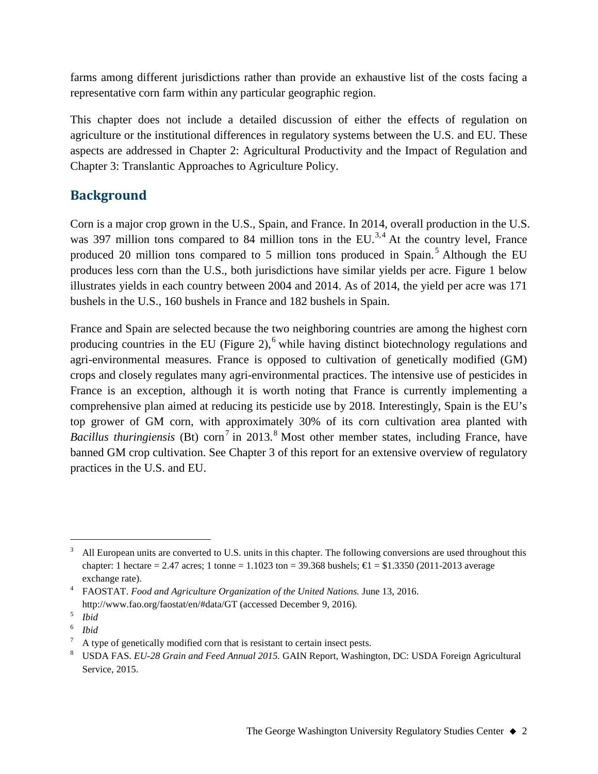farms among different jurisdictions rather than provide an exhaustive list of the costs facing a representative corn farm within any particular geographic region.

This chapter does not include a detailed discussion of either the effects of regulation on agriculture or the institutional differences in regulatory systems between the U.S. and EU. These aspects are addressed in Chapter 2: Agricultural Productivity and the Impact of Regulation and Chapter 3: Translantic Approaches to Agriculture Policy.

## **Background**

Corn is a major crop grown in the U.S., Spain, and France. In 2014, overall production in the U.S. was [3](#page-1-0)97 million tons compared to 8[4](#page-1-1) million tons in the  $EU^{3,4}$ . At the country level, France produced 20 million tons compared to [5](#page-1-2) million tons produced in Spain.<sup>5</sup> Although the EU produces less corn than the U.S., both jurisdictions have similar yields per acre. Figure 1 below illustrates yields in each country between 2004 and 2014. As of 2014, the yield per acre was 171 bushels in the U.S., 160 bushels in France and 182 bushels in Spain.

France and Spain are selected because the two neighboring countries are among the highest corn producing countries in the EU (Figure 2),<sup>[6](#page-1-3)</sup> while having distinct biotechnology regulations and agri-environmental measures. France is opposed to cultivation of genetically modified (GM) crops and closely regulates many agri-environmental practices. The intensive use of pesticides in France is an exception, although it is worth noting that France is currently implementing a comprehensive plan aimed at reducing its pesticide use by 2018. Interestingly, Spain is the EU's top grower of GM corn, with approximately 30% of its corn cultivation area planted with *Bacillus thuringiensis* (Bt) corn<sup>[7](#page-1-4)</sup> in 2013.<sup>[8](#page-1-5)</sup> Most other member states, including France, have banned GM crop cultivation. See Chapter 3 of this report for an extensive overview of regulatory practices in the U.S. and EU.

<span id="page-1-0"></span> <sup>3</sup> All European units are converted to U.S. units in this chapter. The following conversions are used throughout this chapter: 1 hectare = 2.47 acres; 1 tonne = 1.1023 ton = 39.368 bushels;  $\text{ } \in \text{ } 51.3350$  (2011-2013 average exchange rate).

<span id="page-1-1"></span><sup>4</sup> FAOSTAT. *Food and Agriculture Organization of the United Nations.* June 13, 2016. http://www.fao.org/faostat/en/#data/GT (accessed December 9, 2016). 5 *Ibid*

<span id="page-1-2"></span>

<span id="page-1-3"></span><sup>6</sup> *Ibid*

A type of genetically modified corn that is resistant to certain insect pests.

<span id="page-1-5"></span><span id="page-1-4"></span><sup>8</sup> USDA FAS. *EU-28 Grain and Feed Annual 2015.* GAIN Report, Washington, DC: USDA Foreign Agricultural Service, 2015.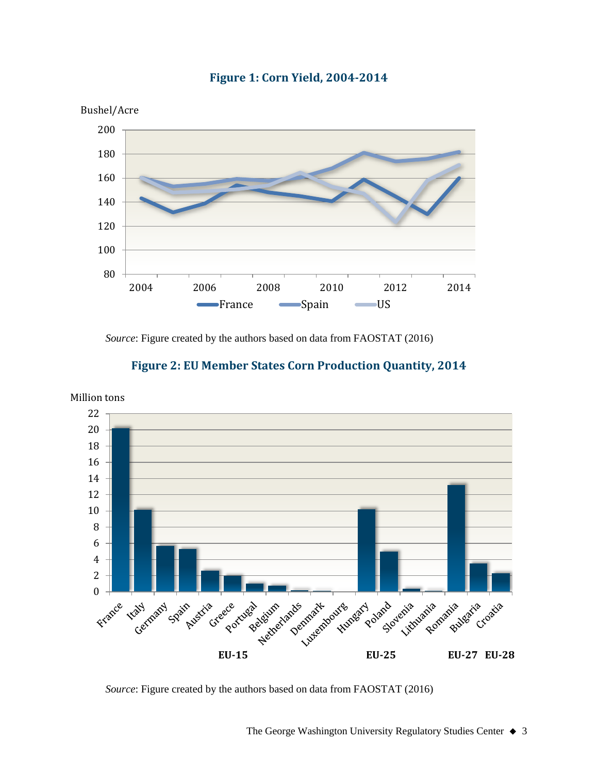

## **Figure 1: Corn Yield, 2004-2014**

*Source*: Figure created by the authors based on data from FAOSTAT (2016)





*Source*: Figure created by the authors based on data from FAOSTAT (2016)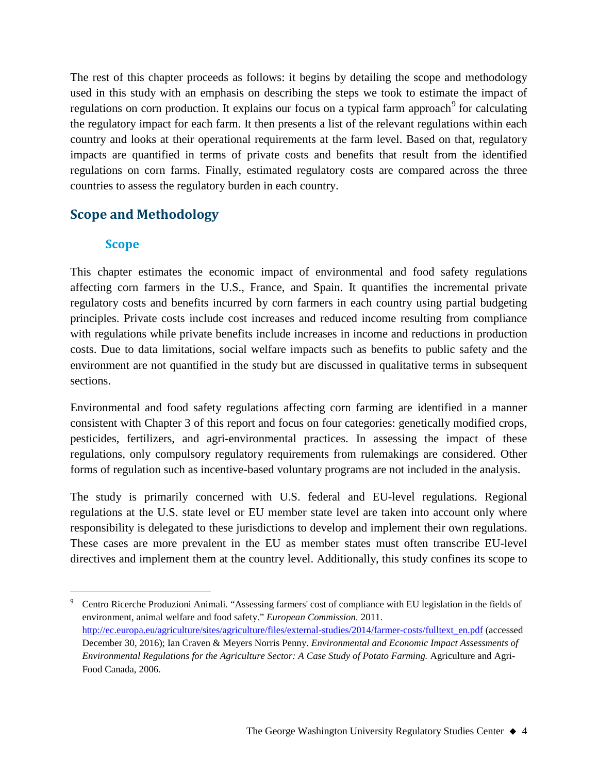The rest of this chapter proceeds as follows: it begins by detailing the scope and methodology used in this study with an emphasis on describing the steps we took to estimate the impact of regulations on corn production. It explains our focus on a typical farm approach $9$  for calculating the regulatory impact for each farm. It then presents a list of the relevant regulations within each country and looks at their operational requirements at the farm level. Based on that, regulatory impacts are quantified in terms of private costs and benefits that result from the identified regulations on corn farms. Finally, estimated regulatory costs are compared across the three countries to assess the regulatory burden in each country.

## **Scope and Methodology**

## **Scope**

This chapter estimates the economic impact of environmental and food safety regulations affecting corn farmers in the U.S., France, and Spain. It quantifies the incremental private regulatory costs and benefits incurred by corn farmers in each country using partial budgeting principles. Private costs include cost increases and reduced income resulting from compliance with regulations while private benefits include increases in income and reductions in production costs. Due to data limitations, social welfare impacts such as benefits to public safety and the environment are not quantified in the study but are discussed in qualitative terms in subsequent sections.

Environmental and food safety regulations affecting corn farming are identified in a manner consistent with Chapter 3 of this report and focus on four categories: genetically modified crops, pesticides, fertilizers, and agri-environmental practices. In assessing the impact of these regulations, only compulsory regulatory requirements from rulemakings are considered. Other forms of regulation such as incentive-based voluntary programs are not included in the analysis.

The study is primarily concerned with U.S. federal and EU-level regulations. Regional regulations at the U.S. state level or EU member state level are taken into account only where responsibility is delegated to these jurisdictions to develop and implement their own regulations. These cases are more prevalent in the EU as member states must often transcribe EU-level directives and implement them at the country level. Additionally, this study confines its scope to

<span id="page-3-0"></span> <sup>9</sup> Centro Ricerche Produzioni Animali. "Assessing farmers' cost of compliance with EU legislation in the fields of environment, animal welfare and food safety." *European Commission.* 2011. [http://ec.europa.eu/agriculture/sites/agriculture/files/external-studies/2014/farmer-costs/fulltext\\_en.pdf](http://ec.europa.eu/agriculture/sites/agriculture/files/external-studies/2014/farmer-costs/fulltext_en.pdf) (accessed December 30, 2016); Ian Craven & Meyers Norris Penny. *Environmental and Economic Impact Assessments of Environmental Regulations for the Agriculture Sector: A Case Study of Potato Farming.* Agriculture and Agri-Food Canada, 2006.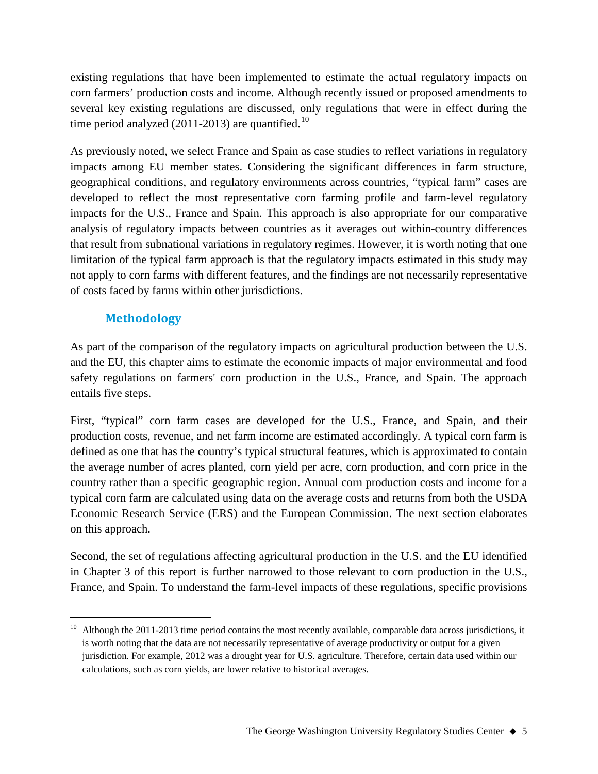existing regulations that have been implemented to estimate the actual regulatory impacts on corn farmers' production costs and income. Although recently issued or proposed amendments to several key existing regulations are discussed, only regulations that were in effect during the time period analyzed (2011-2013) are quantified.<sup>[10](#page-4-0)</sup>

As previously noted, we select France and Spain as case studies to reflect variations in regulatory impacts among EU member states. Considering the significant differences in farm structure, geographical conditions, and regulatory environments across countries, "typical farm" cases are developed to reflect the most representative corn farming profile and farm-level regulatory impacts for the U.S., France and Spain. This approach is also appropriate for our comparative analysis of regulatory impacts between countries as it averages out within-country differences that result from subnational variations in regulatory regimes. However, it is worth noting that one limitation of the typical farm approach is that the regulatory impacts estimated in this study may not apply to corn farms with different features, and the findings are not necessarily representative of costs faced by farms within other jurisdictions.

## **Methodology**

As part of the comparison of the regulatory impacts on agricultural production between the U.S. and the EU, this chapter aims to estimate the economic impacts of major environmental and food safety regulations on farmers' corn production in the U.S., France, and Spain. The approach entails five steps.

First, "typical" corn farm cases are developed for the U.S., France, and Spain, and their production costs, revenue, and net farm income are estimated accordingly. A typical corn farm is defined as one that has the country's typical structural features, which is approximated to contain the average number of acres planted, corn yield per acre, corn production, and corn price in the country rather than a specific geographic region. Annual corn production costs and income for a typical corn farm are calculated using data on the average costs and returns from both the USDA Economic Research Service (ERS) and the European Commission. The next section elaborates on this approach.

Second, the set of regulations affecting agricultural production in the U.S. and the EU identified in Chapter 3 of this report is further narrowed to those relevant to corn production in the U.S., France, and Spain. To understand the farm-level impacts of these regulations, specific provisions

<span id="page-4-0"></span><sup>&</sup>lt;sup>10</sup> Although the 2011-2013 time period contains the most recently available, comparable data across jurisdictions, it is worth noting that the data are not necessarily representative of average productivity or output for a given jurisdiction. For example, 2012 was a drought year for U.S. agriculture. Therefore, certain data used within our calculations, such as corn yields, are lower relative to historical averages.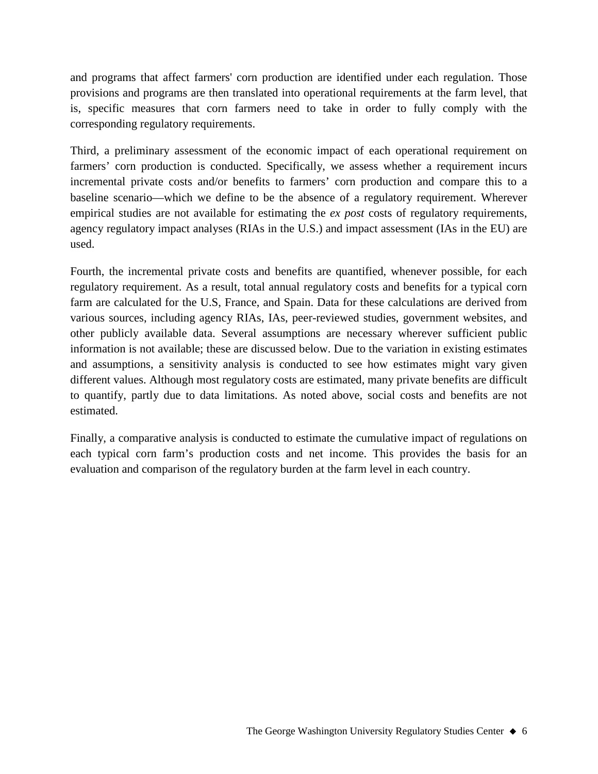and programs that affect farmers' corn production are identified under each regulation. Those provisions and programs are then translated into operational requirements at the farm level, that is, specific measures that corn farmers need to take in order to fully comply with the corresponding regulatory requirements.

Third, a preliminary assessment of the economic impact of each operational requirement on farmers' corn production is conducted. Specifically, we assess whether a requirement incurs incremental private costs and/or benefits to farmers' corn production and compare this to a baseline scenario—which we define to be the absence of a regulatory requirement. Wherever empirical studies are not available for estimating the *ex post* costs of regulatory requirements, agency regulatory impact analyses (RIAs in the U.S.) and impact assessment (IAs in the EU) are used.

Fourth, the incremental private costs and benefits are quantified, whenever possible, for each regulatory requirement. As a result, total annual regulatory costs and benefits for a typical corn farm are calculated for the U.S, France, and Spain. Data for these calculations are derived from various sources, including agency RIAs, IAs, peer-reviewed studies, government websites, and other publicly available data. Several assumptions are necessary wherever sufficient public information is not available; these are discussed below. Due to the variation in existing estimates and assumptions, a sensitivity analysis is conducted to see how estimates might vary given different values. Although most regulatory costs are estimated, many private benefits are difficult to quantify, partly due to data limitations. As noted above, social costs and benefits are not estimated.

Finally, a comparative analysis is conducted to estimate the cumulative impact of regulations on each typical corn farm's production costs and net income. This provides the basis for an evaluation and comparison of the regulatory burden at the farm level in each country.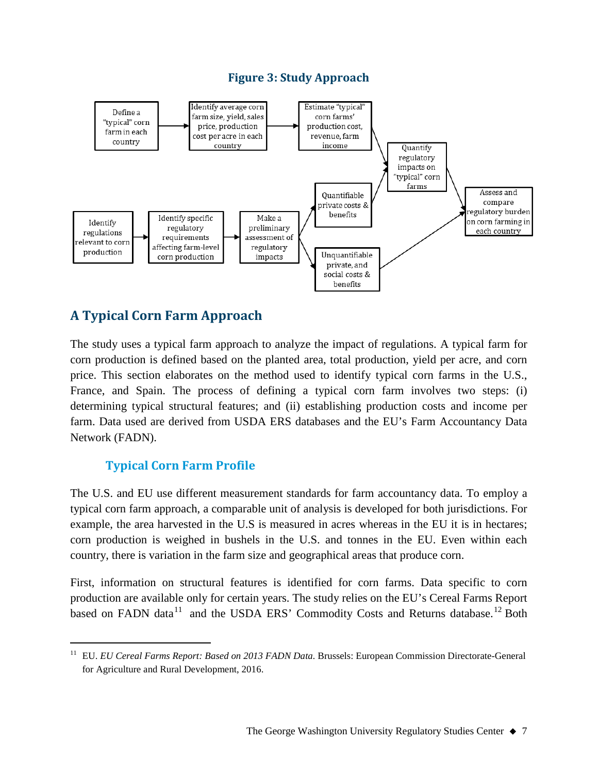#### **Figure 3: Study Approach**



## **A Typical Corn Farm Approach**

The study uses a typical farm approach to analyze the impact of regulations. A typical farm for corn production is defined based on the planted area, total production, yield per acre, and corn price. This section elaborates on the method used to identify typical corn farms in the U.S., France, and Spain. The process of defining a typical corn farm involves two steps: (i) determining typical structural features; and (ii) establishing production costs and income per farm. Data used are derived from USDA ERS databases and the EU's Farm Accountancy Data Network (FADN).

## **Typical Corn Farm Profile**

The U.S. and EU use different measurement standards for farm accountancy data. To employ a typical corn farm approach, a comparable unit of analysis is developed for both jurisdictions. For example, the area harvested in the U.S is measured in acres whereas in the EU it is in hectares; corn production is weighed in bushels in the U.S. and tonnes in the EU. Even within each country, there is variation in the farm size and geographical areas that produce corn.

<span id="page-6-1"></span>First, information on structural features is identified for corn farms. Data specific to corn production are available only for certain years. The study relies on the EU's Cereal Farms Report based on FADN data<sup>[11](#page-6-0)</sup> and the USDA ERS' Commodity Costs and Returns database.<sup>[12](#page-6-1)</sup> Both

<span id="page-6-0"></span> <sup>11</sup> EU. *EU Cereal Farms Report: Based on 2013 FADN Data.* Brussels: European Commission Directorate-General for Agriculture and Rural Development, 2016.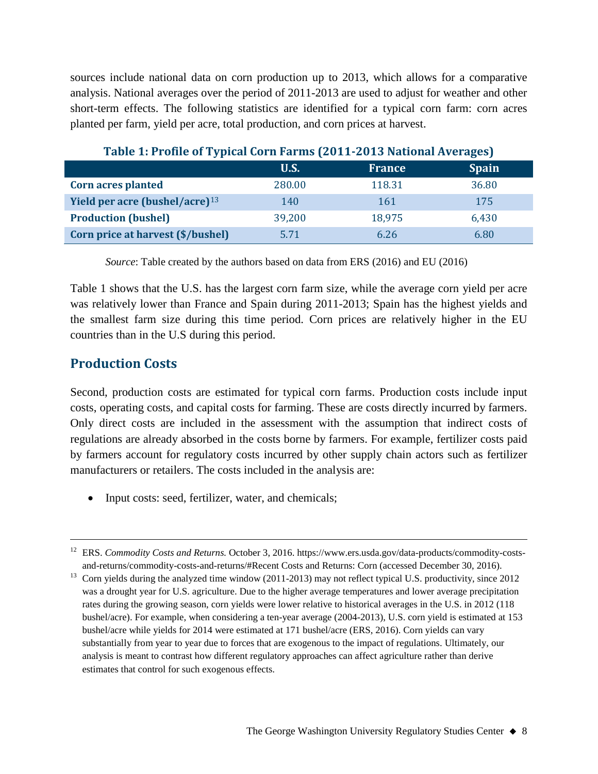sources include national data on corn production up to 2013, which allows for a comparative analysis. National averages over the period of 2011-2013 are used to adjust for weather and other short-term effects. The following statistics are identified for a typical corn farm: corn acres planted per farm, yield per acre, total production, and corn prices at harvest.

| Table 1: Profile of Typical Corn Parilis (2011-2015 National Averages) |             |               |              |  |
|------------------------------------------------------------------------|-------------|---------------|--------------|--|
|                                                                        | <b>U.S.</b> | <b>France</b> | <b>Spain</b> |  |
| <b>Corn acres planted</b>                                              | 280.00      | 118.31        | 36.80        |  |
| Yield per acre (bushel/acre) $13$                                      | 140         | 161           | 175          |  |
| <b>Production (bushel)</b>                                             | 39,200      | 18,975        | 6,430        |  |
| Corn price at harvest (\$/bushel)                                      | 5.71        | 6.26          | 6.80         |  |

## **Table 1: Profile of Typical Corn Farms (2011-2013 National Averages)**

*Source*: Table created by the authors based on data from ERS (2016) and EU (2016)

Table 1 shows that the U.S. has the largest corn farm size, while the average corn yield per acre was relatively lower than France and Spain during 2011-2013; Spain has the highest yields and the smallest farm size during this time period. Corn prices are relatively higher in the EU countries than in the U.S during this period.

## **Production Costs**

Second, production costs are estimated for typical corn farms. Production costs include input costs, operating costs, and capital costs for farming. These are costs directly incurred by farmers. Only direct costs are included in the assessment with the assumption that indirect costs of regulations are already absorbed in the costs borne by farmers. For example, fertilizer costs paid by farmers account for regulatory costs incurred by other supply chain actors such as fertilizer manufacturers or retailers. The costs included in the analysis are:

• Input costs: seed, fertilizer, water, and chemicals;

<sup>&</sup>lt;sup>12</sup> ERS. *Commodity Costs and Returns*. October 3, 2016. https://www.ers.usda.gov/data-products/commodity-costsand-returns/commodity-costs-and-returns/#Recent Costs and Returns: Corn (accessed December 30, 2016).

<span id="page-7-0"></span><sup>&</sup>lt;sup>13</sup> Corn yields during the analyzed time window (2011-2013) may not reflect typical U.S. productivity, since 2012 was a drought year for U.S. agriculture. Due to the higher average temperatures and lower average precipitation rates during the growing season, corn yields were lower relative to historical averages in the U.S. in 2012 (118 bushel/acre). For example, when considering a ten-year average (2004-2013), U.S. corn yield is estimated at 153 bushel/acre while yields for 2014 were estimated at 171 bushel/acre (ERS, 2016). Corn yields can vary substantially from year to year due to forces that are exogenous to the impact of regulations. Ultimately, our analysis is meant to contrast how different regulatory approaches can affect agriculture rather than derive estimates that control for such exogenous effects.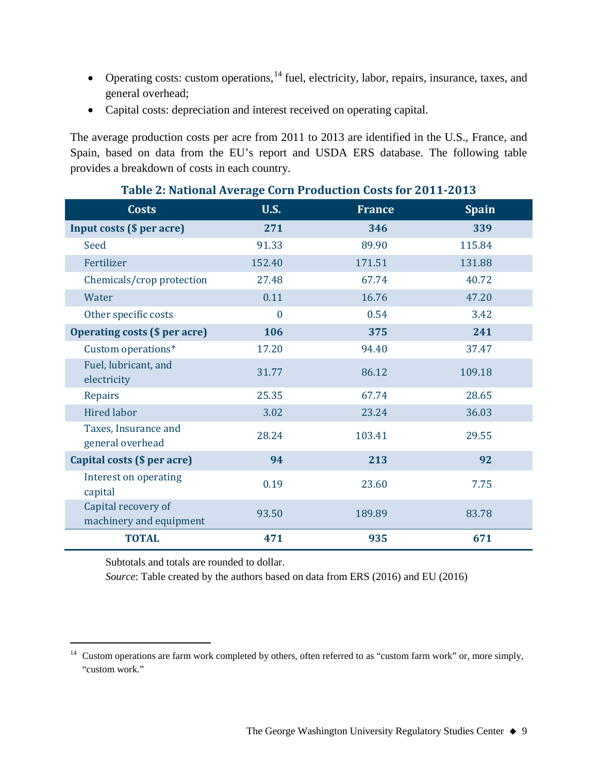- Operating costs: custom operations, <sup>[14](#page-8-0)</sup> fuel, electricity, labor, repairs, insurance, taxes, and general overhead;
- Capital costs: depreciation and interest received on operating capital.

The average production costs per acre from 2011 to 2013 are identified in the U.S., France, and Spain, based on data from the EU's report and USDA ERS database. The following table provides a breakdown of costs in each country.

| <b>Costs</b>                                   | <b>U.S.</b>    | <b>France</b> | <b>Spain</b> |
|------------------------------------------------|----------------|---------------|--------------|
| <b>Input costs (\$ per acre)</b>               | 271            | 346           | 339          |
| Seed                                           | 91.33          | 89.90         | 115.84       |
| Fertilizer                                     | 152.40         | 171.51        | 131.88       |
| Chemicals/crop protection                      | 27.48          | 67.74         | 40.72        |
| Water                                          | 0.11           | 16.76         | 47.20        |
| Other specific costs                           | $\overline{0}$ | 0.54          | 3.42         |
| <b>Operating costs (\$ per acre)</b>           | 106            | 375           | 241          |
| Custom operations*                             | 17.20          | 94.40         | 37.47        |
| Fuel, lubricant, and<br>electricity            | 31.77          | 86.12         | 109.18       |
| Repairs                                        | 25.35          | 67.74         | 28.65        |
| <b>Hired labor</b>                             | 3.02           | 23.24         | 36.03        |
| Taxes, Insurance and<br>general overhead       | 28.24          | 103.41        | 29.55        |
| Capital costs (\$ per acre)                    | 94             | 213           | 92           |
| Interest on operating<br>capital               | 0.19           | 23.60         | 7.75         |
| Capital recovery of<br>machinery and equipment | 93.50          | 189.89        | 83.78        |
| <b>TOTAL</b>                                   | 471            | 935           | 671          |

#### **Table 2: National Average Corn Production Costs for 2011-2013**

Subtotals and totals are rounded to dollar.

*Source*: Table created by the authors based on data from ERS (2016) and EU (2016)

<span id="page-8-0"></span><sup>&</sup>lt;sup>14</sup> Custom operations are farm work completed by others, often referred to as "custom farm work" or, more simply, "custom work."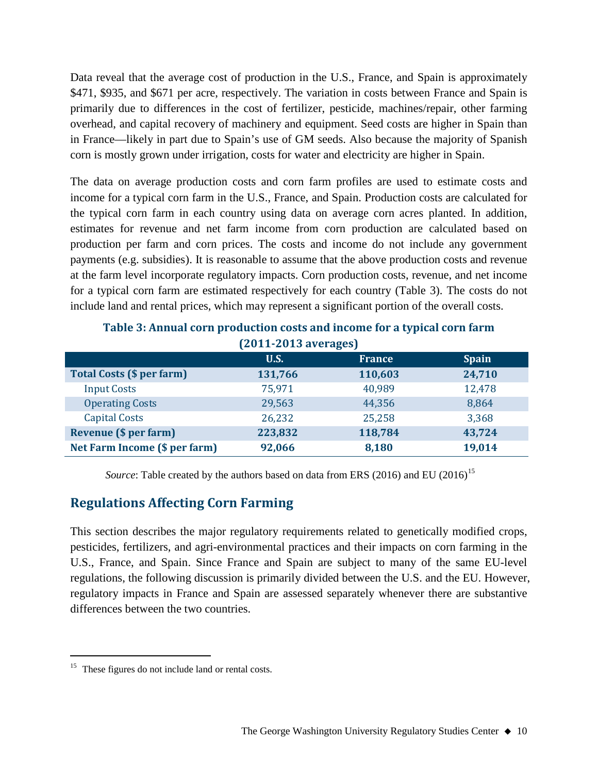Data reveal that the average cost of production in the U.S., France, and Spain is approximately \$471, \$935, and \$671 per acre, respectively. The variation in costs between France and Spain is primarily due to differences in the cost of fertilizer, pesticide, machines/repair, other farming overhead, and capital recovery of machinery and equipment. Seed costs are higher in Spain than in France—likely in part due to Spain's use of GM seeds. Also because the majority of Spanish corn is mostly grown under irrigation, costs for water and electricity are higher in Spain.

The data on average production costs and corn farm profiles are used to estimate costs and income for a typical corn farm in the U.S., France, and Spain. Production costs are calculated for the typical corn farm in each country using data on average corn acres planted. In addition, estimates for revenue and net farm income from corn production are calculated based on production per farm and corn prices. The costs and income do not include any government payments (e.g. subsidies). It is reasonable to assume that the above production costs and revenue at the farm level incorporate regulatory impacts. Corn production costs, revenue, and net income for a typical corn farm are estimated respectively for each country (Table 3). The costs do not include land and rental prices, which may represent a significant portion of the overall costs.

| [ZUII-ZUIS dveldges]             |         |               |              |  |  |
|----------------------------------|---------|---------------|--------------|--|--|
|                                  | U.S.    | <b>France</b> | <b>Spain</b> |  |  |
| <b>Total Costs (\$ per farm)</b> | 131,766 | 110,603       | 24,710       |  |  |
| <b>Input Costs</b>               | 75,971  | 40,989        | 12,478       |  |  |
| <b>Operating Costs</b>           | 29,563  | 44,356        | 8,864        |  |  |
| <b>Capital Costs</b>             | 26,232  | 25,258        | 3,368        |  |  |
| <b>Revenue (\$ per farm)</b>     | 223,832 | 118,784       | 43,724       |  |  |
| Net Farm Income (\$ per farm)    | 92,066  | 8,180         | 19,014       |  |  |

**Table 3: Annual corn production costs and income for a typical corn farm (2011-2013 averages)**

Source: Table created by the authors based on data from ERS (2016) and EU (2016)<sup>[15](#page-9-0)</sup>

## **Regulations Affecting Corn Farming**

This section describes the major regulatory requirements related to genetically modified crops, pesticides, fertilizers, and agri-environmental practices and their impacts on corn farming in the U.S., France, and Spain. Since France and Spain are subject to many of the same EU-level regulations, the following discussion is primarily divided between the U.S. and the EU. However, regulatory impacts in France and Spain are assessed separately whenever there are substantive differences between the two countries.

<span id="page-9-0"></span><sup>&</sup>lt;sup>15</sup> These figures do not include land or rental costs.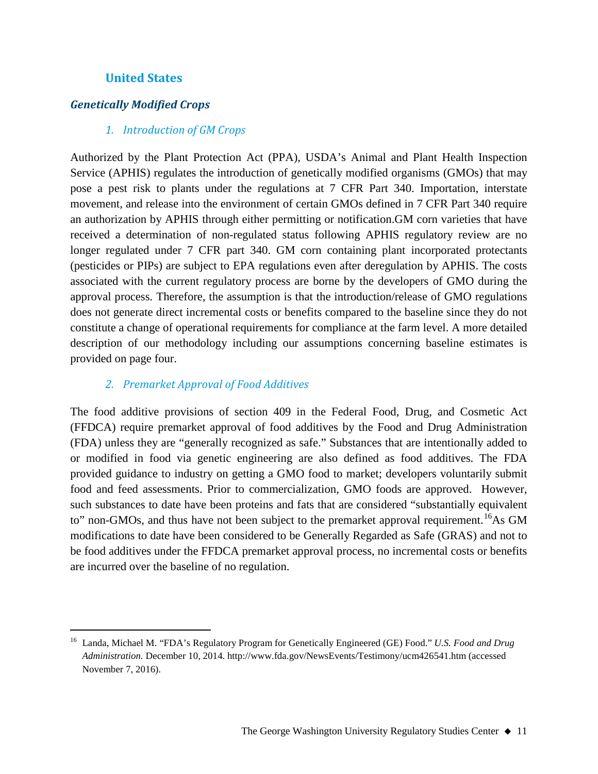#### **United States**

#### *Genetically Modified Crops*

#### *1. Introduction of GM Crops*

Authorized by the Plant Protection Act (PPA), USDA's Animal and Plant Health Inspection Service (APHIS) regulates the introduction of genetically modified organisms (GMOs) that may pose a pest risk to plants under the regulations at 7 CFR Part 340. Importation, interstate movement, and release into the environment of certain GMOs defined in 7 CFR Part 340 require an authorization by APHIS through either permitting or notification.GM corn varieties that have received a determination of non-regulated status following APHIS regulatory review are no longer regulated under 7 CFR part 340. GM corn containing plant incorporated protectants (pesticides or PIPs) are subject to EPA regulations even after deregulation by APHIS. The costs associated with the current regulatory process are borne by the developers of GMO during the approval process. Therefore, the assumption is that the introduction/release of GMO regulations does not generate direct incremental costs or benefits compared to the baseline since they do not constitute a change of operational requirements for compliance at the farm level. A more detailed description of our methodology including our assumptions concerning baseline estimates is provided on page four.

#### *2. Premarket Approval of Food Additives*

The food additive provisions of section 409 in the Federal Food, Drug, and Cosmetic Act (FFDCA) require premarket approval of food additives by the Food and Drug Administration (FDA) unless they are "generally recognized as safe." Substances that are intentionally added to or modified in food via genetic engineering are also defined as food additives. The FDA provided guidance to industry on getting a GMO food to market; developers voluntarily submit food and feed assessments. Prior to commercialization, GMO foods are approved. However, such substances to date have been proteins and fats that are considered "substantially equivalent to" non-GMOs, and thus have not been subject to the premarket approval requirement.<sup>16</sup>As GM modifications to date have been considered to be Generally Regarded as Safe (GRAS) and not to be food additives under the FFDCA premarket approval process, no incremental costs or benefits are incurred over the baseline of no regulation.

<span id="page-10-0"></span> <sup>16</sup> Landa, Michael M. "FDA's Regulatory Program for Genetically Engineered (GE) Food." *U.S. Food and Drug Administration.* December 10, 2014. http://www.fda.gov/NewsEvents/Testimony/ucm426541.htm (accessed November 7, 2016).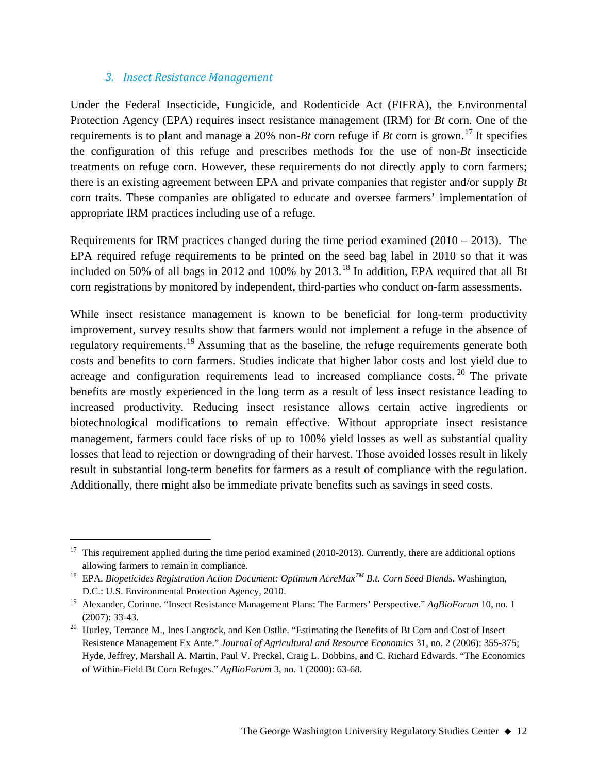#### *3. Insect Resistance Management*

Under the Federal Insecticide, Fungicide, and Rodenticide Act (FIFRA), the Environmental Protection Agency (EPA) requires insect resistance management (IRM) for *Bt* corn. One of the requirements is to plant and manage a 20% non-*Bt* corn refuge if *Bt* corn is grown. [17](#page-11-0) It specifies the configuration of this refuge and prescribes methods for the use of non-*Bt* insecticide treatments on refuge corn. However, these requirements do not directly apply to corn farmers; there is an existing agreement between EPA and private companies that register and/or supply *Bt* corn traits. These companies are obligated to educate and oversee farmers' implementation of appropriate IRM practices including use of a refuge.

Requirements for IRM practices changed during the time period examined  $(2010 - 2013)$ . The EPA required refuge requirements to be printed on the seed bag label in 2010 so that it was included on 50% of all bags in 2012 and 100% by 2013.<sup>[18](#page-11-1)</sup> In addition, EPA required that all Bt corn registrations by monitored by independent, third-parties who conduct on-farm assessments.

While insect resistance management is known to be beneficial for long-term productivity improvement, survey results show that farmers would not implement a refuge in the absence of regulatory requirements.<sup>[19](#page-11-2)</sup> Assuming that as the baseline, the refuge requirements generate both costs and benefits to corn farmers. Studies indicate that higher labor costs and lost yield due to acreage and configuration requirements lead to increased compliance costs.  $20$  The private benefits are mostly experienced in the long term as a result of less insect resistance leading to increased productivity. Reducing insect resistance allows certain active ingredients or biotechnological modifications to remain effective. Without appropriate insect resistance management, farmers could face risks of up to 100% yield losses as well as substantial quality losses that lead to rejection or downgrading of their harvest. Those avoided losses result in likely result in substantial long-term benefits for farmers as a result of compliance with the regulation. Additionally, there might also be immediate private benefits such as savings in seed costs.

<span id="page-11-0"></span> $17$  This requirement applied during the time period examined (2010-2013). Currently, there are additional options allowing farmers to remain in compliance.

<span id="page-11-1"></span><sup>18</sup> EPA. *Biopeticides Registration Action Document: Optimum AcreMaxTM B.t. Corn Seed Blends*. Washington, D.C.: U.S. Environmental Protection Agency, 2010.

<span id="page-11-2"></span><sup>19</sup> Alexander, Corinne. "Insect Resistance Management Plans: The Farmers' Perspective." *AgBioForum* 10, no. 1 (2007): 33-43.

<span id="page-11-3"></span><sup>&</sup>lt;sup>20</sup> Hurley, Terrance M., Ines Langrock, and Ken Ostlie. "Estimating the Benefits of Bt Corn and Cost of Insect Resistence Management Ex Ante." *Journal of Agricultural and Resource Economics* 31, no. 2 (2006): 355-375; Hyde, Jeffrey, Marshall A. Martin, Paul V. Preckel, Craig L. Dobbins, and C. Richard Edwards. "The Economics of Within-Field Bt Corn Refuges." *AgBioForum* 3, no. 1 (2000): 63-68.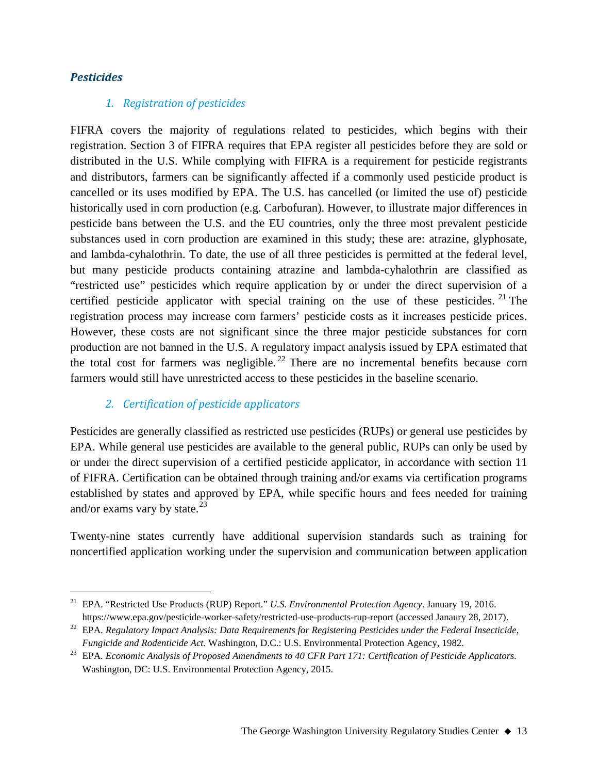#### *Pesticides*

#### *1. Registration of pesticides*

FIFRA covers the majority of regulations related to pesticides, which begins with their registration. Section 3 of FIFRA requires that EPA register all pesticides before they are sold or distributed in the U.S. While complying with FIFRA is a requirement for pesticide registrants and distributors, farmers can be significantly affected if a commonly used pesticide product is cancelled or its uses modified by EPA. The U.S. has cancelled (or limited the use of) pesticide historically used in corn production (e.g. Carbofuran). However, to illustrate major differences in pesticide bans between the U.S. and the EU countries, only the three most prevalent pesticide substances used in corn production are examined in this study; these are: atrazine, glyphosate, and lambda-cyhalothrin. To date, the use of all three pesticides is permitted at the federal level, but many pesticide products containing atrazine and lambda-cyhalothrin are classified as "restricted use" pesticides which require application by or under the direct supervision of a certified pesticide applicator with special training on the use of these pesticides. <sup>[21](#page-12-0)</sup> The registration process may increase corn farmers' pesticide costs as it increases pesticide prices. However, these costs are not significant since the three major pesticide substances for corn production are not banned in the U.S. A regulatory impact analysis issued by EPA estimated that the total cost for farmers was negligible.<sup>[22](#page-12-1)</sup> There are no incremental benefits because corn farmers would still have unrestricted access to these pesticides in the baseline scenario.

#### *2. Certification of pesticide applicators*

Pesticides are generally classified as restricted use pesticides (RUPs) or general use pesticides by EPA. While general use pesticides are available to the general public, RUPs can only be used by or under the direct supervision of a certified pesticide applicator, in accordance with section 11 of FIFRA. Certification can be obtained through training and/or exams via certification programs established by states and approved by EPA, while specific hours and fees needed for training and/or exams vary by state. $^{23}$  $^{23}$  $^{23}$ 

Twenty-nine states currently have additional supervision standards such as training for noncertified application working under the supervision and communication between application

<span id="page-12-0"></span> <sup>21</sup> EPA. "Restricted Use Products (RUP) Report." *U.S. Environmental Protection Agency*. January 19, 2016. https://www.epa.gov/pesticide-worker-safety/restricted-use-products-rup-report (accessed Janaury 28, 2017).

<span id="page-12-1"></span><sup>22</sup> EPA. *Regulatory Impact Analysis: Data Requirements for Registering Pesticides under the Federal Insecticide, Fungicide and Rodenticide Act.* Washington, D.C.: U.S. Environmental Protection Agency, 1982.

<span id="page-12-2"></span><sup>23</sup> EPA. *Economic Analysis of Proposed Amendments to 40 CFR Part 171: Certification of Pesticide Applicators.* Washington, DC: U.S. Environmental Protection Agency, 2015.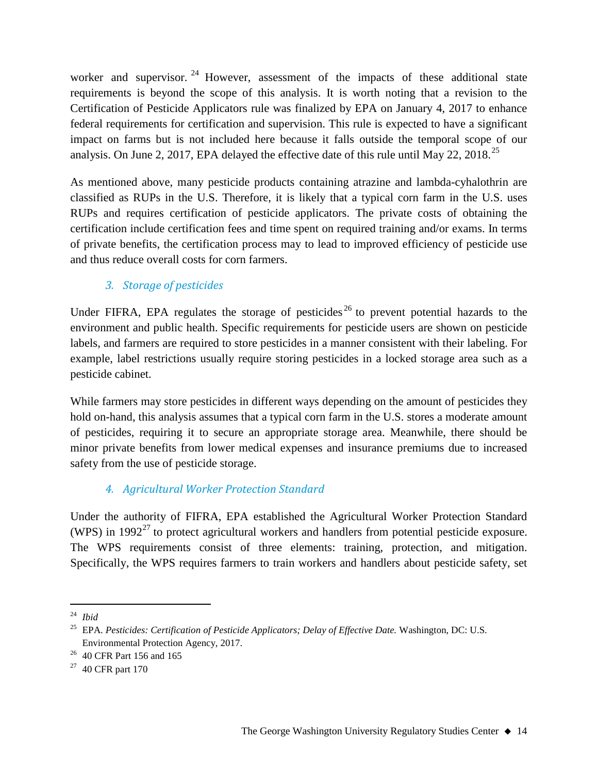worker and supervisor.<sup>[24](#page-13-0)</sup> However, assessment of the impacts of these additional state requirements is beyond the scope of this analysis. It is worth noting that a revision to the Certification of Pesticide Applicators rule was finalized by EPA on January 4, 2017 to enhance federal requirements for certification and supervision. This rule is expected to have a significant impact on farms but is not included here because it falls outside the temporal scope of our analysis. On June 2, 2017, EPA delayed the effective date of this rule until May 22, 2018.<sup>[25](#page-13-1)</sup>

As mentioned above, many pesticide products containing atrazine and lambda-cyhalothrin are classified as RUPs in the U.S. Therefore, it is likely that a typical corn farm in the U.S. uses RUPs and requires certification of pesticide applicators. The private costs of obtaining the certification include certification fees and time spent on required training and/or exams. In terms of private benefits, the certification process may to lead to improved efficiency of pesticide use and thus reduce overall costs for corn farmers.

## *3. Storage of pesticides*

Under FIFRA, EPA regulates the storage of pesticides<sup>[26](#page-13-2)</sup> to prevent potential hazards to the environment and public health. Specific requirements for pesticide users are shown on pesticide labels, and farmers are required to store pesticides in a manner consistent with their labeling. For example, label restrictions usually require storing pesticides in a locked storage area such as a pesticide cabinet.

While farmers may store pesticides in different ways depending on the amount of pesticides they hold on-hand, this analysis assumes that a typical corn farm in the U.S. stores a moderate amount of pesticides, requiring it to secure an appropriate storage area. Meanwhile, there should be minor private benefits from lower medical expenses and insurance premiums due to increased safety from the use of pesticide storage.

## *4. Agricultural Worker Protection Standard*

Under the authority of FIFRA, EPA established the Agricultural Worker Protection Standard (WPS) in 1992<sup>[27](#page-13-3)</sup> to protect agricultural workers and handlers from potential pesticide exposure. The WPS requirements consist of three elements: training, protection, and mitigation. Specifically, the WPS requires farmers to train workers and handlers about pesticide safety, set

<span id="page-13-0"></span> <sup>24</sup> *Ibid*

<span id="page-13-1"></span><sup>25</sup> EPA. *Pesticides: Certification of Pesticide Applicators; Delay of Effective Date.* Washington, DC: U.S. Environmental Protection Agency, 2017.

<span id="page-13-2"></span><sup>26</sup> 40 CFR Part 156 and 165

<span id="page-13-3"></span> $27$  40 CFR part 170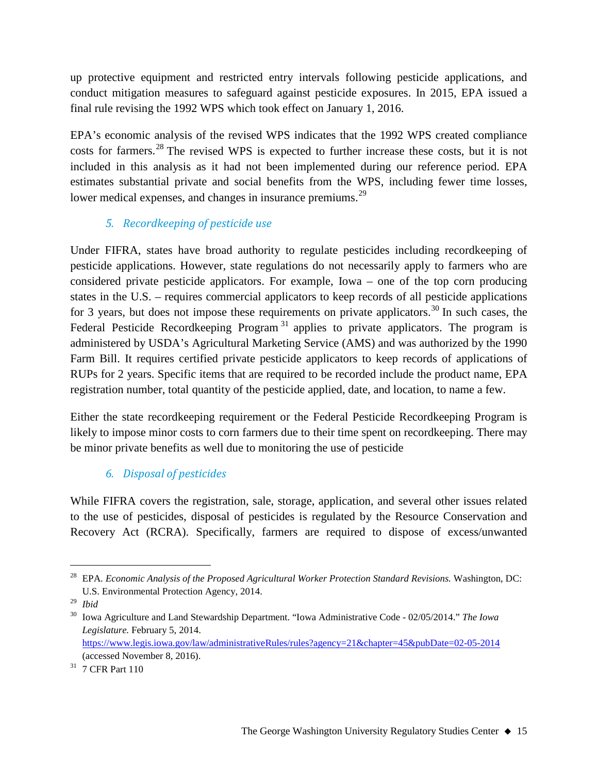up protective equipment and restricted entry intervals following pesticide applications, and conduct mitigation measures to safeguard against pesticide exposures. In 2015, EPA issued a final rule revising the 1992 WPS which took effect on January 1, 2016.

EPA's economic analysis of the revised WPS indicates that the 1992 WPS created compliance costs for farmers.<sup>[28](#page-14-0)</sup> The revised WPS is expected to further increase these costs, but it is not included in this analysis as it had not been implemented during our reference period. EPA estimates substantial private and social benefits from the WPS, including fewer time losses, lower medical expenses, and changes in insurance premiums.<sup>[29](#page-14-1)</sup>

## *5. Recordkeeping of pesticide use*

Under FIFRA, states have broad authority to regulate pesticides including recordkeeping of pesticide applications. However, state regulations do not necessarily apply to farmers who are considered private pesticide applicators. For example, Iowa – one of the top corn producing states in the U.S. – requires commercial applicators to keep records of all pesticide applications for 3 years, but does not impose these requirements on private applicators.<sup>[30](#page-14-2)</sup> In such cases, the Federal Pesticide Recordkeeping Program<sup>[31](#page-14-3)</sup> applies to private applicators. The program is administered by USDA's Agricultural Marketing Service (AMS) and was authorized by the 1990 Farm Bill. It requires certified private pesticide applicators to keep records of applications of RUPs for 2 years. Specific items that are required to be recorded include the product name, EPA registration number, total quantity of the pesticide applied, date, and location, to name a few.

Either the state recordkeeping requirement or the Federal Pesticide Recordkeeping Program is likely to impose minor costs to corn farmers due to their time spent on recordkeeping. There may be minor private benefits as well due to monitoring the use of pesticide

## *6. Disposal of pesticides*

While FIFRA covers the registration, sale, storage, application, and several other issues related to the use of pesticides, disposal of pesticides is regulated by the Resource Conservation and Recovery Act (RCRA). Specifically, farmers are required to dispose of excess/unwanted

<span id="page-14-0"></span> <sup>28</sup> EPA. *Economic Analysis of the Proposed Agricultural Worker Protection Standard Revisions.* Washington, DC: U.S. Environmental Protection Agency, 2014.

<span id="page-14-1"></span><sup>29</sup> *Ibid*

<span id="page-14-2"></span><sup>30</sup> Iowa Agriculture and Land Stewardship Department. "Iowa Administrative Code - 02/05/2014." *The Iowa Legislature.* February 5, 2014. <https://www.legis.iowa.gov/law/administrativeRules/rules?agency=21&chapter=45&pubDate=02-05-2014>

<sup>(</sup>accessed November 8, 2016).

<span id="page-14-3"></span><sup>31</sup> 7 CFR Part 110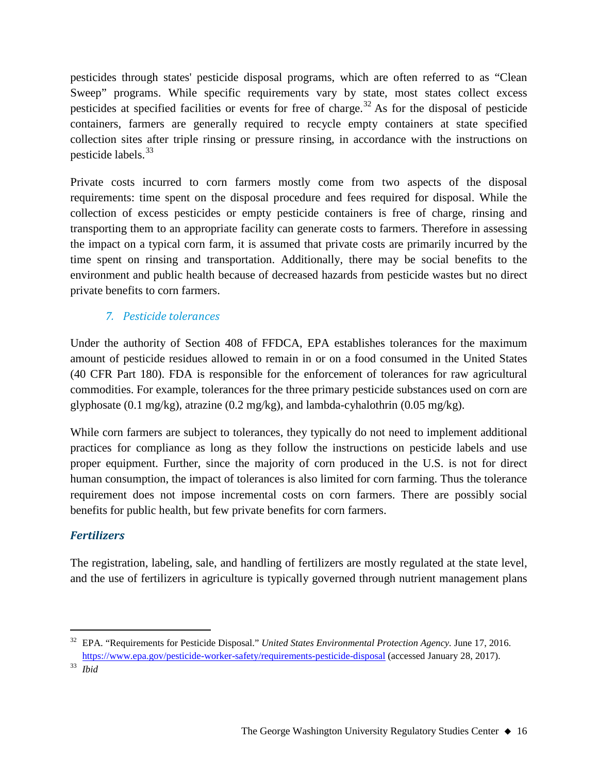pesticides through states' pesticide disposal programs, which are often referred to as "Clean Sweep" programs. While specific requirements vary by state, most states collect excess pesticides at specified facilities or events for free of charge.<sup>[32](#page-15-0)</sup> As for the disposal of pesticide containers, farmers are generally required to recycle empty containers at state specified collection sites after triple rinsing or pressure rinsing, in accordance with the instructions on pesticide labels.[33](#page-15-1)

Private costs incurred to corn farmers mostly come from two aspects of the disposal requirements: time spent on the disposal procedure and fees required for disposal. While the collection of excess pesticides or empty pesticide containers is free of charge, rinsing and transporting them to an appropriate facility can generate costs to farmers. Therefore in assessing the impact on a typical corn farm, it is assumed that private costs are primarily incurred by the time spent on rinsing and transportation. Additionally, there may be social benefits to the environment and public health because of decreased hazards from pesticide wastes but no direct private benefits to corn farmers.

## *7. Pesticide tolerances*

Under the authority of Section 408 of FFDCA, EPA establishes tolerances for the maximum amount of pesticide residues allowed to remain in or on a food consumed in the United States (40 CFR Part 180). FDA is responsible for the enforcement of tolerances for raw agricultural commodities. For example, tolerances for the three primary pesticide substances used on corn are glyphosate (0.1 mg/kg), atrazine (0.2 mg/kg), and lambda-cyhalothrin (0.05 mg/kg).

While corn farmers are subject to tolerances, they typically do not need to implement additional practices for compliance as long as they follow the instructions on pesticide labels and use proper equipment. Further, since the majority of corn produced in the U.S. is not for direct human consumption, the impact of tolerances is also limited for corn farming. Thus the tolerance requirement does not impose incremental costs on corn farmers. There are possibly social benefits for public health, but few private benefits for corn farmers.

#### *Fertilizers*

The registration, labeling, sale, and handling of fertilizers are mostly regulated at the state level, and the use of fertilizers in agriculture is typically governed through nutrient management plans

<span id="page-15-0"></span> <sup>32</sup> EPA. "Requirements for Pesticide Disposal." *United States Environmental Protection Agency.* June 17, 2016. <https://www.epa.gov/pesticide-worker-safety/requirements-pesticide-disposal> (accessed January 28, 2017).

<span id="page-15-1"></span><sup>33</sup> *Ibid*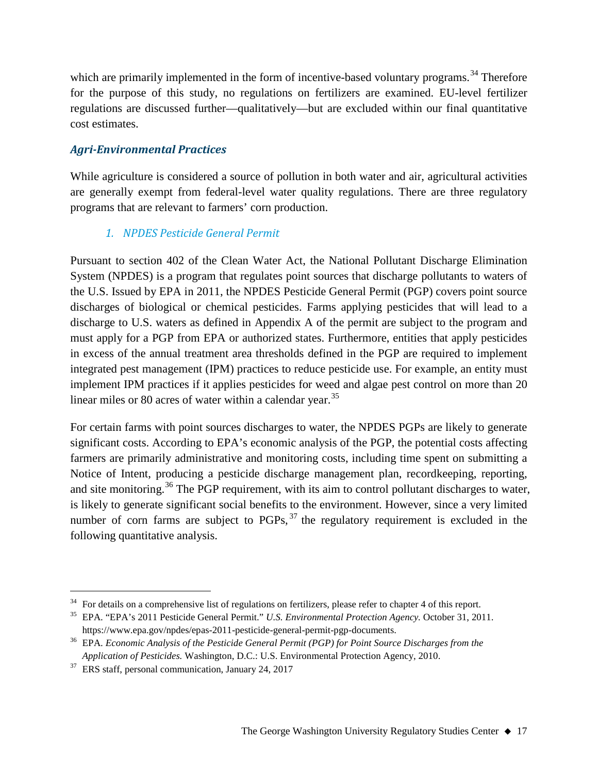which are primarily implemented in the form of incentive-based voluntary programs.<sup>[34](#page-16-0)</sup> Therefore for the purpose of this study, no regulations on fertilizers are examined. EU-level fertilizer regulations are discussed further—qualitatively—but are excluded within our final quantitative cost estimates.

#### *Agri-Environmental Practices*

While agriculture is considered a source of pollution in both water and air, agricultural activities are generally exempt from federal-level water quality regulations. There are three regulatory programs that are relevant to farmers' corn production.

## *1. NPDES Pesticide General Permit*

Pursuant to section 402 of the Clean Water Act, the National Pollutant Discharge Elimination System (NPDES) is a program that regulates point sources that discharge pollutants to waters of the U.S. Issued by EPA in 2011, the NPDES Pesticide General Permit (PGP) covers point source discharges of biological or chemical pesticides. Farms applying pesticides that will lead to a discharge to U.S. waters as defined in Appendix A of the permit are subject to the program and must apply for a PGP from EPA or authorized states. Furthermore, entities that apply pesticides in excess of the annual treatment area thresholds defined in the PGP are required to implement integrated pest management (IPM) practices to reduce pesticide use. For example, an entity must implement IPM practices if it applies pesticides for weed and algae pest control on more than 20 linear miles or 80 acres of water within a calendar year.<sup>[35](#page-16-1)</sup>

For certain farms with point sources discharges to water, the NPDES PGPs are likely to generate significant costs. According to EPA's economic analysis of the PGP, the potential costs affecting farmers are primarily administrative and monitoring costs, including time spent on submitting a Notice of Intent, producing a pesticide discharge management plan, recordkeeping, reporting, and site monitoring.<sup>[36](#page-16-2)</sup> The PGP requirement, with its aim to control pollutant discharges to water, is likely to generate significant social benefits to the environment. However, since a very limited number of corn farms are subject to  $PGPs$ ,  $37$  the regulatory requirement is excluded in the following quantitative analysis.

<span id="page-16-0"></span> $34$  For details on a comprehensive list of regulations on fertilizers, please refer to chapter 4 of this report.

<span id="page-16-1"></span><sup>35</sup> EPA. "EPA's 2011 Pesticide General Permit." *U.S. Environmental Protection Agency.* October 31, 2011. https://www.epa.gov/npdes/epas-2011-pesticide-general-permit-pgp-documents.

<span id="page-16-2"></span><sup>36</sup> EPA. *Economic Analysis of the Pesticide General Permit (PGP) for Point Source Discharges from the Application of Pesticides.* Washington, D.C.: U.S. Environmental Protection Agency, 2010.

<span id="page-16-3"></span><sup>&</sup>lt;sup>37</sup> ERS staff, personal communication, January 24, 2017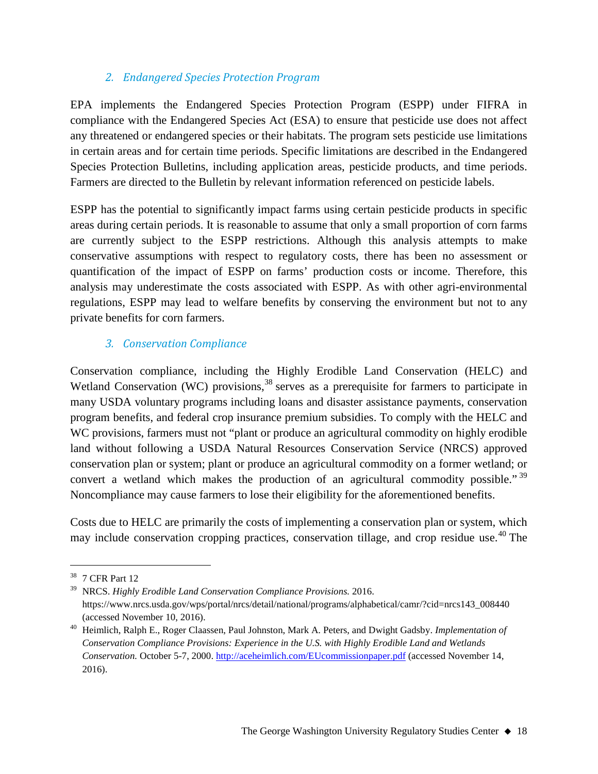#### *2. Endangered Species Protection Program*

EPA implements the Endangered Species Protection Program (ESPP) under FIFRA in compliance with the Endangered Species Act (ESA) to ensure that pesticide use does not affect any threatened or endangered species or their habitats. The program sets pesticide use limitations in certain areas and for certain time periods. Specific limitations are described in the Endangered Species Protection Bulletins, including application areas, pesticide products, and time periods. Farmers are directed to the Bulletin by relevant information referenced on pesticide labels.

ESPP has the potential to significantly impact farms using certain pesticide products in specific areas during certain periods. It is reasonable to assume that only a small proportion of corn farms are currently subject to the ESPP restrictions. Although this analysis attempts to make conservative assumptions with respect to regulatory costs, there has been no assessment or quantification of the impact of ESPP on farms' production costs or income. Therefore, this analysis may underestimate the costs associated with ESPP. As with other agri-environmental regulations, ESPP may lead to welfare benefits by conserving the environment but not to any private benefits for corn farmers.

#### *3. Conservation Compliance*

Conservation compliance, including the Highly Erodible Land Conservation (HELC) and Wetland Conservation (WC) provisions,  $38$  serves as a prerequisite for farmers to participate in many USDA voluntary programs including loans and disaster assistance payments, conservation program benefits, and federal crop insurance premium subsidies. To comply with the HELC and WC provisions, farmers must not "plant or produce an agricultural commodity on highly erodible land without following a USDA Natural Resources Conservation Service (NRCS) approved conservation plan or system; plant or produce an agricultural commodity on a former wetland; or convert a wetland which makes the production of an agricultural commodity possible."<sup>[39](#page-17-1)</sup> Noncompliance may cause farmers to lose their eligibility for the aforementioned benefits.

Costs due to HELC are primarily the costs of implementing a conservation plan or system, which may include conservation cropping practices, conservation tillage, and crop residue use.<sup>[40](#page-17-2)</sup> The

<span id="page-17-0"></span> <sup>38</sup> 7 CFR Part 12

<span id="page-17-1"></span><sup>39</sup> NRCS. *Highly Erodible Land Conservation Compliance Provisions.* 2016. https://www.nrcs.usda.gov/wps/portal/nrcs/detail/national/programs/alphabetical/camr/?cid=nrcs143\_008440 (accessed November 10, 2016).

<span id="page-17-2"></span><sup>40</sup> Heimlich, Ralph E., Roger Claassen, Paul Johnston, Mark A. Peters, and Dwight Gadsby. *Implementation of Conservation Compliance Provisions: Experience in the U.S. with Highly Erodible Land and Wetlands Conservation.* October 5-7, 2000.<http://aceheimlich.com/EUcommissionpaper.pdf> (accessed November 14, 2016).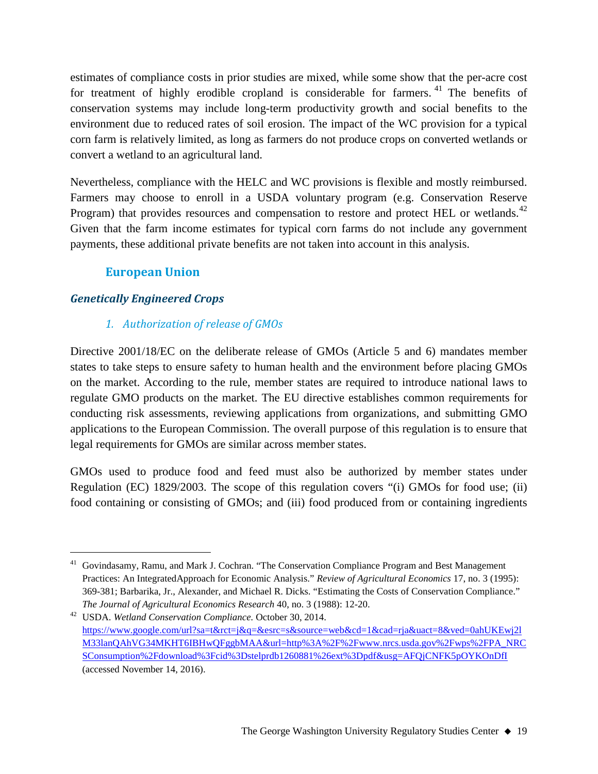estimates of compliance costs in prior studies are mixed, while some show that the per-acre cost for treatment of highly erodible cropland is considerable for farmers. [41](#page-18-0) The benefits of conservation systems may include long-term productivity growth and social benefits to the environment due to reduced rates of soil erosion. The impact of the WC provision for a typical corn farm is relatively limited, as long as farmers do not produce crops on converted wetlands or convert a wetland to an agricultural land.

Nevertheless, compliance with the HELC and WC provisions is flexible and mostly reimbursed. Farmers may choose to enroll in a USDA voluntary program (e.g. Conservation Reserve Program) that provides resources and compensation to restore and protect HEL or wetlands.<sup>[42](#page-18-1)</sup> Given that the farm income estimates for typical corn farms do not include any government payments, these additional private benefits are not taken into account in this analysis.

## **European Union**

#### *Genetically Engineered Crops*

#### *1. Authorization of release of GMOs*

Directive 2001/18/EC on the deliberate release of GMOs (Article 5 and 6) mandates member states to take steps to ensure safety to human health and the environment before placing GMOs on the market. According to the rule, member states are required to introduce national laws to regulate GMO products on the market. The EU directive establishes common requirements for conducting risk assessments, reviewing applications from organizations, and submitting GMO applications to the European Commission. The overall purpose of this regulation is to ensure that legal requirements for GMOs are similar across member states.

GMOs used to produce food and feed must also be authorized by member states under Regulation (EC) 1829/2003. The scope of this regulation covers "(i) GMOs for food use; (ii) food containing or consisting of GMOs; and (iii) food produced from or containing ingredients

<span id="page-18-0"></span><sup>&</sup>lt;sup>41</sup> Govindasamy, Ramu, and Mark J. Cochran. "The Conservation Compliance Program and Best Management Practices: An IntegratedApproach for Economic Analysis." *Review of Agricultural Economics* 17, no. 3 (1995): 369-381; Barbarika, Jr., Alexander, and Michael R. Dicks. "Estimating the Costs of Conservation Compliance." *The Journal of Agricultural Economics Research* 40, no. 3 (1988): 12-20.

<span id="page-18-1"></span><sup>42</sup> USDA. *Wetland Conservation Compliance.* October 30, 2014. [https://www.google.com/url?sa=t&rct=j&q=&esrc=s&source=web&cd=1&cad=rja&uact=8&ved=0ahUKEwj2l](https://www.google.com/url?sa=t&rct=j&q=&esrc=s&source=web&cd=1&cad=rja&uact=8&ved=0ahUKEwj2lM33lanQAhVG34MKHT6IBHwQFggbMAA&url=http%3A%2F%2Fwww.nrcs.usda.gov%2Fwps%2FPA_NRCSConsumption%2Fdownload%3Fcid%3Dstelprdb1260881%26ext%3Dpdf&usg=AFQjCNFK5pOYKOnDfI) [M33lanQAhVG34MKHT6IBHwQFggbMAA&url=http%3A%2F%2Fwww.nrcs.usda.gov%2Fwps%2FPA\\_NRC](https://www.google.com/url?sa=t&rct=j&q=&esrc=s&source=web&cd=1&cad=rja&uact=8&ved=0ahUKEwj2lM33lanQAhVG34MKHT6IBHwQFggbMAA&url=http%3A%2F%2Fwww.nrcs.usda.gov%2Fwps%2FPA_NRCSConsumption%2Fdownload%3Fcid%3Dstelprdb1260881%26ext%3Dpdf&usg=AFQjCNFK5pOYKOnDfI) [SConsumption%2Fdownload%3Fcid%3Dstelprdb1260881%26ext%3Dpdf&usg=AFQjCNFK5pOYKOnDfI](https://www.google.com/url?sa=t&rct=j&q=&esrc=s&source=web&cd=1&cad=rja&uact=8&ved=0ahUKEwj2lM33lanQAhVG34MKHT6IBHwQFggbMAA&url=http%3A%2F%2Fwww.nrcs.usda.gov%2Fwps%2FPA_NRCSConsumption%2Fdownload%3Fcid%3Dstelprdb1260881%26ext%3Dpdf&usg=AFQjCNFK5pOYKOnDfI) (accessed November 14, 2016).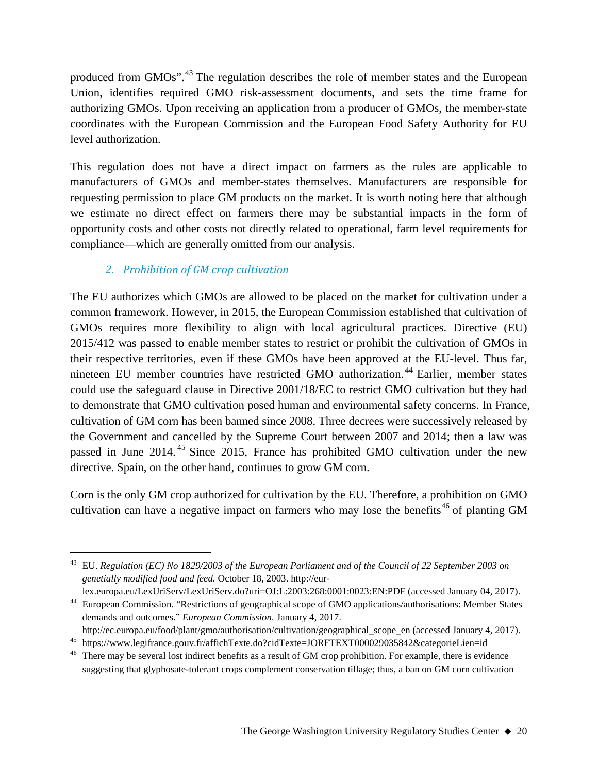produced from GMOs".<sup>[43](#page-19-0)</sup> The regulation describes the role of member states and the European Union, identifies required GMO risk-assessment documents, and sets the time frame for authorizing GMOs. Upon receiving an application from a producer of GMOs, the member-state coordinates with the European Commission and the European Food Safety Authority for EU level authorization.

This regulation does not have a direct impact on farmers as the rules are applicable to manufacturers of GMOs and member-states themselves. Manufacturers are responsible for requesting permission to place GM products on the market. It is worth noting here that although we estimate no direct effect on farmers there may be substantial impacts in the form of opportunity costs and other costs not directly related to operational, farm level requirements for compliance—which are generally omitted from our analysis.

## *2. Prohibition of GM crop cultivation*

The EU authorizes which GMOs are allowed to be placed on the market for cultivation under a common framework. However, in 2015, the European Commission established that cultivation of GMOs requires more flexibility to align with local agricultural practices. Directive (EU) 2015/412 was passed to enable member states to restrict or prohibit the cultivation of GMOs in their respective territories, even if these GMOs have been approved at the EU-level. Thus far, nineteen EU member countries have restricted GMO authorization.<sup>[44](#page-19-1)</sup> Earlier, member states could use the safeguard clause in Directive 2001/18/EC to restrict GMO cultivation but they had to demonstrate that GMO cultivation posed human and environmental safety concerns. In France, cultivation of GM corn has been banned since 2008. Three decrees were successively released by the Government and cancelled by the Supreme Court between 2007 and 2014; then a law was passed in June 2014. [45](#page-19-2) Since 2015, France has prohibited GMO cultivation under the new directive. Spain, on the other hand, continues to grow GM corn.

Corn is the only GM crop authorized for cultivation by the EU. Therefore, a prohibition on GMO cultivation can have a negative impact on farmers who may lose the benefits<sup>[46](#page-19-3)</sup> of planting GM

lex.europa.eu/LexUriServ/LexUriServ.do?uri=OJ:L:2003:268:0001:0023:EN:PDF (accessed January 04, 2017).

<span id="page-19-0"></span> <sup>43</sup> EU. *Regulation (EC) No 1829/2003 of the European Parliament and of the Council of 22 September 2003 on genetially modified food and feed.* October 18, 2003. http://eur-

<span id="page-19-1"></span><sup>44</sup> European Commission. "Restrictions of geographical scope of GMO applications/authorisations: Member States demands and outcomes." *European Commission.* January 4, 2017.

http://ec.europa.eu/food/plant/gmo/authorisation/cultivation/geographical\_scope\_en (accessed January 4, 2017). <sup>45</sup> https://www.legifrance.gouv.fr/affichTexte.do?cidTexte=JORFTEXT000029035842&categorieLien=id

<span id="page-19-3"></span><span id="page-19-2"></span><sup>&</sup>lt;sup>46</sup> There may be several lost indirect benefits as a result of GM crop prohibition. For example, there is evidence suggesting that glyphosate-tolerant crops complement conservation tillage; thus, a ban on GM corn cultivation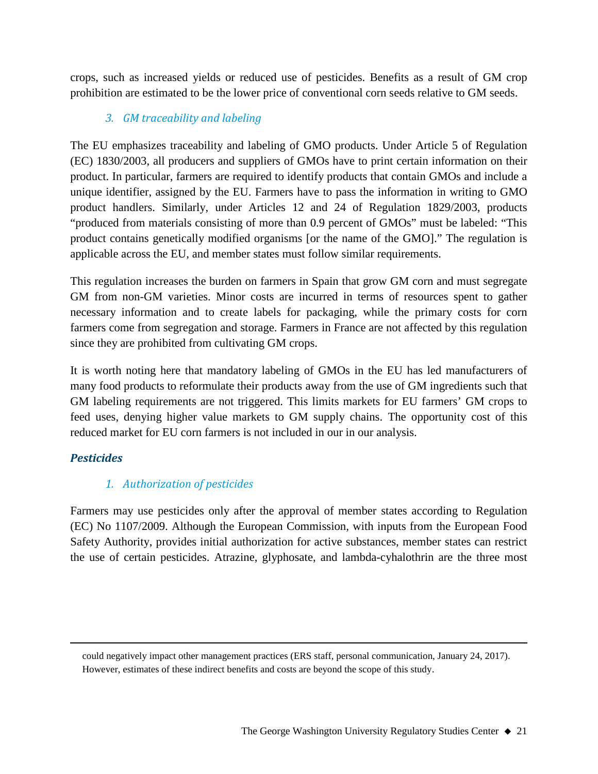crops, such as increased yields or reduced use of pesticides. Benefits as a result of GM crop prohibition are estimated to be the lower price of conventional corn seeds relative to GM seeds.

## *3. GM traceability and labeling*

The EU emphasizes traceability and labeling of GMO products. Under Article 5 of Regulation (EC) 1830/2003, all producers and suppliers of GMOs have to print certain information on their product. In particular, farmers are required to identify products that contain GMOs and include a unique identifier, assigned by the EU. Farmers have to pass the information in writing to GMO product handlers. Similarly, under Articles 12 and 24 of Regulation 1829/2003, products "produced from materials consisting of more than 0.9 percent of GMOs" must be labeled: "This product contains genetically modified organisms [or the name of the GMO]." The regulation is applicable across the EU, and member states must follow similar requirements.

This regulation increases the burden on farmers in Spain that grow GM corn and must segregate GM from non-GM varieties. Minor costs are incurred in terms of resources spent to gather necessary information and to create labels for packaging, while the primary costs for corn farmers come from segregation and storage. Farmers in France are not affected by this regulation since they are prohibited from cultivating GM crops.

It is worth noting here that mandatory labeling of GMOs in the EU has led manufacturers of many food products to reformulate their products away from the use of GM ingredients such that GM labeling requirements are not triggered. This limits markets for EU farmers' GM crops to feed uses, denying higher value markets to GM supply chains. The opportunity cost of this reduced market for EU corn farmers is not included in our in our analysis.

## *Pesticides*

 $\overline{a}$ 

## *1. Authorization of pesticides*

Farmers may use pesticides only after the approval of member states according to Regulation (EC) No 1107/2009. Although the European Commission, with inputs from the European Food Safety Authority, provides initial authorization for active substances, member states can restrict the use of certain pesticides. Atrazine, glyphosate, and lambda-cyhalothrin are the three most

could negatively impact other management practices (ERS staff, personal communication, January 24, 2017). However, estimates of these indirect benefits and costs are beyond the scope of this study.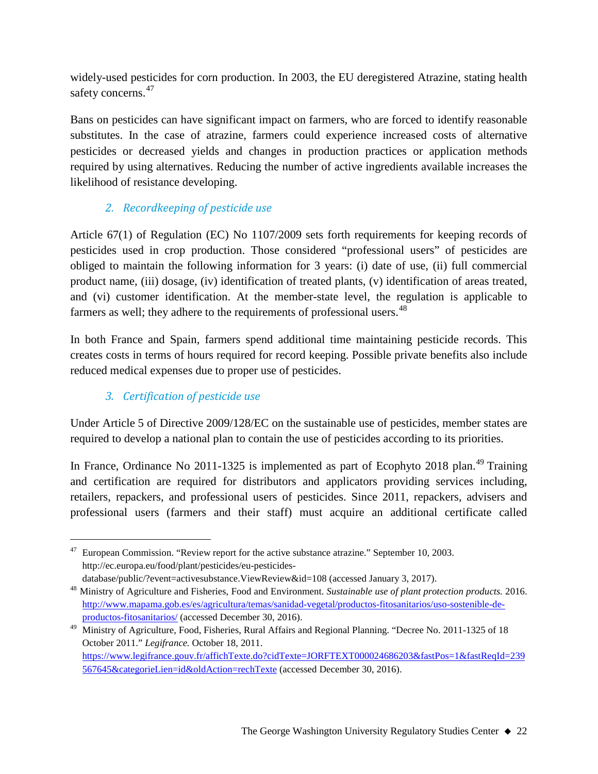widely-used pesticides for corn production. In 2003, the EU deregistered Atrazine, stating health safety concerns.<sup>[47](#page-21-0)</sup>

Bans on pesticides can have significant impact on farmers, who are forced to identify reasonable substitutes. In the case of atrazine, farmers could experience increased costs of alternative pesticides or decreased yields and changes in production practices or application methods required by using alternatives. Reducing the number of active ingredients available increases the likelihood of resistance developing.

## *2. Recordkeeping of pesticide use*

Article 67(1) of Regulation (EC) No 1107/2009 sets forth requirements for keeping records of pesticides used in crop production. Those considered "professional users" of pesticides are obliged to maintain the following information for 3 years: (i) date of use, (ii) full commercial product name, (iii) dosage, (iv) identification of treated plants, (v) identification of areas treated, and (vi) customer identification. At the member-state level, the regulation is applicable to farmers as well; they adhere to the requirements of professional users.<sup>[48](#page-21-1)</sup>

In both France and Spain, farmers spend additional time maintaining pesticide records. This creates costs in terms of hours required for record keeping. Possible private benefits also include reduced medical expenses due to proper use of pesticides.

## *3. Certification of pesticide use*

Under Article 5 of Directive 2009/128/EC on the sustainable use of pesticides, member states are required to develop a national plan to contain the use of pesticides according to its priorities.

In France, Ordinance No 2011-1325 is implemented as part of Ecophyto 2018 plan.<sup>[49](#page-21-2)</sup> Training and certification are required for distributors and applicators providing services including, retailers, repackers, and professional users of pesticides. Since 2011, repackers, advisers and professional users (farmers and their staff) must acquire an additional certificate called

<span id="page-21-0"></span> $47$  European Commission. "Review report for the active substance atrazine." September 10, 2003. http://ec.europa.eu/food/plant/pesticides/eu-pesticides-

database/public/?event=activesubstance.ViewReview&id=108 (accessed January 3, 2017).

<span id="page-21-1"></span><sup>48</sup> Ministry of Agriculture and Fisheries, Food and Environment. *Sustainable use of plant protection products.* 2016. [http://www.mapama.gob.es/es/agricultura/temas/sanidad-vegetal/productos-fitosanitarios/uso-sostenible-de](http://www.mapama.gob.es/es/agricultura/temas/sanidad-vegetal/productos-fitosanitarios/uso-sostenible-de-productos-fitosanitarios/)[productos-fitosanitarios/](http://www.mapama.gob.es/es/agricultura/temas/sanidad-vegetal/productos-fitosanitarios/uso-sostenible-de-productos-fitosanitarios/) (accessed December 30, 2016).

<span id="page-21-2"></span><sup>&</sup>lt;sup>49</sup> Ministry of Agriculture, Food, Fisheries, Rural Affairs and Regional Planning. "Decree No. 2011-1325 of 18 October 2011." *Legifrance.* October 18, 2011. [https://www.legifrance.gouv.fr/affichTexte.do?cidTexte=JORFTEXT000024686203&fastPos=1&fastReqId=239](https://www.legifrance.gouv.fr/affichTexte.do?cidTexte=JORFTEXT000024686203&fastPos=1&fastReqId=239567645&categorieLien=id&oldAction=rechTexte) [567645&categorieLien=id&oldAction=rechTexte](https://www.legifrance.gouv.fr/affichTexte.do?cidTexte=JORFTEXT000024686203&fastPos=1&fastReqId=239567645&categorieLien=id&oldAction=rechTexte) (accessed December 30, 2016).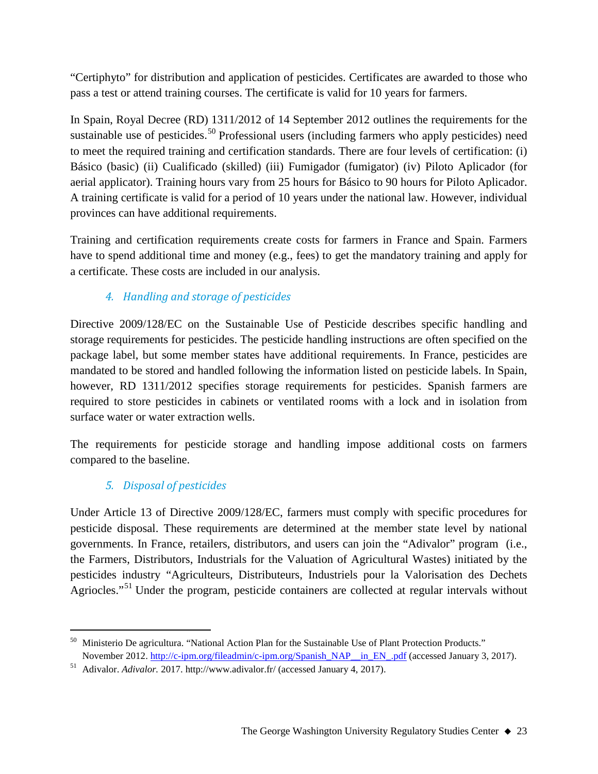"Certiphyto" for distribution and application of pesticides. Certificates are awarded to those who pass a test or attend training courses. The certificate is valid for 10 years for farmers.

In Spain, Royal Decree (RD) 1311/2012 of 14 September 2012 outlines the requirements for the sustainable use of pesticides.<sup>[50](#page-22-0)</sup> Professional users (including farmers who apply pesticides) need to meet the required training and certification standards. There are four levels of certification: (i) Básico (basic) (ii) Cualificado (skilled) (iii) Fumigador (fumigator) (iv) Piloto Aplicador (for aerial applicator). Training hours vary from 25 hours for Básico to 90 hours for Piloto Aplicador. A training certificate is valid for a period of 10 years under the national law. However, individual provinces can have additional requirements.

Training and certification requirements create costs for farmers in France and Spain. Farmers have to spend additional time and money (e.g., fees) to get the mandatory training and apply for a certificate. These costs are included in our analysis.

## *4. Handling and storage of pesticides*

Directive 2009/128/EC on the Sustainable Use of Pesticide describes specific handling and storage requirements for pesticides. The pesticide handling instructions are often specified on the package label, but some member states have additional requirements. In France, pesticides are mandated to be stored and handled following the information listed on pesticide labels. In Spain, however, RD 1311/2012 specifies storage requirements for pesticides. Spanish farmers are required to store pesticides in cabinets or ventilated rooms with a lock and in isolation from surface water or water extraction wells.

The requirements for pesticide storage and handling impose additional costs on farmers compared to the baseline.

## *5. Disposal of pesticides*

Under Article 13 of Directive 2009/128/EC, farmers must comply with specific procedures for pesticide disposal. These requirements are determined at the member state level by national governments. In France, retailers, distributors, and users can join the "Adivalor" program (i.e., the Farmers, Distributors, Industrials for the Valuation of Agricultural Wastes) initiated by the pesticides industry "Agriculteurs, Distributeurs, Industriels pour la Valorisation des Dechets Agriocles."<sup>[51](#page-22-1)</sup> Under the program, pesticide containers are collected at regular intervals without

<span id="page-22-0"></span><sup>&</sup>lt;sup>50</sup> Ministerio De agricultura. "National Action Plan for the Sustainable Use of Plant Protection Products." November 2012. [http://c-ipm.org/fileadmin/c-ipm.org/Spanish\\_NAP\\_\\_in\\_EN\\_.pdf](http://c-ipm.org/fileadmin/c-ipm.org/Spanish_NAP__in_EN_.pdf) (accessed January 3, 2017).

<span id="page-22-1"></span><sup>51</sup> Adivalor. *Adivalor.* 2017. http://www.adivalor.fr/ (accessed January 4, 2017).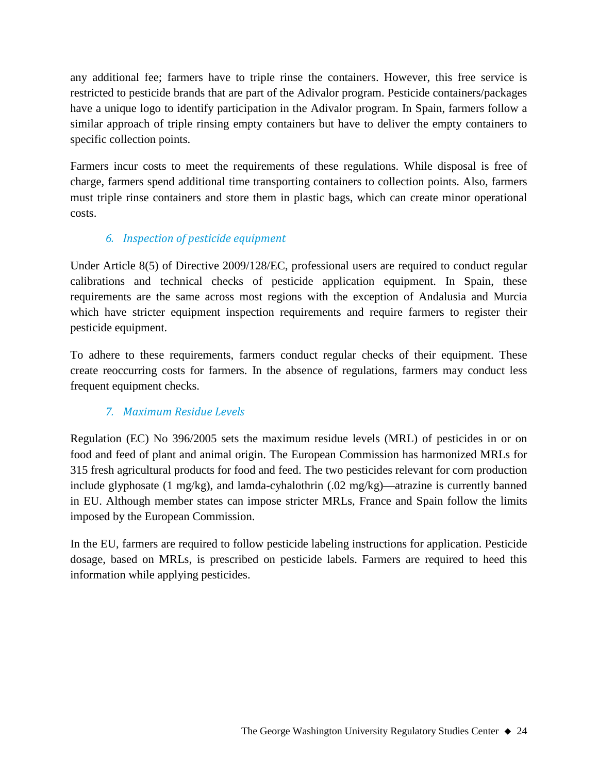any additional fee; farmers have to triple rinse the containers. However, this free service is restricted to pesticide brands that are part of the Adivalor program. Pesticide containers/packages have a unique logo to identify participation in the Adivalor program. In Spain, farmers follow a similar approach of triple rinsing empty containers but have to deliver the empty containers to specific collection points.

Farmers incur costs to meet the requirements of these regulations. While disposal is free of charge, farmers spend additional time transporting containers to collection points. Also, farmers must triple rinse containers and store them in plastic bags, which can create minor operational costs.

## *6. Inspection of pesticide equipment*

Under Article 8(5) of Directive 2009/128/EC, professional users are required to conduct regular calibrations and technical checks of pesticide application equipment. In Spain, these requirements are the same across most regions with the exception of Andalusia and Murcia which have stricter equipment inspection requirements and require farmers to register their pesticide equipment.

To adhere to these requirements, farmers conduct regular checks of their equipment. These create reoccurring costs for farmers. In the absence of regulations, farmers may conduct less frequent equipment checks.

## *7. Maximum Residue Levels*

Regulation (EC) No 396/2005 sets the maximum residue levels (MRL) of pesticides in or on food and feed of plant and animal origin. The European Commission has harmonized MRLs for 315 fresh agricultural products for food and feed. The two pesticides relevant for corn production include glyphosate (1 mg/kg), and lamda-cyhalothrin  $(0.02 \text{ mg/kg})$ —atrazine is currently banned in EU. Although member states can impose stricter MRLs, France and Spain follow the limits imposed by the European Commission.

In the EU, farmers are required to follow pesticide labeling instructions for application. Pesticide dosage, based on MRLs, is prescribed on pesticide labels. Farmers are required to heed this information while applying pesticides.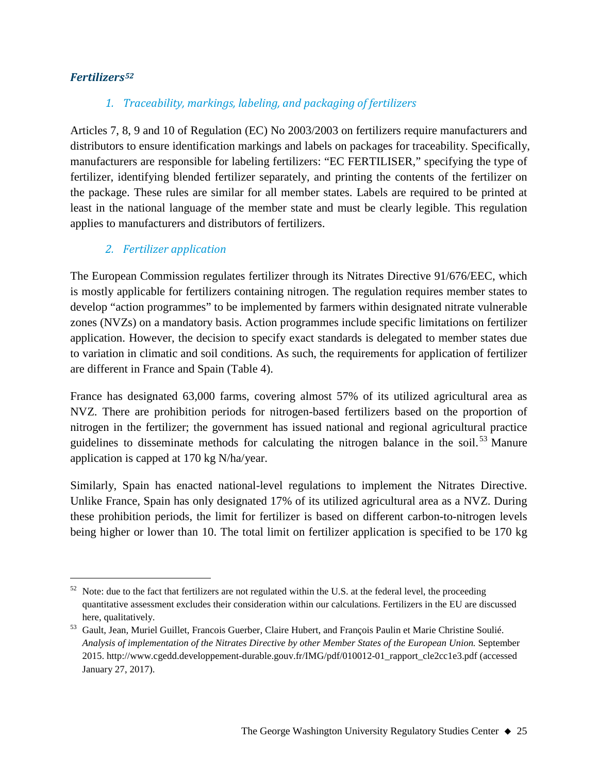#### *Fertilizers[52](#page-24-0)*

## *1. Traceability, markings, labeling, and packaging of fertilizers*

Articles 7, 8, 9 and 10 of Regulation (EC) No 2003/2003 on fertilizers require manufacturers and distributors to ensure identification markings and labels on packages for traceability. Specifically, manufacturers are responsible for labeling fertilizers: "EC FERTILISER," specifying the type of fertilizer, identifying blended fertilizer separately, and printing the contents of the fertilizer on the package. These rules are similar for all member states. Labels are required to be printed at least in the national language of the member state and must be clearly legible. This regulation applies to manufacturers and distributors of fertilizers.

#### *2. Fertilizer application*

The European Commission regulates fertilizer through its Nitrates Directive 91/676/EEC, which is mostly applicable for fertilizers containing nitrogen. The regulation requires member states to develop "action programmes" to be implemented by farmers within designated nitrate vulnerable zones (NVZs) on a mandatory basis. Action programmes include specific limitations on fertilizer application. However, the decision to specify exact standards is delegated to member states due to variation in climatic and soil conditions. As such, the requirements for application of fertilizer are different in France and Spain (Table 4).

France has designated 63,000 farms, covering almost 57% of its utilized agricultural area as NVZ. There are prohibition periods for nitrogen-based fertilizers based on the proportion of nitrogen in the fertilizer; the government has issued national and regional agricultural practice guidelines to disseminate methods for calculating the nitrogen balance in the soil.<sup>[53](#page-24-1)</sup> Manure application is capped at 170 kg N/ha/year.

Similarly, Spain has enacted national-level regulations to implement the Nitrates Directive. Unlike France, Spain has only designated 17% of its utilized agricultural area as a NVZ. During these prohibition periods, the limit for fertilizer is based on different carbon-to-nitrogen levels being higher or lower than 10. The total limit on fertilizer application is specified to be 170 kg

<span id="page-24-0"></span>Note: due to the fact that fertilizers are not regulated within the U.S. at the federal level, the proceeding quantitative assessment excludes their consideration within our calculations. Fertilizers in the EU are discussed here, qualitatively.

<span id="page-24-1"></span><sup>53</sup> Gault, Jean, Muriel Guillet, Francois Guerber, Claire Hubert, and François Paulin et Marie Christine Soulié. *Analysis of implementation of the Nitrates Directive by other Member States of the European Union.* September 2015. http://www.cgedd.developpement-durable.gouv.fr/IMG/pdf/010012-01\_rapport\_cle2cc1e3.pdf (accessed January 27, 2017).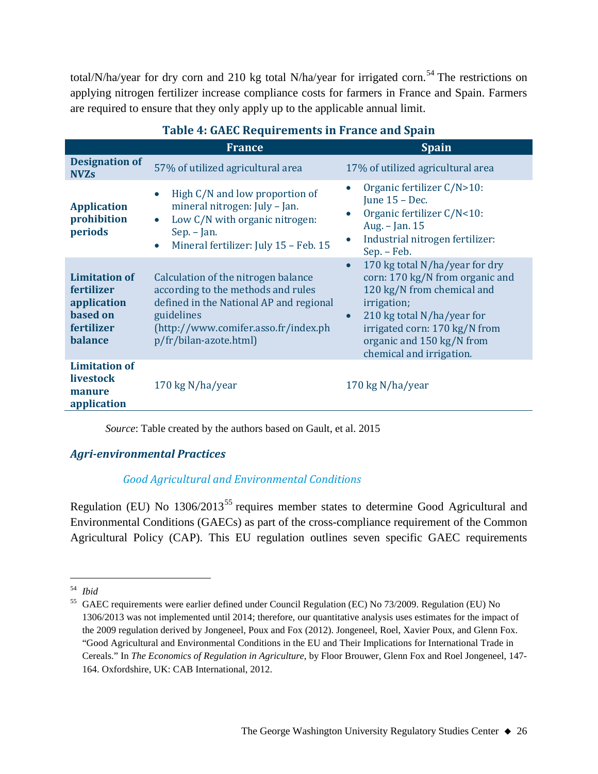total/N/ha/year for dry corn and 210 kg total N/ha/year for irrigated corn.<sup>[54](#page-25-0)</sup> The restrictions on applying nitrogen fertilizer increase compliance costs for farmers in France and Spain. Farmers are required to ensure that they only apply up to the applicable annual limit.

|                                                                                        | <b>France</b>                                                                                                                                                                                        | <b>Spain</b>                                                                                                                                                                                                                                                     |  |
|----------------------------------------------------------------------------------------|------------------------------------------------------------------------------------------------------------------------------------------------------------------------------------------------------|------------------------------------------------------------------------------------------------------------------------------------------------------------------------------------------------------------------------------------------------------------------|--|
| <b>Designation of</b><br><b>NVZs</b>                                                   | 57% of utilized agricultural area                                                                                                                                                                    | 17% of utilized agricultural area                                                                                                                                                                                                                                |  |
| <b>Application</b><br>prohibition<br>periods                                           | High C/N and low proportion of<br>$\bullet$<br>mineral nitrogen: July - Jan.<br>Low C/N with organic nitrogen:<br>$\bullet$<br>Sep. – Jan.<br>Mineral fertilizer: July 15 - Feb. 15<br>$\bullet$     | Organic fertilizer C/N>10:<br>June $15$ – Dec.<br>Organic fertilizer C/N<10:<br>Aug. - Jan. 15<br>Industrial nitrogen fertilizer:<br>Sep. - Feb.                                                                                                                 |  |
| <b>Limitation of</b><br>fertilizer<br>application<br>based on<br>fertilizer<br>balance | Calculation of the nitrogen balance<br>according to the methods and rules<br>defined in the National AP and regional<br>guidelines<br>(http://www.comifer.asso.fr/index.ph<br>p/fr/bilan-azote.html) | 170 kg total N/ha/year for dry<br>$\bullet$<br>corn: 170 kg/N from organic and<br>120 kg/N from chemical and<br>irrigation;<br>210 kg total N/ha/year for<br>$\bullet$<br>irrigated corn: 170 kg/N from<br>organic and 150 kg/N from<br>chemical and irrigation. |  |
| <b>Limitation of</b><br>livestock<br>manure<br>application                             | 170 kg N/ha/year                                                                                                                                                                                     | 170 kg N/ha/year                                                                                                                                                                                                                                                 |  |

## **Table 4: GAEC Requirements in France and Spain**

*Source*: Table created by the authors based on Gault, et al. 2015

#### *Agri-environmental Practices*

## *Good Agricultural and Environmental Conditions*

Regulation (EU) No 1306/2013<sup>[55](#page-25-1)</sup> requires member states to determine Good Agricultural and Environmental Conditions (GAECs) as part of the cross-compliance requirement of the Common Agricultural Policy (CAP). This EU regulation outlines seven specific GAEC requirements

<span id="page-25-0"></span> <sup>54</sup> *Ibid*

<span id="page-25-1"></span><sup>55</sup> GAEC requirements were earlier defined under Council Regulation (EC) No 73/2009. Regulation (EU) No 1306/2013 was not implemented until 2014; therefore, our quantitative analysis uses estimates for the impact of the 2009 regulation derived by Jongeneel, Poux and Fox (2012). Jongeneel, Roel, Xavier Poux, and Glenn Fox. "Good Agricultural and Environmental Conditions in the EU and Their Implications for International Trade in Cereals." In *The Economics of Regulation in Agriculture*, by Floor Brouwer, Glenn Fox and Roel Jongeneel, 147- 164. Oxfordshire, UK: CAB International, 2012.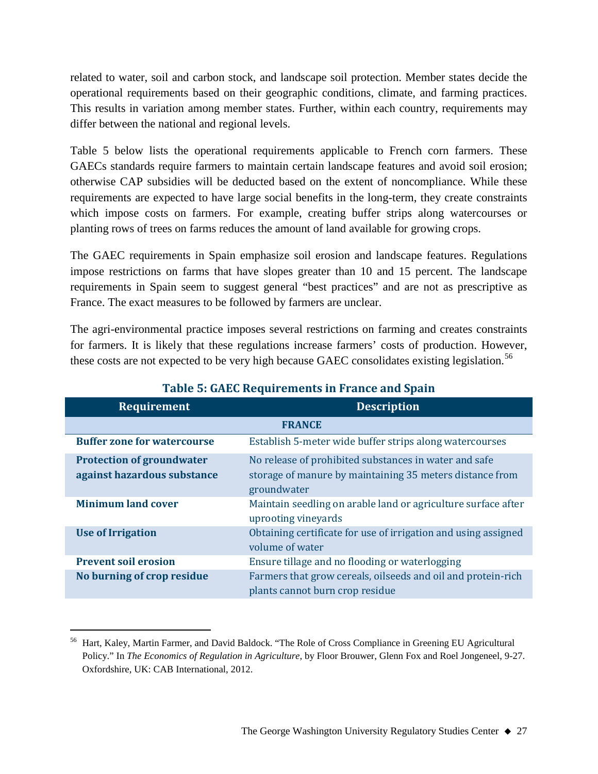related to water, soil and carbon stock, and landscape soil protection. Member states decide the operational requirements based on their geographic conditions, climate, and farming practices. This results in variation among member states. Further, within each country, requirements may differ between the national and regional levels.

Table 5 below lists the operational requirements applicable to French corn farmers. These GAECs standards require farmers to maintain certain landscape features and avoid soil erosion; otherwise CAP subsidies will be deducted based on the extent of noncompliance. While these requirements are expected to have large social benefits in the long-term, they create constraints which impose costs on farmers. For example, creating buffer strips along watercourses or planting rows of trees on farms reduces the amount of land available for growing crops.

The GAEC requirements in Spain emphasize soil erosion and landscape features. Regulations impose restrictions on farms that have slopes greater than 10 and 15 percent. The landscape requirements in Spain seem to suggest general "best practices" and are not as prescriptive as France. The exact measures to be followed by farmers are unclear.

The agri-environmental practice imposes several restrictions on farming and creates constraints for farmers. It is likely that these regulations increase farmers' costs of production. However, these costs are not expected to be very high because GAEC consolidates existing legislation.<sup>[56](#page-26-0)</sup>

| <b>Requirement</b>                                              | <b>Description</b>                                                                                                               |  |  |
|-----------------------------------------------------------------|----------------------------------------------------------------------------------------------------------------------------------|--|--|
|                                                                 | <b>FRANCE</b>                                                                                                                    |  |  |
| <b>Buffer zone for watercourse</b>                              | Establish 5-meter wide buffer strips along watercourses                                                                          |  |  |
| <b>Protection of groundwater</b><br>against hazardous substance | No release of prohibited substances in water and safe<br>storage of manure by maintaining 35 meters distance from<br>groundwater |  |  |
| <b>Minimum land cover</b>                                       | Maintain seedling on arable land or agriculture surface after<br>uprooting vineyards                                             |  |  |
| <b>Use of Irrigation</b>                                        | Obtaining certificate for use of irrigation and using assigned<br>volume of water                                                |  |  |
| <b>Prevent soil erosion</b>                                     | Ensure tillage and no flooding or waterlogging                                                                                   |  |  |
| No burning of crop residue                                      | Farmers that grow cereals, oilseeds and oil and protein-rich<br>plants cannot burn crop residue                                  |  |  |

## **Table 5: GAEC Requirements in France and Spain**

<span id="page-26-0"></span> <sup>56</sup> Hart, Kaley, Martin Farmer, and David Baldock. "The Role of Cross Compliance in Greening EU Agricultural Policy." In *The Economics of Regulation in Agriculture*, by Floor Brouwer, Glenn Fox and Roel Jongeneel, 9-27. Oxfordshire, UK: CAB International, 2012.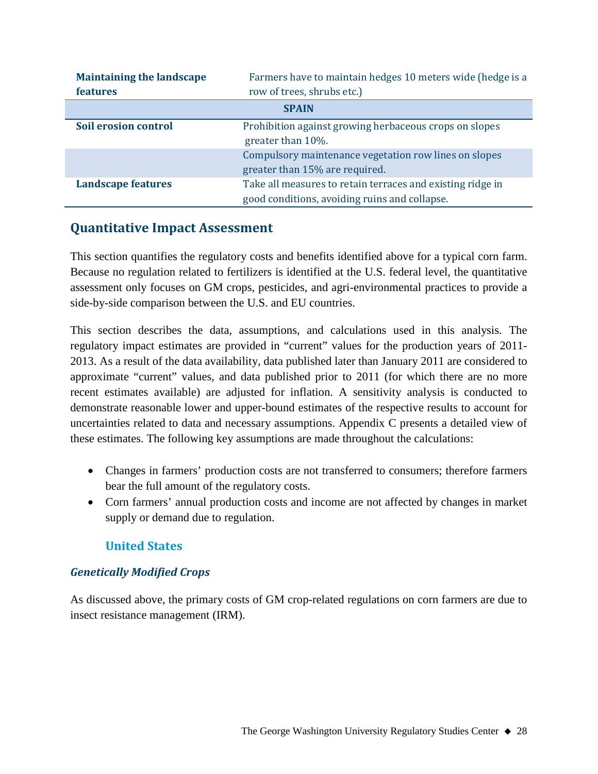| <b>Maintaining the landscape</b><br><b>features</b> | Farmers have to maintain hedges 10 meters wide (hedge is a<br>row of trees, shrubs etc.) |  |
|-----------------------------------------------------|------------------------------------------------------------------------------------------|--|
|                                                     | <b>SPAIN</b>                                                                             |  |
| Soil erosion control                                | Prohibition against growing herbaceous crops on slopes                                   |  |
|                                                     | greater than 10%.                                                                        |  |
|                                                     | Compulsory maintenance vegetation row lines on slopes                                    |  |
|                                                     | greater than 15% are required.                                                           |  |
| <b>Landscape features</b>                           | Take all measures to retain terraces and existing ridge in                               |  |
|                                                     | good conditions, avoiding ruins and collapse.                                            |  |

## **Quantitative Impact Assessment**

This section quantifies the regulatory costs and benefits identified above for a typical corn farm. Because no regulation related to fertilizers is identified at the U.S. federal level, the quantitative assessment only focuses on GM crops, pesticides, and agri-environmental practices to provide a side-by-side comparison between the U.S. and EU countries.

This section describes the data, assumptions, and calculations used in this analysis. The regulatory impact estimates are provided in "current" values for the production years of 2011- 2013. As a result of the data availability, data published later than January 2011 are considered to approximate "current" values, and data published prior to 2011 (for which there are no more recent estimates available) are adjusted for inflation. A sensitivity analysis is conducted to demonstrate reasonable lower and upper-bound estimates of the respective results to account for uncertainties related to data and necessary assumptions. Appendix C presents a detailed view of these estimates. The following key assumptions are made throughout the calculations:

- Changes in farmers' production costs are not transferred to consumers; therefore farmers bear the full amount of the regulatory costs.
- Corn farmers' annual production costs and income are not affected by changes in market supply or demand due to regulation.

## **United States**

## *Genetically Modified Crops*

As discussed above, the primary costs of GM crop-related regulations on corn farmers are due to insect resistance management (IRM).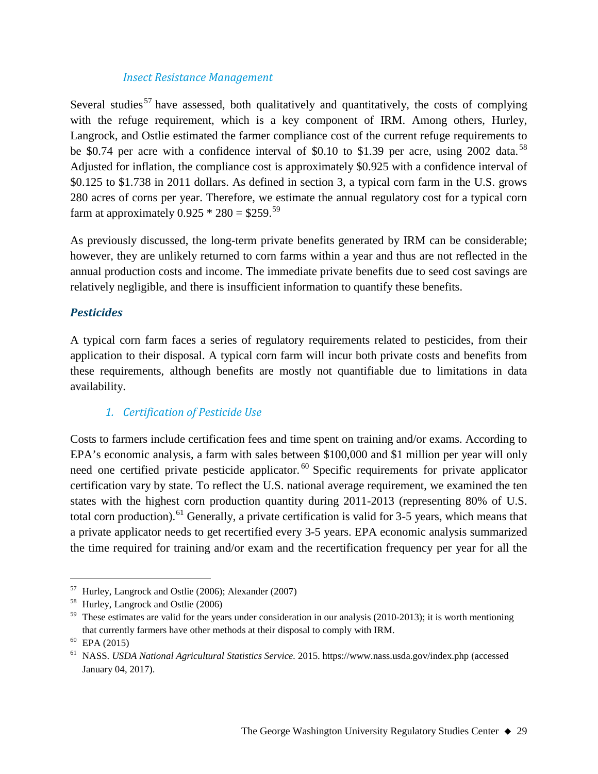#### *Insect Resistance Management*

Several studies<sup>[57](#page-28-0)</sup> have assessed, both qualitatively and quantitatively, the costs of complying with the refuge requirement, which is a key component of IRM. Among others, Hurley, Langrock, and Ostlie estimated the farmer compliance cost of the current refuge requirements to be \$0.74 per acre with a confidence interval of \$0.10 to \$1.39 per acre, using 2002 data.<sup>[58](#page-28-1)</sup> Adjusted for inflation, the compliance cost is approximately \$0.925 with a confidence interval of \$0.125 to \$1.738 in 2011 dollars. As defined in section 3, a typical corn farm in the U.S. grows 280 acres of corns per year. Therefore, we estimate the annual regulatory cost for a typical corn farm at approximately  $0.925 * 280 = $259$  $0.925 * 280 = $259$ .<sup>59</sup>

As previously discussed, the long-term private benefits generated by IRM can be considerable; however, they are unlikely returned to corn farms within a year and thus are not reflected in the annual production costs and income. The immediate private benefits due to seed cost savings are relatively negligible, and there is insufficient information to quantify these benefits.

#### *Pesticides*

A typical corn farm faces a series of regulatory requirements related to pesticides, from their application to their disposal. A typical corn farm will incur both private costs and benefits from these requirements, although benefits are mostly not quantifiable due to limitations in data availability.

#### *1. Certification of Pesticide Use*

Costs to farmers include certification fees and time spent on training and/or exams. According to EPA's economic analysis, a farm with sales between \$100,000 and \$1 million per year will only need one certified private pesticide applicator.<sup>[60](#page-28-3)</sup> Specific requirements for private applicator certification vary by state. To reflect the U.S. national average requirement, we examined the ten states with the highest corn production quantity during 2011-2013 (representing 80% of U.S. total corn production).<sup>[61](#page-28-4)</sup> Generally, a private certification is valid for 3-5 years, which means that a private applicator needs to get recertified every 3-5 years. EPA economic analysis summarized the time required for training and/or exam and the recertification frequency per year for all the

<span id="page-28-0"></span> <sup>57</sup> Hurley, Langrock and Ostlie (2006); Alexander (2007)

<span id="page-28-1"></span><sup>58</sup> Hurley, Langrock and Ostlie (2006)

<span id="page-28-2"></span> $59$  These estimates are valid for the years under consideration in our analysis (2010-2013); it is worth mentioning that currently farmers have other methods at their disposal to comply with IRM.

<span id="page-28-3"></span> $60$  EPA (2015)

<span id="page-28-4"></span><sup>61</sup> NASS. *USDA National Agricultural Statistics Service.* 2015. https://www.nass.usda.gov/index.php (accessed January 04, 2017).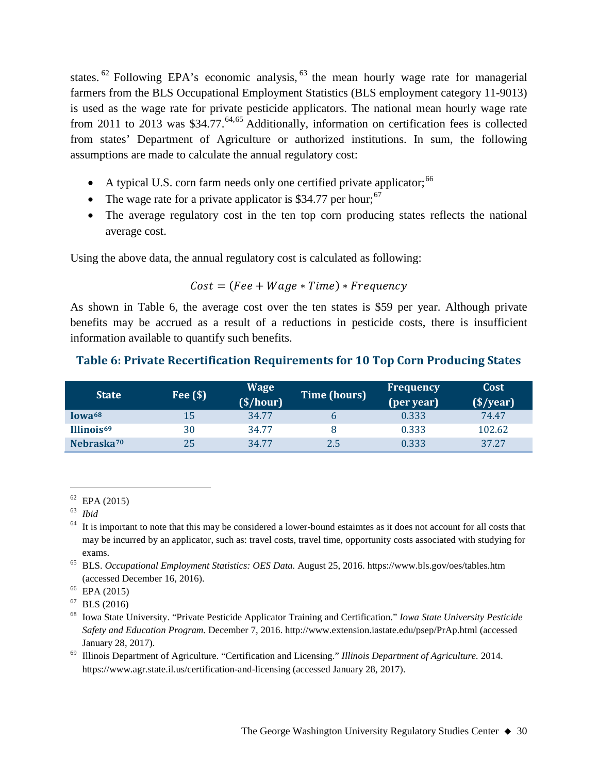states.<sup>[62](#page-29-0)</sup> Following EPA's economic analysis,  $63$  the mean hourly wage rate for managerial farmers from the BLS Occupational Employment Statistics (BLS employment category 11-9013) is used as the wage rate for private pesticide applicators. The national mean hourly wage rate from 2011 to 2013 was \$34.77.<sup>[64,](#page-29-2)[65](#page-29-3)</sup> Additionally, information on certification fees is collected from states' Department of Agriculture or authorized institutions. In sum, the following assumptions are made to calculate the annual regulatory cost:

- A typical U.S. corn farm needs only one certified private applicator;  $66$
- The wage rate for a private applicator is \$34.77 per hour;  $67$
- The average regulatory cost in the ten top corn producing states reflects the national average cost.

Using the above data, the annual regulatory cost is calculated as following:

#### $Cost = ( Fee + Wage * Time) * Frequency$

As shown in Table 6, the average cost over the ten states is \$59 per year. Although private benefits may be accrued as a result of a reductions in pesticide costs, there is insufficient information available to quantify such benefits.

## **Table 6: Private Recertification Requirements for 10 Top Corn Producing States**

<span id="page-29-8"></span>

| <b>State</b>           | Fee $(\$)$ | <b>Wage</b><br>(S/hour) | <b>Time (hours)</b> | Frequency<br>(per year) | Cost<br>$(\frac{\sqrt{2}}{2})$ |
|------------------------|------------|-------------------------|---------------------|-------------------------|--------------------------------|
| Iowa <sup>68</sup>     | 15         | 34.77                   |                     | 0.333                   | 74.47                          |
| Illinois <sup>69</sup> | 30         | 34.77                   |                     | 0.333                   | 102.62                         |
| Nebraska <sup>70</sup> | 25         | 34.77                   | 2.5                 | 0.333                   | 37.27                          |

<span id="page-29-7"></span><sup>69</sup> Illinois Department of Agriculture. "Certification and Licensing." *Illinois Department of Agriculture.* 2014. https://www.agr.state.il.us/certification-and-licensing (accessed January 28, 2017).

<span id="page-29-0"></span> $62$  EPA (2015)

<span id="page-29-1"></span><sup>63</sup> *Ibid*

<span id="page-29-2"></span> $64$  It is important to note that this may be considered a lower-bound estaimtes as it does not account for all costs that may be incurred by an applicator, such as: travel costs, travel time, opportunity costs associated with studying for exams.

<span id="page-29-3"></span><sup>65</sup> BLS. *Occupational Employment Statistics: OES Data.* August 25, 2016. https://www.bls.gov/oes/tables.htm (accessed December 16, 2016). 66 EPA (2015)

<span id="page-29-5"></span><span id="page-29-4"></span> $67$  BLS (2016)

<span id="page-29-6"></span><sup>68</sup> Iowa State University. "Private Pesticide Applicator Training and Certification." *Iowa State University Pesticide Safety and Education Program.* December 7, 2016. http://www.extension.iastate.edu/psep/PrAp.html (accessed January 28, 2017).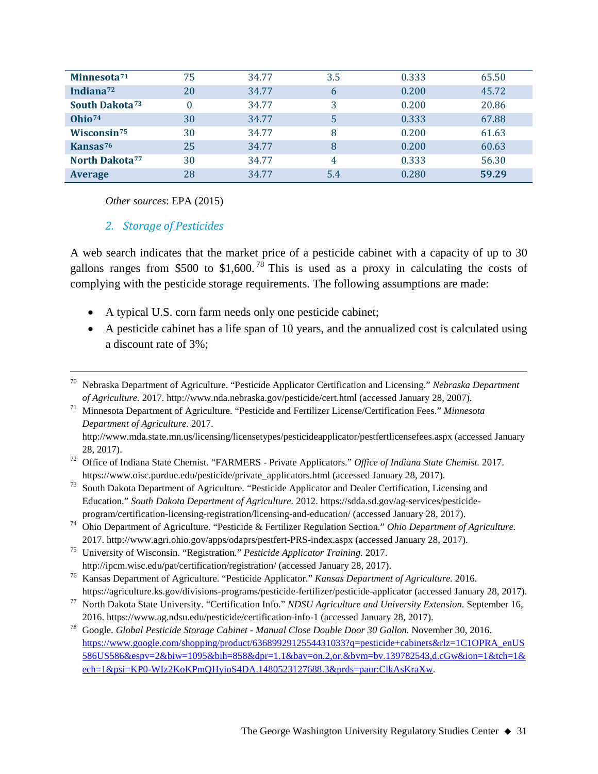| Minnesota <sup>71</sup>    | 75 | 34.77 | 3.5 | 0.333 | 65.50 |
|----------------------------|----|-------|-----|-------|-------|
| Indiana <sup>72</sup>      | 20 | 34.77 | 6   | 0.200 | 45.72 |
| South Dakota <sup>73</sup> |    | 34.77 | 3   | 0.200 | 20.86 |
| Ohio <sup>74</sup>         | 30 | 34.77 | 5   | 0.333 | 67.88 |
| Wisconsin <sup>75</sup>    | 30 | 34.77 | 8   | 0.200 | 61.63 |
| Kansas <sup>76</sup>       | 25 | 34.77 | 8   | 0.200 | 60.63 |
| North Dakota <sup>77</sup> | 30 | 34.77 | 4   | 0.333 | 56.30 |
| <b>Average</b>             | 28 | 34.77 | 5.4 | 0.280 | 59.29 |

*Other sources*: EPA (2015)

#### *2. Storage of Pesticides*

A web search indicates that the market price of a pesticide cabinet with a capacity of up to 30 gallons ranges from \$500 to \$1,600.<sup>[78](#page-30-7)</sup> This is used as a proxy in calculating the costs of complying with the pesticide storage requirements. The following assumptions are made:

- A typical U.S. corn farm needs only one pesticide cabinet;
- A pesticide cabinet has a life span of 10 years, and the annualized cost is calculated using a discount rate of 3%;

 <sup>70</sup> Nebraska Department of Agriculture. "Pesticide Applicator Certification and Licensing." *Nebraska Department of Agriculture.* 2017. http://www.nda.nebraska.gov/pesticide/cert.html (accessed January 28, 2007).

<span id="page-30-0"></span><sup>71</sup> Minnesota Department of Agriculture. "Pesticide and Fertilizer License/Certification Fees." *Minnesota Department of Agriculture.* 2017.

http://www.mda.state.mn.us/licensing/licensetypes/pesticideapplicator/pestfertlicensefees.aspx (accessed January 28, 2017).

<span id="page-30-1"></span><sup>72</sup> Office of Indiana State Chemist. "FARMERS - Private Applicators." *Office of Indiana State Chemist.* 2017. https://www.oisc.purdue.edu/pesticide/private\_applicators.html (accessed January 28, 2017).

<span id="page-30-2"></span><sup>73</sup> South Dakota Department of Agriculture. "Pesticide Applicator and Dealer Certification, Licensing and Education." *South Dakota Department of Agriculture.* 2012. https://sdda.sd.gov/ag-services/pesticideprogram/certification-licensing-registration/licensing-and-education/ (accessed January 28, 2017).

<span id="page-30-3"></span><sup>74</sup> Ohio Department of Agriculture. "Pesticide & Fertilizer Regulation Section." *Ohio Department of Agriculture.* 2017. http://www.agri.ohio.gov/apps/odaprs/pestfert-PRS-index.aspx (accessed January 28, 2017).

<span id="page-30-4"></span><sup>75</sup> University of Wisconsin. "Registration." *Pesticide Applicator Training.* 2017. http://ipcm.wisc.edu/pat/certification/registration/ (accessed January 28, 2017).

<span id="page-30-5"></span><sup>76</sup> Kansas Department of Agriculture. "Pesticide Applicator." *Kansas Department of Agriculture.* 2016. https://agriculture.ks.gov/divisions-programs/pesticide-fertilizer/pesticide-applicator (accessed January 28, 2017).

<span id="page-30-6"></span><sup>77</sup> North Dakota State University. "Certification Info." *NDSU Agriculture and University Extension.* September 16, 2016. https://www.ag.ndsu.edu/pesticide/certification-info-1 (accessed January 28, 2017).

<span id="page-30-7"></span><sup>78</sup> Google. *Global Pesticide Storage Cabinet - Manual Close Double Door 30 Gallon.* November 30, 2016. [https://www.google.com/shopping/product/6368992912554431033?q=pesticide+cabinets&rlz=1C1OPRA\\_enUS](https://www.google.com/shopping/product/6368992912554431033?q=pesticide+cabinets&rlz=1C1OPRA_enUS586US586&espv=2&biw=1095&bih=858&dpr=1.1&bav=on.2,or.&bvm=bv.139782543,d.cGw&ion=1&tch=1&ech=1&psi=KP0-WIz2KoKPmQHyioS4DA.1480523127688.3&prds=paur:ClkAsKraXw) [586US586&espv=2&biw=1095&bih=858&dpr=1.1&bav=on.2,or.&bvm=bv.139782543,d.cGw&ion=1&tch=1&](https://www.google.com/shopping/product/6368992912554431033?q=pesticide+cabinets&rlz=1C1OPRA_enUS586US586&espv=2&biw=1095&bih=858&dpr=1.1&bav=on.2,or.&bvm=bv.139782543,d.cGw&ion=1&tch=1&ech=1&psi=KP0-WIz2KoKPmQHyioS4DA.1480523127688.3&prds=paur:ClkAsKraXw) [ech=1&psi=KP0-WIz2KoKPmQHyioS4DA.1480523127688.3&prds=paur:ClkAsKraXw.](https://www.google.com/shopping/product/6368992912554431033?q=pesticide+cabinets&rlz=1C1OPRA_enUS586US586&espv=2&biw=1095&bih=858&dpr=1.1&bav=on.2,or.&bvm=bv.139782543,d.cGw&ion=1&tch=1&ech=1&psi=KP0-WIz2KoKPmQHyioS4DA.1480523127688.3&prds=paur:ClkAsKraXw)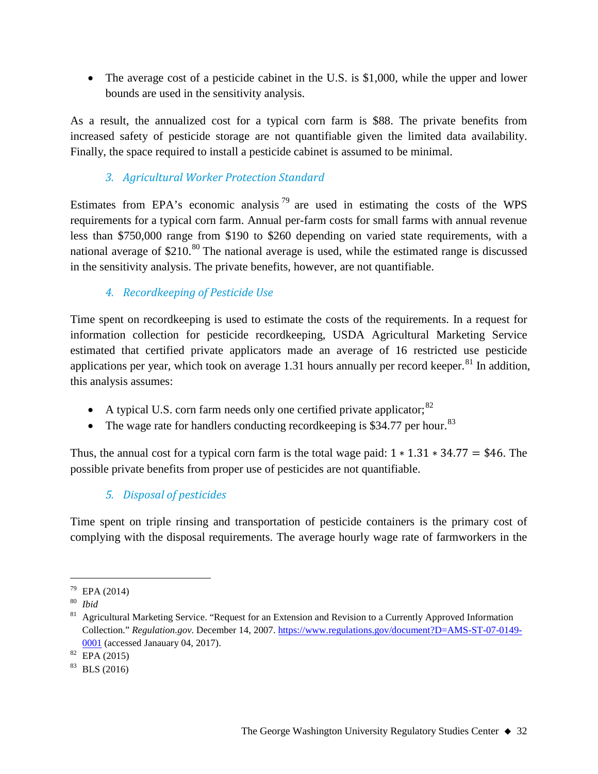• The average cost of a pesticide cabinet in the U.S. is \$1,000, while the upper and lower bounds are used in the sensitivity analysis.

As a result, the annualized cost for a typical corn farm is \$88. The private benefits from increased safety of pesticide storage are not quantifiable given the limited data availability. Finally, the space required to install a pesticide cabinet is assumed to be minimal.

## *3. Agricultural Worker Protection Standard*

Estimates from EPA's economic analysis<sup>[79](#page-31-0)</sup> are used in estimating the costs of the WPS requirements for a typical corn farm. Annual per-farm costs for small farms with annual revenue less than \$750,000 range from \$190 to \$260 depending on varied state requirements, with a national average of  $$210$ .<sup>[80](#page-31-1)</sup> The national average is used, while the estimated range is discussed in the sensitivity analysis. The private benefits, however, are not quantifiable.

## *4. Recordkeeping of Pesticide Use*

Time spent on recordkeeping is used to estimate the costs of the requirements. In a request for information collection for pesticide recordkeeping, USDA Agricultural Marketing Service estimated that certified private applicators made an average of 16 restricted use pesticide applications per year, which took on average 1.31 hours annually per record keeper.<sup>[81](#page-31-2)</sup> In addition, this analysis assumes:

- A typical U.S. corn farm needs only one certified private applicator:  $82$
- The wage rate for handlers conducting record keeping is \$34.77 per hour.<sup>[83](#page-31-4)</sup>

Thus, the annual cost for a typical corn farm is the total wage paid:  $1 * 1.31 * 34.77 = $46$ . The possible private benefits from proper use of pesticides are not quantifiable.

## *5. Disposal of pesticides*

Time spent on triple rinsing and transportation of pesticide containers is the primary cost of complying with the disposal requirements. The average hourly wage rate of farmworkers in the

<span id="page-31-0"></span> <sup>79</sup> EPA (2014)

<span id="page-31-1"></span><sup>80</sup> *Ibid*

<span id="page-31-2"></span><sup>&</sup>lt;sup>81</sup> Agricultural Marketing Service. "Request for an Extension and Revision to a Currently Approved Information Collection." *Regulation.gov.* December 14, 2007. [https://www.regulations.gov/document?D=AMS-ST-07-0149-](https://www.regulations.gov/document?D=AMS-ST-07-0149-0001) [0001](https://www.regulations.gov/document?D=AMS-ST-07-0149-0001) (accessed Janauary 04, 2017).

<span id="page-31-3"></span><sup>82</sup> EPA (2015)

<span id="page-31-4"></span> $83$  BLS (2016)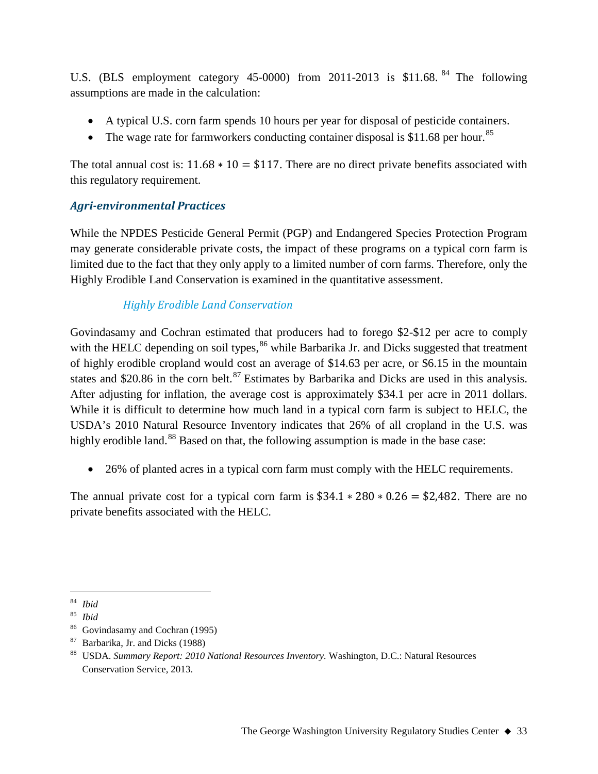U.S. (BLS employment category 45-0000) from 2011-2013 is \$11.68.<sup>[84](#page-32-0)</sup> The following assumptions are made in the calculation:

- A typical U.S. corn farm spends 10 hours per year for disposal of pesticide containers.
- The wage rate for farmworkers conducting container disposal is \$11.68 per hour.<sup>[85](#page-32-1)</sup>

The total annual cost is:  $11.68 * 10 = $117$ . There are no direct private benefits associated with this regulatory requirement.

## *Agri-environmental Practices*

While the NPDES Pesticide General Permit (PGP) and Endangered Species Protection Program may generate considerable private costs, the impact of these programs on a typical corn farm is limited due to the fact that they only apply to a limited number of corn farms. Therefore, only the Highly Erodible Land Conservation is examined in the quantitative assessment.

## *Highly Erodible Land Conservation*

Govindasamy and Cochran estimated that producers had to forego \$2-\$12 per acre to comply with the HELC depending on soil types,  $86$  while Barbarika Jr. and Dicks suggested that treatment of highly erodible cropland would cost an average of \$14.63 per acre, or \$6.15 in the mountain states and \$20.86 in the corn belt.<sup>[87](#page-32-3)</sup> Estimates by Barbarika and Dicks are used in this analysis. After adjusting for inflation, the average cost is approximately \$34.1 per acre in 2011 dollars. While it is difficult to determine how much land in a typical corn farm is subject to HELC, the USDA's 2010 Natural Resource Inventory indicates that 26% of all cropland in the U.S. was highly erodible land.<sup>[88](#page-32-4)</sup> Based on that, the following assumption is made in the base case:

• 26% of planted acres in a typical corn farm must comply with the HELC requirements.

The annual private cost for a typical corn farm is  $$34.1 * 280 * 0.26 = $2,482$ . There are no private benefits associated with the HELC.

<span id="page-32-0"></span> $rac{84}{85}$  *Ibid* 

<span id="page-32-1"></span><sup>85</sup> *Ibid*

<sup>86</sup> Govindasamy and Cochran (1995)

<span id="page-32-3"></span><span id="page-32-2"></span><sup>87</sup> Barbarika, Jr. and Dicks (1988)

<span id="page-32-4"></span><sup>88</sup> USDA. *Summary Report: 2010 National Resources Inventory.* Washington, D.C.: Natural Resources Conservation Service, 2013.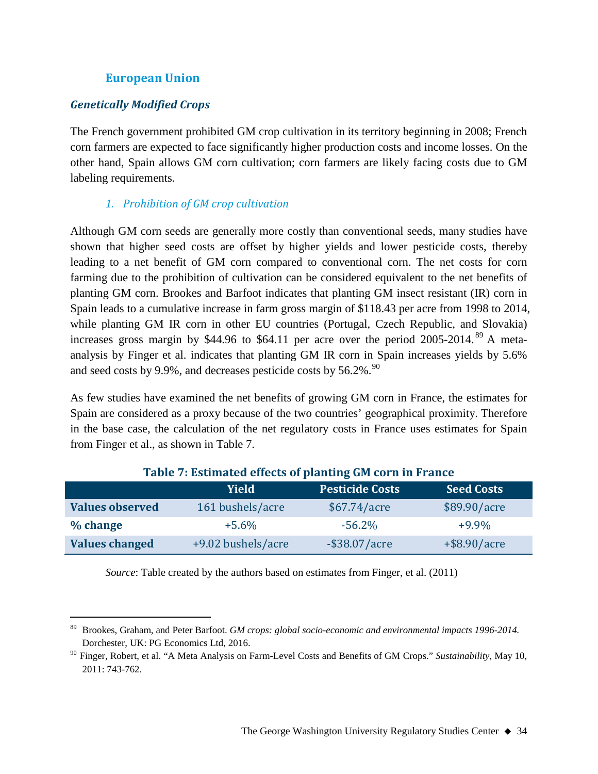#### **European Union**

#### *Genetically Modified Crops*

The French government prohibited GM crop cultivation in its territory beginning in 2008; French corn farmers are expected to face significantly higher production costs and income losses. On the other hand, Spain allows GM corn cultivation; corn farmers are likely facing costs due to GM labeling requirements.

#### *1. Prohibition of GM crop cultivation*

Although GM corn seeds are generally more costly than conventional seeds, many studies have shown that higher seed costs are offset by higher yields and lower pesticide costs, thereby leading to a net benefit of GM corn compared to conventional corn. The net costs for corn farming due to the prohibition of cultivation can be considered equivalent to the net benefits of planting GM corn. Brookes and Barfoot indicates that planting GM insect resistant (IR) corn in Spain leads to a cumulative increase in farm gross margin of \$118.43 per acre from 1998 to 2014, while planting GM IR corn in other EU countries (Portugal, Czech Republic, and Slovakia) increases gross margin by \$44.96 to \$64.11 per acre over the period 2005-2014.<sup>[89](#page-33-0)</sup> A metaanalysis by Finger et al. indicates that planting GM IR corn in Spain increases yields by 5.6% and seed costs by 9.9%, and decreases pesticide costs by  $56.2\%$ .  $^{90}$  $^{90}$  $^{90}$ 

As few studies have examined the net benefits of growing GM corn in France, the estimates for Spain are considered as a proxy because of the two countries' geographical proximity. Therefore in the base case, the calculation of the net regulatory costs in France uses estimates for Spain from Finger et al., as shown in Table 7.

|                        | <b>Yield</b>       | <b>Pesticide Costs</b> | <b>Seed Costs</b> |  |  |
|------------------------|--------------------|------------------------|-------------------|--|--|
| <b>Values observed</b> | 161 bushels/acre   | \$67.74/acre           | \$89.90/acre      |  |  |
| % change               | $+5.6\%$           | $-56.2\%$              | $+9.9\%$          |  |  |
| <b>Values changed</b>  | +9.02 bushels/acre | $-$ \$38.07/acre       | $+$ \$8.90/acre   |  |  |

#### **Table 7: Estimated effects of planting GM corn in France**

*Source*: Table created by the authors based on estimates from Finger, et al. (2011)

<span id="page-33-0"></span> <sup>89</sup> Brookes, Graham, and Peter Barfoot. *GM crops: global socio-economic and environmental impacts 1996-2014.* Dorchester, UK: PG Economics Ltd, 2016.

<span id="page-33-1"></span><sup>90</sup> Finger, Robert, et al. "A Meta Analysis on Farm-Level Costs and Benefits of GM Crops." *Sustainability*, May 10, 2011: 743-762.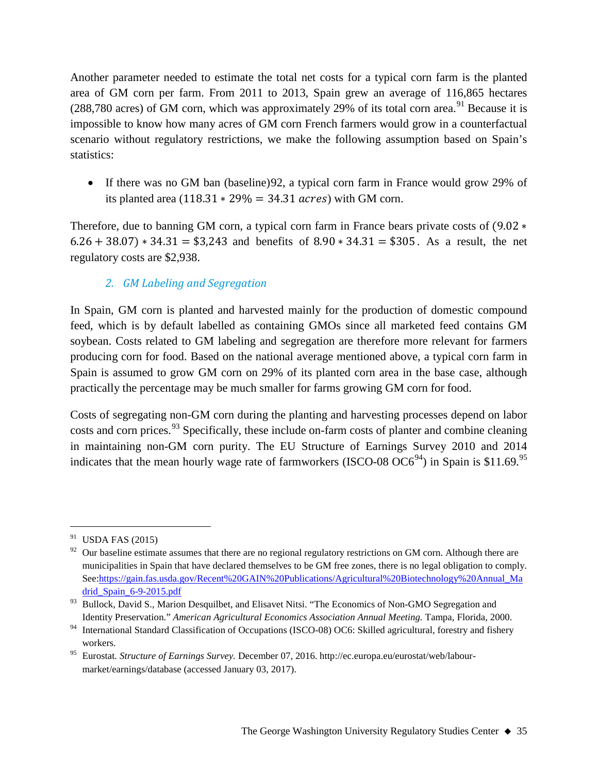Another parameter needed to estimate the total net costs for a typical corn farm is the planted area of GM corn per farm. From 2011 to 2013, Spain grew an average of 116,865 hectares (288,780 acres) of GM corn, which was approximately 29% of its total corn area.<sup>[91](#page-34-0)</sup> Because it is impossible to know how many acres of GM corn French farmers would grow in a counterfactual scenario without regulatory restrictions, we make the following assumption based on Spain's statistics:

• If there was no GM ban (baseline) [92](#page-34-1), a typical corn farm in France would grow 29% of its planted area  $(118.31 * 29\% = 34.31 \text{ acres})$  with GM corn.

Therefore, due to banning GM corn, a typical corn farm in France bears private costs of (9.02 ∗  $6.26 + 38.07$  \*  $34.31 = $3,243$  and benefits of  $8.90 \times 34.31 = $305$ . As a result, the net regulatory costs are \$2,938.

## *2. GM Labeling and Segregation*

In Spain, GM corn is planted and harvested mainly for the production of domestic compound feed, which is by default labelled as containing GMOs since all marketed feed contains GM soybean. Costs related to GM labeling and segregation are therefore more relevant for farmers producing corn for food. Based on the national average mentioned above, a typical corn farm in Spain is assumed to grow GM corn on 29% of its planted corn area in the base case, although practically the percentage may be much smaller for farms growing GM corn for food.

Costs of segregating non-GM corn during the planting and harvesting processes depend on labor costs and corn prices.<sup>[93](#page-34-2)</sup> Specifically, these include on-farm costs of planter and combine cleaning in maintaining non-GM corn purity. The EU Structure of Earnings Survey 2010 and 2014 indicates that the mean hourly wage rate of farmworkers (ISCO-08  $OC6^{94}$ ) in Spain is \$11.69.<sup>[95](#page-34-4)</sup>

<span id="page-34-0"></span> $91$  USDA FAS (2015)

<span id="page-34-1"></span> $92$  Our baseline estimate assumes that there are no regional regulatory restrictions on GM corn. Although there are municipalities in Spain that have declared themselves to be GM free zones, there is no legal obligation to comply. See[:https://gain.fas.usda.gov/Recent%20GAIN%20Publications/Agricultural%20Biotechnology%20Annual\\_Ma](https://gain.fas.usda.gov/Recent%20GAIN%20Publications/Agricultural%20Biotechnology%20Annual_Madrid_Spain_6-9-2015.pdf) [drid\\_Spain\\_6-9-2015.pdf](https://gain.fas.usda.gov/Recent%20GAIN%20Publications/Agricultural%20Biotechnology%20Annual_Madrid_Spain_6-9-2015.pdf)

<span id="page-34-2"></span><sup>&</sup>lt;sup>93</sup> Bullock, David S., Marion Desquilbet, and Elisavet Nitsi. "The Economics of Non-GMO Segregation and Identity Preservation." *American Agricultural Economics Association Annual Meeting.* Tampa, Florida, 2000.

<span id="page-34-3"></span><sup>&</sup>lt;sup>94</sup> International Standard Classification of Occupations (ISCO-08) OC6: Skilled agricultural, forestry and fishery workers.

<span id="page-34-4"></span><sup>95</sup> Eurostat. *Structure of Earnings Survey.* December 07, 2016. http://ec.europa.eu/eurostat/web/labourmarket/earnings/database (accessed January 03, 2017).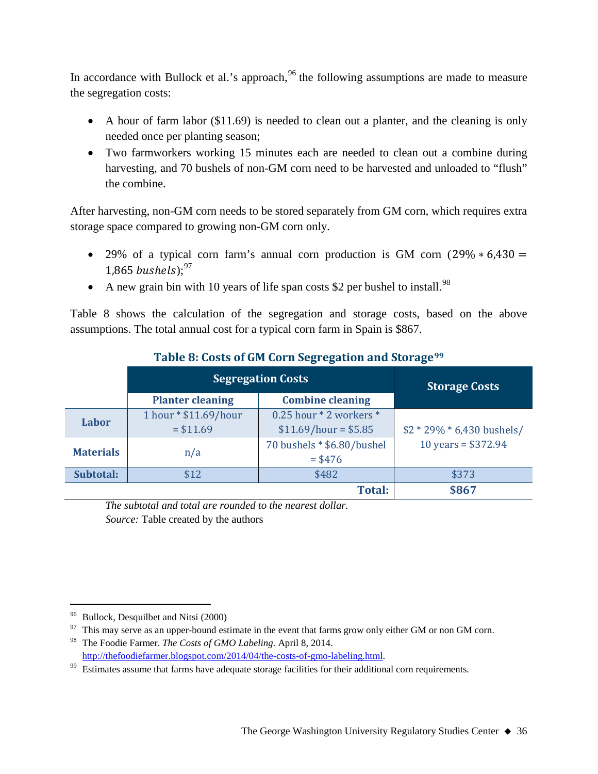In accordance with Bullock et al.'s approach, $96$  the following assumptions are made to measure the segregation costs:

- A hour of farm labor (\$11.69) is needed to clean out a planter, and the cleaning is only needed once per planting season;
- Two farmworkers working 15 minutes each are needed to clean out a combine during harvesting, and 70 bushels of non-GM corn need to be harvested and unloaded to "flush" the combine.

After harvesting, non-GM corn needs to be stored separately from GM corn, which requires extra storage space compared to growing non-GM corn only.

- 29% of a typical corn farm's annual corn production is GM corn (29%  $* 6.430 =$ 1.865  $bushels$ ;<sup>[97](#page-35-1)</sup>
- A new grain bin with 10 years of life span costs \$2 per bushel to install.<sup>[98](#page-35-2)</sup>

Table 8 shows the calculation of the segregation and storage costs, based on the above assumptions. The total annual cost for a typical corn farm in Spain is \$867.

|                                                    | <b>Segregation Costs</b>            | <b>Storage Costs</b>                             |                              |
|----------------------------------------------------|-------------------------------------|--------------------------------------------------|------------------------------|
| <b>Combine cleaning</b><br><b>Planter cleaning</b> |                                     |                                                  |                              |
| Labor                                              | 1 hour * \$11.69/hour<br>$= $11.69$ | 0.25 hour * 2 workers *<br>$$11.69/hour = $5.85$ | $$2 * 29\% * 6,430$ bushels/ |
| <b>Materials</b><br>n/a                            |                                     | 70 bushels * \$6.80/bushel<br>$= $476$           | 10 years = $$372.94$         |
| Subtotal:                                          | \$12                                | \$482                                            | \$373                        |
|                                                    |                                     | <b>Total:</b>                                    | \$867                        |

## **Table 8: Costs of GM Corn Segregation and Storage[99](#page-35-3)**

*The subtotal and total are rounded to the nearest dollar. Source:* Table created by the authors

<span id="page-35-0"></span><sup>&</sup>lt;sup>96</sup> Bullock, Desquilbet and Nitsi (2000)

<span id="page-35-1"></span><sup>&</sup>lt;sup>97</sup> This may serve as an upper-bound estimate in the event that farms grow only either GM or non GM corn.

<span id="page-35-2"></span><sup>98</sup> The Foodie Farmer. *The Costs of GMO Labeling.* April 8, 2014.

<span id="page-35-3"></span>[http://thefoodiefarmer.blogspot.com/2014/04/the-costs-of-gmo-labeling.html.](http://thefoodiefarmer.blogspot.com/2014/04/the-costs-of-gmo-labeling.html)<br><sup>99</sup> Estimates assume that farms have adequate storage facilities for their additional corn requirements.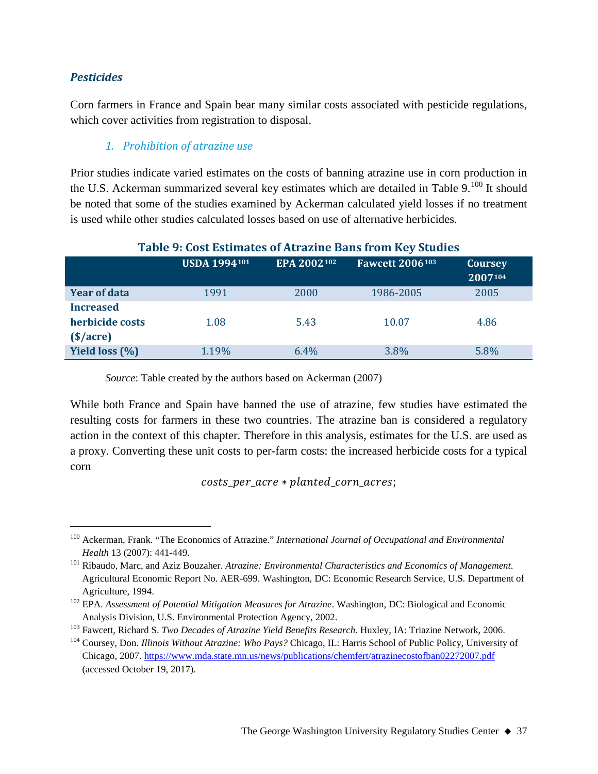#### *Pesticides*

Corn farmers in France and Spain bear many similar costs associated with pesticide regulations, which cover activities from registration to disposal.

#### *1. Prohibition of atrazine use*

Prior studies indicate varied estimates on the costs of banning atrazine use in corn production in the U.S. Ackerman summarized several key estimates which are detailed in Table  $9.^{100}$  $9.^{100}$  $9.^{100}$  It should be noted that some of the studies examined by Ackerman calculated yield losses if no treatment is used while other studies calculated losses based on use of alternative herbicides.

| Table 9: Cost Estimates of Atrazine Bans from Key Studies |                     |             |                        |                           |  |  |
|-----------------------------------------------------------|---------------------|-------------|------------------------|---------------------------|--|--|
|                                                           | <b>USDA 1994101</b> | EPA 2002102 | <b>Fawcett 2006103</b> | <b>Coursey</b><br>2007104 |  |  |
| <b>Year of data</b>                                       | 1991                | 2000        | 1986-2005              | 2005                      |  |  |
| <b>Increased</b>                                          |                     |             |                        |                           |  |  |
| herbicide costs                                           | 1.08                | 5.43        | 10.07                  | 4.86                      |  |  |
| $(§/\n  acre)$                                            |                     |             |                        |                           |  |  |
| Yield loss (%)                                            | 1.19%               | 6.4%        | 3.8%                   | 5.8%                      |  |  |

#### **Table 9: Cost Estimates of Atrazine Bans from Key Studies**

*Source*: Table created by the authors based on Ackerman (2007)

While both France and Spain have banned the use of atrazine, few studies have estimated the resulting costs for farmers in these two countries. The atrazine ban is considered a regulatory action in the context of this chapter. Therefore in this analysis, estimates for the U.S. are used as a proxy. Converting these unit costs to per-farm costs: the increased herbicide costs for a typical corn

 $costs$  per acre  $*$  planted corn acres;

<span id="page-36-0"></span> <sup>100</sup> Ackerman, Frank. "The Economics of Atrazine." *International Journal of Occupational and Environmental Health* 13 (2007): 441-449.

<span id="page-36-1"></span><sup>101</sup> Ribaudo, Marc, and Aziz Bouzaher. *Atrazine: Environmental Characteristics and Economics of Management*. Agricultural Economic Report No. AER-699. Washington, DC: Economic Research Service, U.S. Department of Agriculture, 1994.

<span id="page-36-2"></span><sup>&</sup>lt;sup>102</sup> EPA. *Assessment of Potential Mitigation Measures for Atrazine*. Washington, DC: Biological and Economic Analysis Division, U.S. Environmental Protection Agency, 2002.

<span id="page-36-3"></span><sup>103</sup> Fawcett, Richard S. *Two Decades of Atrazine Yield Benefits Research.* Huxley, IA: Triazine Network, 2006.

<span id="page-36-4"></span><sup>104</sup> Coursey, Don. *Illinois Without Atrazine: Who Pays?* Chicago, IL: Harris School of Public Policy, University of Chicago, 2007[. https://www.mda.state.mn.us/news/publications/chemfert/atrazinecostofban02272007.pdf](https://www.mda.state.mn.us/news/publications/chemfert/atrazinecostofban02272007.pdf) (accessed October 19, 2017).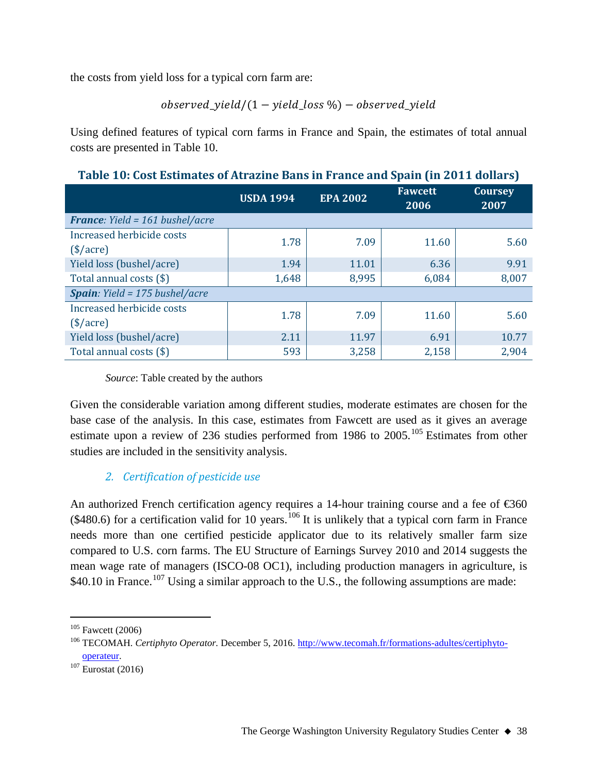the costs from yield loss for a typical corn farm are:

observed yield/ $(1 -$  yield loss %) – observed yield

Using defined features of typical corn farms in France and Spain, the estimates of total annual costs are presented in Table 10.

| Table To, Gost Estimates of Atrialine Dans in France and Spain (in 2011 domais) |                  |                 |                        |                        |  |
|---------------------------------------------------------------------------------|------------------|-----------------|------------------------|------------------------|--|
|                                                                                 | <b>USDA 1994</b> | <b>EPA 2002</b> | <b>Fawcett</b><br>2006 | <b>Coursey</b><br>2007 |  |
| <b>France:</b> Yield = 161 bushel/acre                                          |                  |                 |                        |                        |  |
| Increased herbicide costs<br>$(\$/acre)$                                        | 1.78             | 7.09            | 11.60                  | 5.60                   |  |
| Yield loss (bushel/acre)                                                        | 1.94             | 11.01           | 6.36                   | 9.91                   |  |
| Total annual costs (\$)                                                         | 1,648            | 8,995           | 6,084                  | 8,007                  |  |
| <b>Spain</b> : Yield = $175$ bushel/acre                                        |                  |                 |                        |                        |  |
| Increased herbicide costs<br>$(\$/acre)$                                        | 1.78             | 7.09            | 11.60                  | 5.60                   |  |
| Yield loss (bushel/acre)                                                        | 2.11             | 11.97           | 6.91                   | 10.77                  |  |
| Total annual costs (\$)                                                         | 593              | 3,258           | 2,158                  | 2,904                  |  |

**Table 10: Cost Estimates of Atrazine Bans in France and Spain (in 2011 dollars)**

*Source*: Table created by the authors

Given the considerable variation among different studies, moderate estimates are chosen for the base case of the analysis. In this case, estimates from Fawcett are used as it gives an average estimate upon a review of 236 studies performed from 1986 to 2005.<sup>[105](#page-37-0)</sup> Estimates from other studies are included in the sensitivity analysis.

## *2. Certification of pesticide use*

An authorized French certification agency requires a 14-hour training course and a fee of  $\text{\textsterling}60$  $($480.6)$  for a certification valid for 10 years.<sup>[106](#page-37-1)</sup> It is unlikely that a typical corn farm in France needs more than one certified pesticide applicator due to its relatively smaller farm size compared to U.S. corn farms. The EU Structure of Earnings Survey 2010 and 2014 suggests the mean wage rate of managers (ISCO-08 OC1), including production managers in agriculture, is \$40.10 in France.<sup>[107](#page-37-2)</sup> Using a similar approach to the U.S., the following assumptions are made:

<span id="page-37-0"></span> $105$  Fawcett (2006)

<span id="page-37-1"></span><sup>106</sup> TECOMAH. *Certiphyto Operator.* December 5, 2016. [http://www.tecomah.fr/formations-adultes/certiphyto](http://www.tecomah.fr/formations-adultes/certiphyto-operateur)[operateur.](http://www.tecomah.fr/formations-adultes/certiphyto-operateur)

<span id="page-37-2"></span> $\overline{107}$  Eurostat (2016)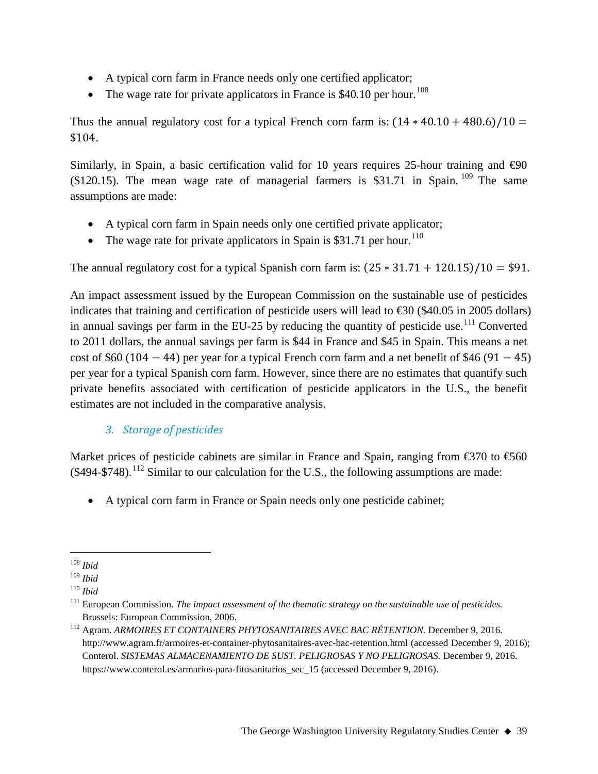- A typical corn farm in France needs only one certified applicator;
- The wage rate for private applicators in France is \$40.10 per hour.<sup>[108](#page-38-0)</sup>

Thus the annual regulatory cost for a typical French corn farm is:  $(14 * 40.10 + 480.6)/10 =$ \$104.

Similarly, in Spain, a basic certification valid for 10 years requires 25-hour training and  $\Theta$ 0  $($120.15)$ . The mean wage rate of managerial farmers is \$31.71 in Spain. <sup>[109](#page-38-1)</sup> The same assumptions are made:

- A typical corn farm in Spain needs only one certified private applicator;
- The wage rate for private applicators in Spain is \$31.71 per hour.<sup>[110](#page-38-2)</sup>

The annual regulatory cost for a typical Spanish corn farm is:  $(25 * 31.71 + 120.15)/10 = $91$ .

An impact assessment issued by the European Commission on the sustainable use of pesticides indicates that training and certification of pesticide users will lead to  $\text{\textsterling}30$  (\$40.05 in 2005 dollars) in annual savings per farm in the EU-25 by reducing the quantity of pesticide use.<sup>[111](#page-38-3)</sup> Converted to 2011 dollars, the annual savings per farm is \$44 in France and \$45 in Spain. This means a net cost of \$60 (104  $-$  44) per year for a typical French corn farm and a net benefit of \$46 (91  $-$  45) per year for a typical Spanish corn farm. However, since there are no estimates that quantify such private benefits associated with certification of pesticide applicators in the U.S., the benefit estimates are not included in the comparative analysis.

## *3. Storage of pesticides*

Market prices of pesticide cabinets are similar in France and Spain, ranging from  $\epsilon$ 370 to  $\epsilon$ 560  $(494-5748).$ <sup>[112](#page-38-4)</sup> Similar to our calculation for the U.S., the following assumptions are made:

• A typical corn farm in France or Spain needs only one pesticide cabinet;

<span id="page-38-0"></span> <sup>108</sup> *Ibid*

<span id="page-38-1"></span><sup>109</sup> *Ibid*

<span id="page-38-2"></span><sup>110</sup> *Ibid*

<span id="page-38-3"></span><sup>111</sup> European Commission. *The impact assessment of the thematic strategy on the sustainable use of pesticides.* Brussels: European Commission, 2006.

<span id="page-38-4"></span><sup>112</sup> Agram. *ARMOIRES ET CONTAINERS PHYTOSANITAIRES AVEC BAC RÉTENTION.* December 9, 2016. http://www.agram.fr/armoires-et-container-phytosanitaires-avec-bac-retention.html (accessed December 9, 2016); Conterol. *SISTEMAS ALMACENAMIENTO DE SUST. PELIGROSAS Y NO PELIGROSAS.* December 9, 2016. https://www.conterol.es/armarios-para-fitosanitarios sec 15 (accessed December 9, 2016).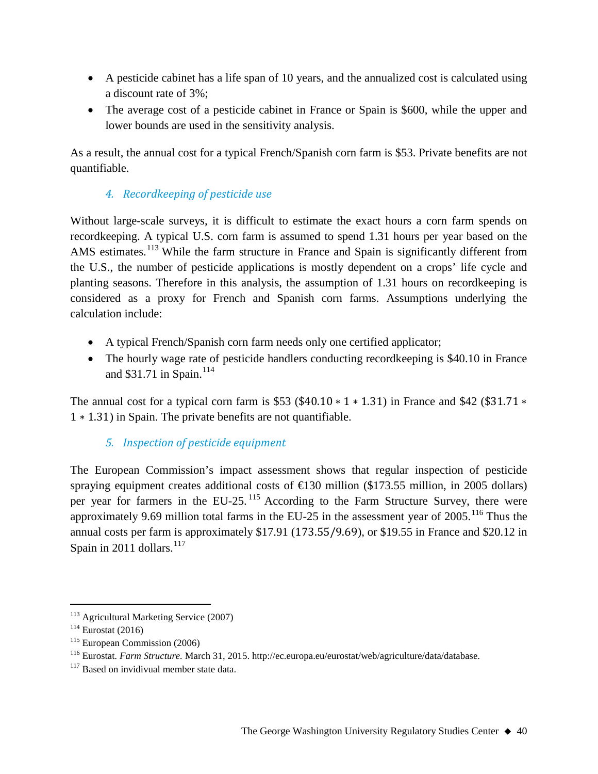- A pesticide cabinet has a life span of 10 years, and the annualized cost is calculated using a discount rate of 3%;
- The average cost of a pesticide cabinet in France or Spain is \$600, while the upper and lower bounds are used in the sensitivity analysis.

As a result, the annual cost for a typical French/Spanish corn farm is \$53. Private benefits are not quantifiable.

## *4. Recordkeeping of pesticide use*

Without large-scale surveys, it is difficult to estimate the exact hours a corn farm spends on recordkeeping. A typical U.S. corn farm is assumed to spend 1.31 hours per year based on the AMS estimates.<sup>[113](#page-39-0)</sup> While the farm structure in France and Spain is significantly different from the U.S., the number of pesticide applications is mostly dependent on a crops' life cycle and planting seasons. Therefore in this analysis, the assumption of 1.31 hours on recordkeeping is considered as a proxy for French and Spanish corn farms. Assumptions underlying the calculation include:

- A typical French/Spanish corn farm needs only one certified applicator;
- The hourly wage rate of pesticide handlers conducting record keeping is \$40.10 in France and \$31.71 in Spain.<sup>[114](#page-39-1)</sup>

The annual cost for a typical corn farm is \$53 (\$40.10  $*$  1  $*$  1.31) in France and \$42 (\$31.71  $*$ 1 ∗ 1.31) in Spain. The private benefits are not quantifiable.

## *5. Inspection of pesticide equipment*

The European Commission's impact assessment shows that regular inspection of pesticide spraying equipment creates additional costs of  $\bigoplus$  30 million (\$173.55 million, in 2005 dollars) per year for farmers in the EU-25.<sup>[115](#page-39-2)</sup> According to the Farm Structure Survey, there were approximately 9.69 million total farms in the EU-25 in the assessment year of  $2005$ .<sup>[116](#page-39-3)</sup> Thus the annual costs per farm is approximately \$17.91 (173.55/9.69), or \$19.55 in France and \$20.12 in Spain in 2011 dollars. $117$ 

<span id="page-39-0"></span><sup>&</sup>lt;sup>113</sup> Agricultural Marketing Service (2007)

<span id="page-39-1"></span> $114$  Eurostat (2016)

<span id="page-39-2"></span><sup>115</sup> European Commission (2006)

<span id="page-39-3"></span><sup>116</sup> Eurostat. *Farm Structure.* March 31, 2015. http://ec.europa.eu/eurostat/web/agriculture/data/database.

<span id="page-39-4"></span><sup>&</sup>lt;sup>117</sup> Based on invidivual member state data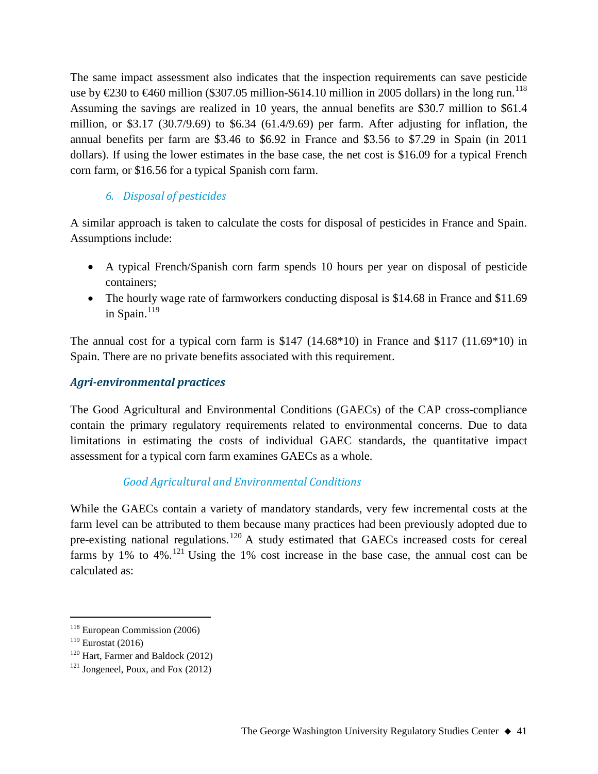The same impact assessment also indicates that the inspection requirements can save pesticide use by  $\text{\textsterling}30$  to  $\text{\textsterling}460$  million (\$307.05 million-\$614.10 million in 2005 dollars) in the long run.<sup>[118](#page-40-0)</sup> Assuming the savings are realized in 10 years, the annual benefits are \$30.7 million to \$61.4 million, or \$3.17 (30.7/9.69) to \$6.34 (61.4/9.69) per farm. After adjusting for inflation, the annual benefits per farm are \$3.46 to \$6.92 in France and \$3.56 to \$7.29 in Spain (in 2011 dollars). If using the lower estimates in the base case, the net cost is \$16.09 for a typical French corn farm, or \$16.56 for a typical Spanish corn farm.

#### *6. Disposal of pesticides*

A similar approach is taken to calculate the costs for disposal of pesticides in France and Spain. Assumptions include:

- A typical French/Spanish corn farm spends 10 hours per year on disposal of pesticide containers;
- The hourly wage rate of farmworkers conducting disposal is \$14.68 in France and \$11.69 in Spain. $119$

The annual cost for a typical corn farm is \$147 (14.68\*10) in France and \$117 (11.69\*10) in Spain. There are no private benefits associated with this requirement.

#### *Agri-environmental practices*

The Good Agricultural and Environmental Conditions (GAECs) of the CAP cross-compliance contain the primary regulatory requirements related to environmental concerns. Due to data limitations in estimating the costs of individual GAEC standards, the quantitative impact assessment for a typical corn farm examines GAECs as a whole.

## *Good Agricultural and Environmental Conditions*

While the GAECs contain a variety of mandatory standards, very few incremental costs at the farm level can be attributed to them because many practices had been previously adopted due to pre-existing national regulations.<sup>[120](#page-40-2)</sup> A study estimated that GAECs increased costs for cereal farms by 1% to 4%.<sup>[121](#page-40-3)</sup> Using the 1% cost increase in the base case, the annual cost can be calculated as:

<span id="page-40-0"></span> <sup>118</sup> European Commission (2006)

<span id="page-40-1"></span> $119$  Eurostat (2016)

<span id="page-40-2"></span><sup>120</sup> Hart, Farmer and Baldock (2012)

<span id="page-40-3"></span> $121$  Jongeneel, Poux, and Fox (2012)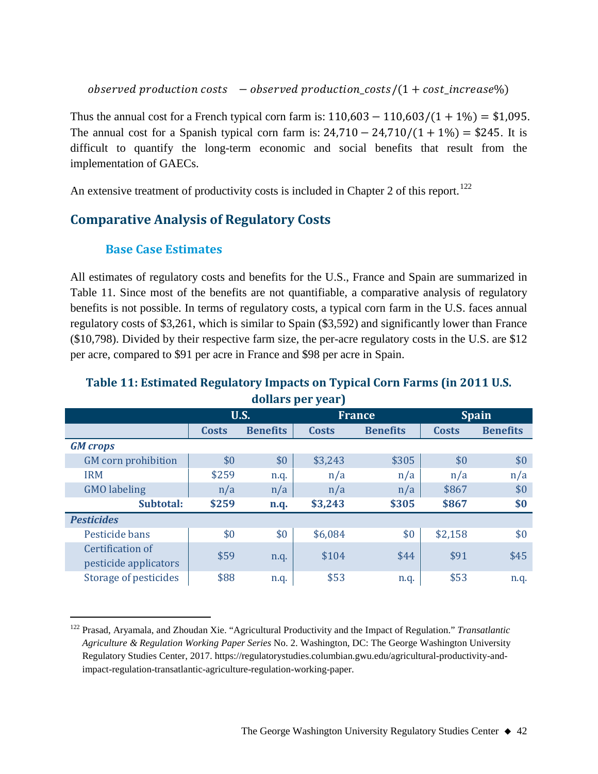$observed\ production\ costs - observed\ production\ costs/(1+cost\_increase\%)$ 

Thus the annual cost for a French typical corn farm is:  $110,603 - 110,603/(1 + 1\%) = $1,095$ . The annual cost for a Spanish typical corn farm is:  $24,710 - 24,710/(1 + 1\%) = $245$ . It is difficult to quantify the long-term economic and social benefits that result from the implementation of GAECs.

An extensive treatment of productivity costs is included in Chapter 2 of this report.<sup>[122](#page-41-0)</sup>

## **Comparative Analysis of Regulatory Costs**

## **Base Case Estimates**

All estimates of regulatory costs and benefits for the U.S., France and Spain are summarized in Table 11. Since most of the benefits are not quantifiable, a comparative analysis of regulatory benefits is not possible. In terms of regulatory costs, a typical corn farm in the U.S. faces annual regulatory costs of \$3,261, which is similar to Spain (\$3,592) and significantly lower than France (\$10,798). Divided by their respective farm size, the per-acre regulatory costs in the U.S. are \$12 per acre, compared to \$91 per acre in France and \$98 per acre in Spain.

## **Table 11: Estimated Regulatory Impacts on Typical Corn Farms (in 2011 U.S. dollars per year)**

| <b>Spain</b><br><b>Benefits</b> |
|---------------------------------|
|                                 |
|                                 |
|                                 |
| \$0                             |
| n/a                             |
| \$0                             |
| \$0                             |
|                                 |
| \$0                             |
| \$45                            |
|                                 |
| n.q.                            |
|                                 |

<span id="page-41-0"></span> <sup>122</sup> Prasad, Aryamala, and Zhoudan Xie. "Agricultural Productivity and the Impact of Regulation." *Transatlantic Agriculture & Regulation Working Paper Series* No. 2. Washington, DC: The George Washington University Regulatory Studies Center, 2017. https://regulatorystudies.columbian.gwu.edu/agricultural-productivity-andimpact-regulation-transatlantic-agriculture-regulation-working-paper.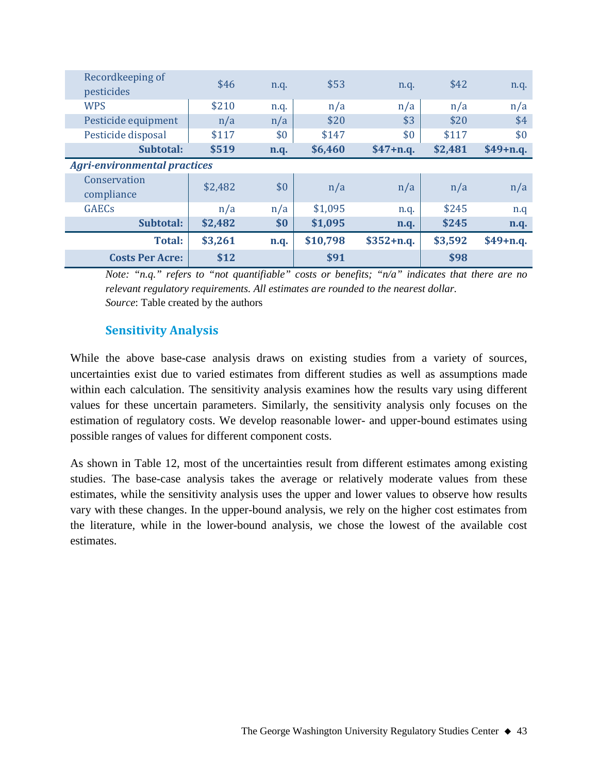| Recordkeeping of<br>pesticides      | \$46    | n.q. | \$53     | n.q.        | \$42    | n.q.       |
|-------------------------------------|---------|------|----------|-------------|---------|------------|
| <b>WPS</b>                          | \$210   | n.q. | n/a      | n/a         | n/a     | n/a        |
| Pesticide equipment                 | n/a     | n/a  | \$20     | \$3         | \$20    | \$4        |
| Pesticide disposal                  | \$117   | \$0  | \$147    | \$0         | \$117   | \$0        |
| Subtotal:                           | \$519   | n.q. | \$6,460  | $$47+n.q.$  | \$2,481 | $$49+n.q.$ |
| <b>Agri-environmental practices</b> |         |      |          |             |         |            |
| Conservation<br>compliance          | \$2,482 | \$0  | n/a      | n/a         | n/a     | n/a        |
| <b>GAEC<sub>s</sub></b>             | n/a     | n/a  | \$1,095  | n.q.        | \$245   | n.q        |
| Subtotal:                           | \$2,482 | \$0  | \$1,095  | n.q.        | \$245   | n.q.       |
| Total:                              | \$3,261 | n.q. | \$10,798 | $$352+n.q.$ | \$3,592 | $$49+n.q.$ |
| <b>Costs Per Acre:</b>              | \$12    |      | \$91     |             | \$98    |            |

*Note: "n.q." refers to "not quantifiable" costs or benefits; "n/a" indicates that there are no relevant regulatory requirements. All estimates are rounded to the nearest dollar. Source*: Table created by the authors

## **Sensitivity Analysis**

While the above base-case analysis draws on existing studies from a variety of sources, uncertainties exist due to varied estimates from different studies as well as assumptions made within each calculation. The sensitivity analysis examines how the results vary using different values for these uncertain parameters. Similarly, the sensitivity analysis only focuses on the estimation of regulatory costs. We develop reasonable lower- and upper-bound estimates using possible ranges of values for different component costs.

As shown in Table 12, most of the uncertainties result from different estimates among existing studies. The base-case analysis takes the average or relatively moderate values from these estimates, while the sensitivity analysis uses the upper and lower values to observe how results vary with these changes. In the upper-bound analysis, we rely on the higher cost estimates from the literature, while in the lower-bound analysis, we chose the lowest of the available cost estimates.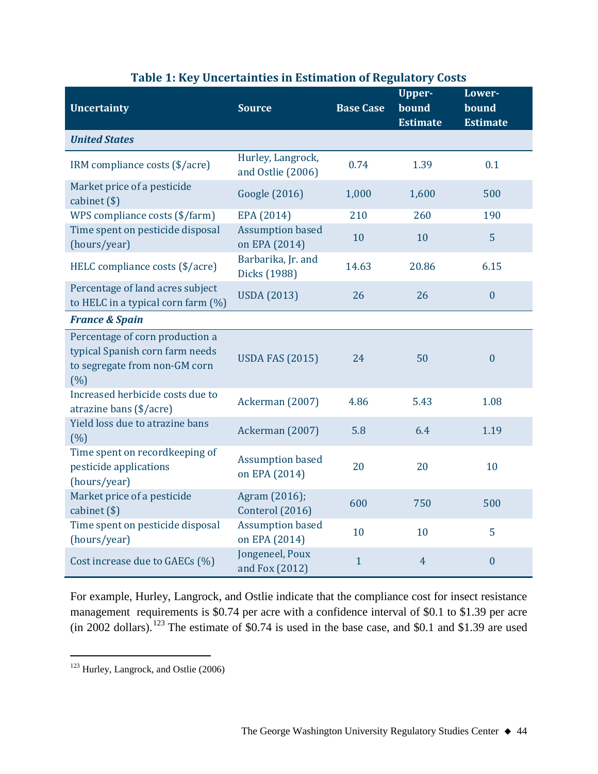| <b>Uncertainty</b>                                                                                         | <b>Source</b>                            | <b>Base Case</b> | <b>Upper-</b><br>bound<br><b>Estimate</b> | Lower-<br>bound<br><b>Estimate</b> |
|------------------------------------------------------------------------------------------------------------|------------------------------------------|------------------|-------------------------------------------|------------------------------------|
| <b>United States</b>                                                                                       |                                          |                  |                                           |                                    |
| IRM compliance costs (\$/acre)                                                                             | Hurley, Langrock,<br>and Ostlie (2006)   | 0.74             | 1.39                                      | 0.1                                |
| Market price of a pesticide<br>cabinet (\$)                                                                | Google (2016)                            | 1,000            | 1,600                                     | 500                                |
| WPS compliance costs (\$/farm)                                                                             | EPA (2014)                               | 210              | 260                                       | 190                                |
| Time spent on pesticide disposal<br>(hours/year)                                                           | <b>Assumption based</b><br>on EPA (2014) | 10               | 10                                        | 5                                  |
| HELC compliance costs (\$/acre)                                                                            | Barbarika, Jr. and<br>Dicks (1988)       | 14.63            | 20.86                                     | 6.15                               |
| Percentage of land acres subject<br>to HELC in a typical corn farm (%)                                     | <b>USDA</b> (2013)                       | 26               | 26                                        | $\boldsymbol{0}$                   |
| <b>France &amp; Spain</b>                                                                                  |                                          |                  |                                           |                                    |
| Percentage of corn production a<br>typical Spanish corn farm needs<br>to segregate from non-GM corn<br>(%) | <b>USDA FAS (2015)</b>                   | 24               | 50                                        | $\boldsymbol{0}$                   |
| Increased herbicide costs due to<br>atrazine bans (\$/acre)                                                | Ackerman (2007)                          | 4.86             | 5.43                                      | 1.08                               |
| Yield loss due to atrazine bans<br>(% )                                                                    | Ackerman (2007)                          | 5.8              | 6.4                                       | 1.19                               |
| Time spent on recordkeeping of<br>pesticide applications<br>(hours/year)                                   | <b>Assumption based</b><br>on EPA (2014) | 20               | 20                                        | 10                                 |
| Market price of a pesticide<br>cabinet (\$)                                                                | Agram (2016);<br>Conterol (2016)         | 600              | 750                                       | 500                                |
| Time spent on pesticide disposal<br>(hours/year)                                                           | <b>Assumption based</b><br>on EPA (2014) | 10               | 10                                        | 5                                  |
| Cost increase due to GAECs (%)                                                                             | Jongeneel, Poux<br>and Fox (2012)        | $\mathbf{1}$     | $\overline{4}$                            | $\boldsymbol{0}$                   |

## **Table 1: Key Uncertainties in Estimation of Regulatory Costs**

For example, Hurley, Langrock, and Ostlie indicate that the compliance cost for insect resistance management requirements is \$0.74 per acre with a confidence interval of \$0.1 to \$1.39 per acre (in 2002 dollars).<sup>[123](#page-43-0)</sup> The estimate of \$0.74 is used in the base case, and \$0.1 and \$1.39 are used

<span id="page-43-0"></span><sup>&</sup>lt;sup>123</sup> Hurley, Langrock, and Ostlie (2006)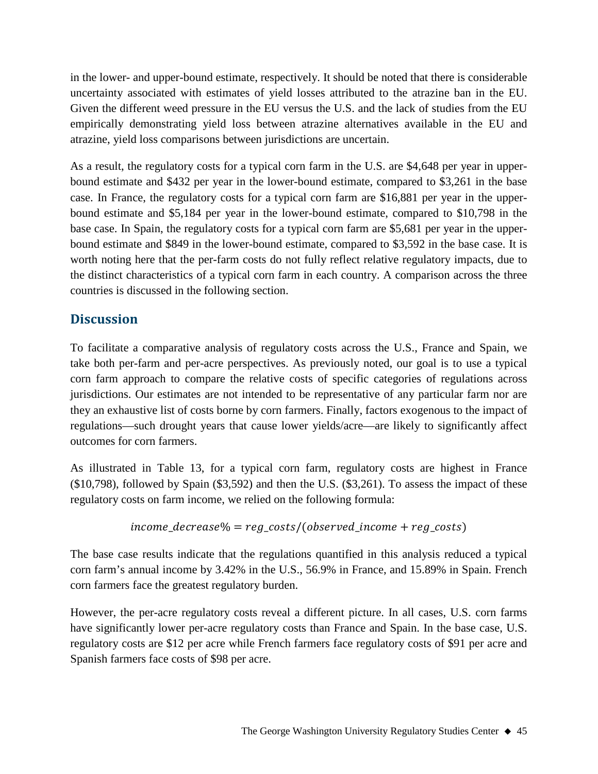in the lower- and upper-bound estimate, respectively. It should be noted that there is considerable uncertainty associated with estimates of yield losses attributed to the atrazine ban in the EU. Given the different weed pressure in the EU versus the U.S. and the lack of studies from the EU empirically demonstrating yield loss between atrazine alternatives available in the EU and atrazine, yield loss comparisons between jurisdictions are uncertain.

As a result, the regulatory costs for a typical corn farm in the U.S. are \$4,648 per year in upperbound estimate and \$432 per year in the lower-bound estimate, compared to \$3,261 in the base case. In France, the regulatory costs for a typical corn farm are \$16,881 per year in the upperbound estimate and \$5,184 per year in the lower-bound estimate, compared to \$10,798 in the base case. In Spain, the regulatory costs for a typical corn farm are \$5,681 per year in the upperbound estimate and \$849 in the lower-bound estimate, compared to \$3,592 in the base case. It is worth noting here that the per-farm costs do not fully reflect relative regulatory impacts, due to the distinct characteristics of a typical corn farm in each country. A comparison across the three countries is discussed in the following section.

## **Discussion**

To facilitate a comparative analysis of regulatory costs across the U.S., France and Spain, we take both per-farm and per-acre perspectives. As previously noted, our goal is to use a typical corn farm approach to compare the relative costs of specific categories of regulations across jurisdictions. Our estimates are not intended to be representative of any particular farm nor are they an exhaustive list of costs borne by corn farmers. Finally, factors exogenous to the impact of regulations—such drought years that cause lower yields/acre—are likely to significantly affect outcomes for corn farmers.

As illustrated in Table 13, for a typical corn farm, regulatory costs are highest in France (\$10,798), followed by Spain (\$3,592) and then the U.S. (\$3,261). To assess the impact of these regulatory costs on farm income, we relied on the following formula:

$$
income\_decrease\% = reg\_costs/(observed\_income + reg\_costs)
$$

The base case results indicate that the regulations quantified in this analysis reduced a typical corn farm's annual income by 3.42% in the U.S., 56.9% in France, and 15.89% in Spain. French corn farmers face the greatest regulatory burden.

However, the per-acre regulatory costs reveal a different picture. In all cases, U.S. corn farms have significantly lower per-acre regulatory costs than France and Spain. In the base case, U.S. regulatory costs are \$12 per acre while French farmers face regulatory costs of \$91 per acre and Spanish farmers face costs of \$98 per acre.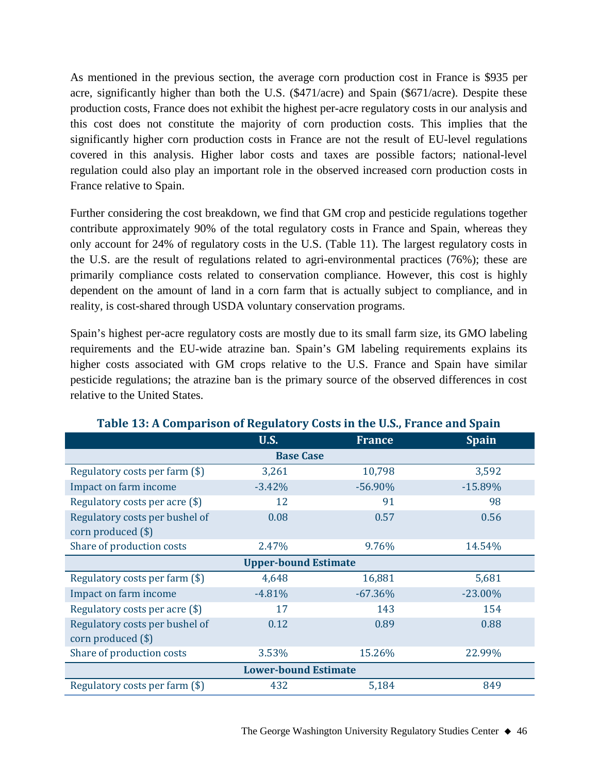As mentioned in the previous section, the average corn production cost in France is \$935 per acre, significantly higher than both the U.S. (\$471/acre) and Spain (\$671/acre). Despite these production costs, France does not exhibit the highest per-acre regulatory costs in our analysis and this cost does not constitute the majority of corn production costs. This implies that the significantly higher corn production costs in France are not the result of EU-level regulations covered in this analysis. Higher labor costs and taxes are possible factors; national-level regulation could also play an important role in the observed increased corn production costs in France relative to Spain.

Further considering the cost breakdown, we find that GM crop and pesticide regulations together contribute approximately 90% of the total regulatory costs in France and Spain, whereas they only account for 24% of regulatory costs in the U.S. (Table 11). The largest regulatory costs in the U.S. are the result of regulations related to agri-environmental practices (76%); these are primarily compliance costs related to conservation compliance. However, this cost is highly dependent on the amount of land in a corn farm that is actually subject to compliance, and in reality, is cost-shared through USDA voluntary conservation programs.

Spain's highest per-acre regulatory costs are mostly due to its small farm size, its GMO labeling requirements and the EU-wide atrazine ban. Spain's GM labeling requirements explains its higher costs associated with GM crops relative to the U.S. France and Spain have similar pesticide regulations; the atrazine ban is the primary source of the observed differences in cost relative to the United States.

|                                | <b>U.S.</b>                 | <b>France</b> | <b>Spain</b> |  |  |  |  |  |
|--------------------------------|-----------------------------|---------------|--------------|--|--|--|--|--|
| <b>Base Case</b>               |                             |               |              |  |  |  |  |  |
| Regulatory costs per farm (\$) | 3,261                       | 10,798        | 3,592        |  |  |  |  |  |
| Impact on farm income          | $-3.42%$                    | $-56.90%$     | $-15.89%$    |  |  |  |  |  |
| Regulatory costs per acre (\$) | 12                          | 91            | 98           |  |  |  |  |  |
| Regulatory costs per bushel of | 0.08                        | 0.57          | 0.56         |  |  |  |  |  |
| corn produced (\$)             |                             |               |              |  |  |  |  |  |
| Share of production costs      | 2.47%                       | 9.76%         | 14.54%       |  |  |  |  |  |
|                                | <b>Upper-bound Estimate</b> |               |              |  |  |  |  |  |
| Regulatory costs per farm (\$) | 4,648                       | 16,881        | 5,681        |  |  |  |  |  |
| Impact on farm income          | $-4.81%$                    | $-67.36%$     | $-23.00\%$   |  |  |  |  |  |
| Regulatory costs per acre (\$) | 17                          | 143           | 154          |  |  |  |  |  |
| Regulatory costs per bushel of | 0.12                        | 0.89          | 0.88         |  |  |  |  |  |
| corn produced (\$)             |                             |               |              |  |  |  |  |  |
| Share of production costs      | 3.53%                       | 15.26%        | 22.99%       |  |  |  |  |  |
|                                | <b>Lower-bound Estimate</b> |               |              |  |  |  |  |  |
| Regulatory costs per farm (\$) | 432                         | 5,184         | 849          |  |  |  |  |  |

#### **Table 13: A Comparison of Regulatory Costs in the U.S., France and Spain**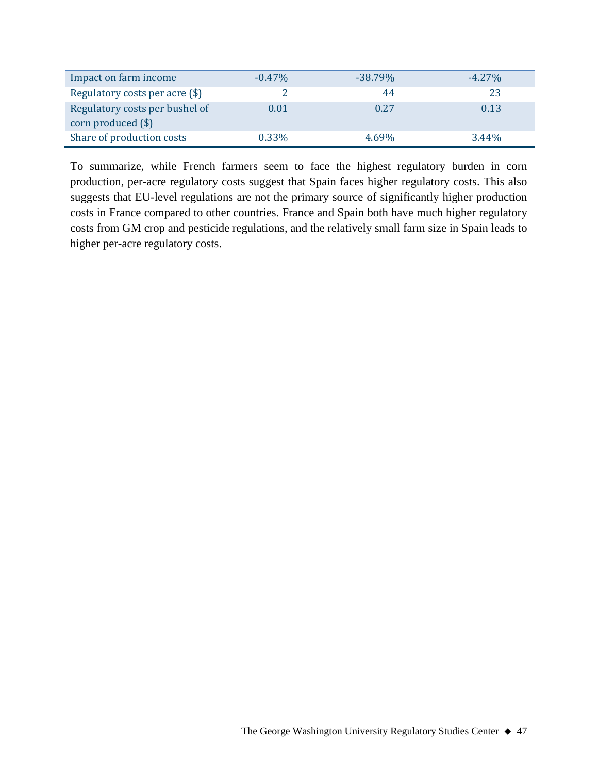| Impact on farm income                                  | $-0.47\%$ | $-38.79\%$ | $-4.27\%$ |
|--------------------------------------------------------|-----------|------------|-----------|
| Regulatory costs per acre (\$)                         |           | 44         | 23        |
| Regulatory costs per bushel of<br>corn produced $(\$)$ | $0.01\,$  | 0.27       | 0.13      |
| Share of production costs                              | $0.33\%$  | 4.69%      | $3.44\%$  |

To summarize, while French farmers seem to face the highest regulatory burden in corn production, per-acre regulatory costs suggest that Spain faces higher regulatory costs. This also suggests that EU-level regulations are not the primary source of significantly higher production costs in France compared to other countries. France and Spain both have much higher regulatory costs from GM crop and pesticide regulations, and the relatively small farm size in Spain leads to higher per-acre regulatory costs.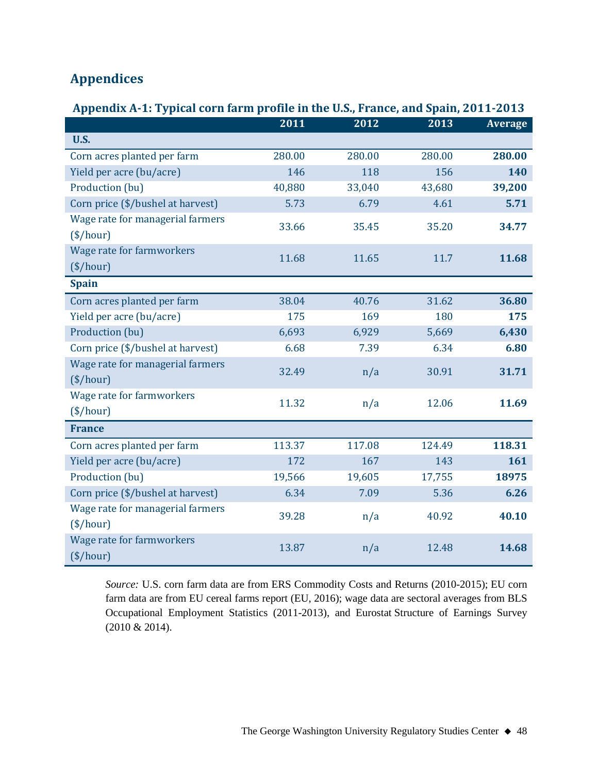## **Appendices**

## **Appendix A-1: Typical corn farm profile in the U.S., France, and Spain, 2011-2013**

|                                   | 2011   | 2012   | 2013   | <b>Average</b> |
|-----------------------------------|--------|--------|--------|----------------|
| <b>U.S.</b>                       |        |        |        |                |
| Corn acres planted per farm       | 280.00 | 280.00 | 280.00 | 280.00         |
| Yield per acre (bu/acre)          | 146    | 118    | 156    | 140            |
| Production (bu)                   | 40,880 | 33,040 | 43,680 | 39,200         |
| Corn price (\$/bushel at harvest) | 5.73   | 6.79   | 4.61   | 5.71           |
| Wage rate for managerial farmers  | 33.66  | 35.45  | 35.20  | 34.77          |
| $(\$/hour)$                       |        |        |        |                |
| Wage rate for farmworkers         | 11.68  | 11.65  | 11.7   | 11.68          |
| $(\$/hour)$                       |        |        |        |                |
| <b>Spain</b>                      |        |        |        |                |
| Corn acres planted per farm       | 38.04  | 40.76  | 31.62  | 36.80          |
| Yield per acre (bu/acre)          | 175    | 169    | 180    | 175            |
| Production (bu)                   | 6,693  | 6,929  | 5,669  | 6,430          |
| Corn price (\$/bushel at harvest) | 6.68   | 7.39   | 6.34   | 6.80           |
| Wage rate for managerial farmers  | 32.49  | n/a    | 30.91  | 31.71          |
| $(\$/hour)$                       |        |        |        |                |
| Wage rate for farmworkers         | 11.32  | n/a    | 12.06  | 11.69          |
| $(\$/hour)$                       |        |        |        |                |
| <b>France</b>                     |        |        |        |                |
| Corn acres planted per farm       | 113.37 | 117.08 | 124.49 | 118.31         |
| Yield per acre (bu/acre)          | 172    | 167    | 143    | 161            |
| Production (bu)                   | 19,566 | 19,605 | 17,755 | 18975          |
| Corn price (\$/bushel at harvest) | 6.34   | 7.09   | 5.36   | 6.26           |
| Wage rate for managerial farmers  | 39.28  | n/a    | 40.92  | 40.10          |
| $(\$/hour)$                       |        |        |        |                |
| <b>Wage rate for farmworkers</b>  | 13.87  | n/a    | 12.48  | 14.68          |
| $(\$/hour)$                       |        |        |        |                |

*Source:* U.S. corn farm data are from ERS Commodity Costs and Returns (2010-2015); EU corn farm data are from EU cereal farms report (EU, 2016); wage data are sectoral averages from BLS Occupational Employment Statistics (2011-2013), and Eurostat Structure of Earnings Survey (2010 & 2014).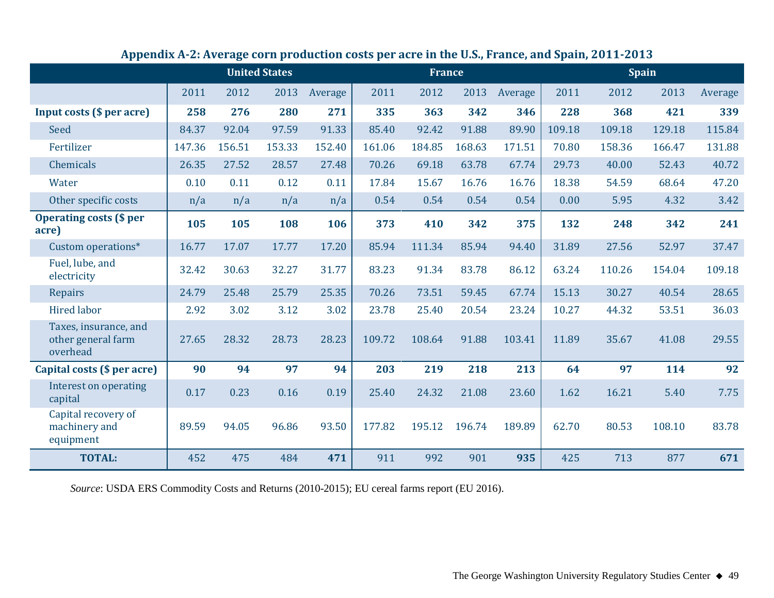|                                                         | <b>United States</b> |        |        | <b>France</b> |        |        | <b>Spain</b> |         |        |        |        |         |
|---------------------------------------------------------|----------------------|--------|--------|---------------|--------|--------|--------------|---------|--------|--------|--------|---------|
|                                                         | 2011                 | 2012   | 2013   | Average       | 2011   | 2012   | 2013         | Average | 2011   | 2012   | 2013   | Average |
| Input costs (\$ per acre)                               | 258                  | 276    | 280    | 271           | 335    | 363    | 342          | 346     | 228    | 368    | 421    | 339     |
| <b>Seed</b>                                             | 84.37                | 92.04  | 97.59  | 91.33         | 85.40  | 92.42  | 91.88        | 89.90   | 109.18 | 109.18 | 129.18 | 115.84  |
| Fertilizer                                              | 147.36               | 156.51 | 153.33 | 152.40        | 161.06 | 184.85 | 168.63       | 171.51  | 70.80  | 158.36 | 166.47 | 131.88  |
| Chemicals                                               | 26.35                | 27.52  | 28.57  | 27.48         | 70.26  | 69.18  | 63.78        | 67.74   | 29.73  | 40.00  | 52.43  | 40.72   |
| Water                                                   | 0.10                 | 0.11   | 0.12   | 0.11          | 17.84  | 15.67  | 16.76        | 16.76   | 18.38  | 54.59  | 68.64  | 47.20   |
| Other specific costs                                    | n/a                  | n/a    | n/a    | n/a           | 0.54   | 0.54   | 0.54         | 0.54    | 0.00   | 5.95   | 4.32   | 3.42    |
| <b>Operating costs (\$ per</b><br>acre)                 | 105                  | 105    | 108    | 106           | 373    | 410    | 342          | 375     | 132    | 248    | 342    | 241     |
| Custom operations*                                      | 16.77                | 17.07  | 17.77  | 17.20         | 85.94  | 111.34 | 85.94        | 94.40   | 31.89  | 27.56  | 52.97  | 37.47   |
| Fuel, lube, and<br>electricity                          | 32.42                | 30.63  | 32.27  | 31.77         | 83.23  | 91.34  | 83.78        | 86.12   | 63.24  | 110.26 | 154.04 | 109.18  |
| <b>Repairs</b>                                          | 24.79                | 25.48  | 25.79  | 25.35         | 70.26  | 73.51  | 59.45        | 67.74   | 15.13  | 30.27  | 40.54  | 28.65   |
| <b>Hired labor</b>                                      | 2.92                 | 3.02   | 3.12   | 3.02          | 23.78  | 25.40  | 20.54        | 23.24   | 10.27  | 44.32  | 53.51  | 36.03   |
| Taxes, insurance, and<br>other general farm<br>overhead | 27.65                | 28.32  | 28.73  | 28.23         | 109.72 | 108.64 | 91.88        | 103.41  | 11.89  | 35.67  | 41.08  | 29.55   |
| Capital costs (\$ per acre)                             | 90                   | 94     | 97     | 94            | 203    | 219    | 218          | 213     | 64     | 97     | 114    | 92      |
| Interest on operating<br>capital                        | 0.17                 | 0.23   | 0.16   | 0.19          | 25.40  | 24.32  | 21.08        | 23.60   | 1.62   | 16.21  | 5.40   | 7.75    |
| Capital recovery of<br>machinery and<br>equipment       | 89.59                | 94.05  | 96.86  | 93.50         | 177.82 | 195.12 | 196.74       | 189.89  | 62.70  | 80.53  | 108.10 | 83.78   |
| <b>TOTAL:</b>                                           | 452                  | 475    | 484    | 471           | 911    | 992    | 901          | 935     | 425    | 713    | 877    | 671     |

## **Appendix A-2: Average corn production costs per acre in the U.S., France, and Spain, 2011-2013**

*Source*: USDA ERS Commodity Costs and Returns (2010-2015); EU cereal farms report (EU 2016).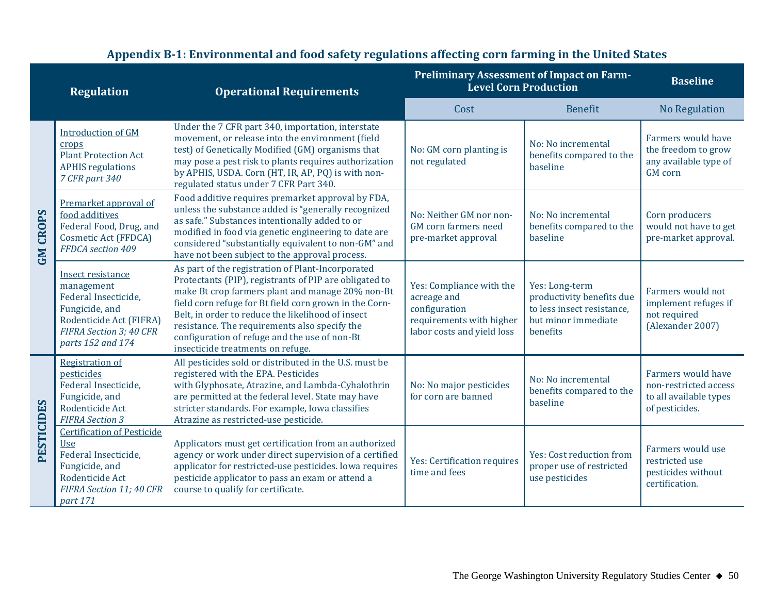|                 | <b>Regulation</b>                                                                                                                                    | <b>Operational Requirements</b>                                                                                                                                                                                                                                                                                                                                                                                       | <b>Preliminary Assessment of Impact on Farm-</b><br><b>Level Corn Production</b>                                   |                                                                                                              | <b>Baseline</b>                                                                         |
|-----------------|------------------------------------------------------------------------------------------------------------------------------------------------------|-----------------------------------------------------------------------------------------------------------------------------------------------------------------------------------------------------------------------------------------------------------------------------------------------------------------------------------------------------------------------------------------------------------------------|--------------------------------------------------------------------------------------------------------------------|--------------------------------------------------------------------------------------------------------------|-----------------------------------------------------------------------------------------|
|                 |                                                                                                                                                      |                                                                                                                                                                                                                                                                                                                                                                                                                       | Cost                                                                                                               | <b>Benefit</b>                                                                                               | <b>No Regulation</b>                                                                    |
| <b>GM CROPS</b> | <b>Introduction of GM</b><br>crops<br><b>Plant Protection Act</b><br><b>APHIS</b> regulations<br>7 CFR part 340                                      | Under the 7 CFR part 340, importation, interstate<br>movement, or release into the environment (field<br>test) of Genetically Modified (GM) organisms that<br>may pose a pest risk to plants requires authorization<br>by APHIS, USDA. Corn (HT, IR, AP, PQ) is with non-<br>regulated status under 7 CFR Part 340.                                                                                                   | No: GM corn planting is<br>not regulated                                                                           | No: No incremental<br>benefits compared to the<br>baseline                                                   | Farmers would have<br>the freedom to grow<br>any available type of<br><b>GM</b> corn    |
|                 | Premarket approval of<br>food additives<br>Federal Food, Drug, and<br>Cosmetic Act (FFDCA)<br>FFDCA section 409                                      | Food additive requires premarket approval by FDA,<br>unless the substance added is "generally recognized<br>as safe." Substances intentionally added to or<br>modified in food via genetic engineering to date are<br>considered "substantially equivalent to non-GM" and<br>have not been subject to the approval process.                                                                                           | No: Neither GM nor non-<br><b>GM</b> corn farmers need<br>pre-market approval                                      | No: No incremental<br>benefits compared to the<br>baseline                                                   | Corn producers<br>would not have to get<br>pre-market approval.                         |
|                 | Insect resistance<br>management<br>Federal Insecticide,<br>Fungicide, and<br>Rodenticide Act (FIFRA)<br>FIFRA Section 3: 40 CFR<br>parts 152 and 174 | As part of the registration of Plant-Incorporated<br>Protectants (PIP), registrants of PIP are obligated to<br>make Bt crop farmers plant and manage 20% non-Bt<br>field corn refuge for Bt field corn grown in the Corn-<br>Belt, in order to reduce the likelihood of insect<br>resistance. The requirements also specify the<br>configuration of refuge and the use of non-Bt<br>insecticide treatments on refuge. | Yes: Compliance with the<br>acreage and<br>configuration<br>requirements with higher<br>labor costs and yield loss | Yes: Long-term<br>productivity benefits due<br>to less insect resistance.<br>but minor immediate<br>henefits | Farmers would not<br>implement refuges if<br>not required<br>(Alexander 2007)           |
| PESTICIDES      | <b>Registration of</b><br>pesticides<br>Federal Insecticide.<br>Fungicide, and<br>Rodenticide Act<br><b>FIFRA Section 3</b>                          | All pesticides sold or distributed in the U.S. must be<br>registered with the EPA. Pesticides<br>with Glyphosate, Atrazine, and Lambda-Cyhalothrin<br>are permitted at the federal level. State may have<br>stricter standards. For example, Iowa classifies<br>Atrazine as restricted-use pesticide.                                                                                                                 | No: No major pesticides<br>for corn are banned                                                                     | No: No incremental<br>benefits compared to the<br>baseline                                                   | Farmers would have<br>non-restricted access<br>to all available types<br>of pesticides. |
|                 | <b>Certification of Pesticide</b><br>Use<br>Federal Insecticide,<br>Fungicide, and<br>Rodenticide Act<br>FIFRA Section 11; 40 CFR<br>part 171        | Applicators must get certification from an authorized<br>agency or work under direct supervision of a certified<br>applicator for restricted-use pesticides. Iowa requires<br>pesticide applicator to pass an exam or attend a<br>course to qualify for certificate.                                                                                                                                                  |                                                                                                                    | Yes: Cost reduction from<br>proper use of restricted<br>use pesticides                                       | Farmers would use<br>restricted use<br>pesticides without<br>certification.             |

## **Appendix B-1: Environmental and food safety regulations affecting corn farming in the United States**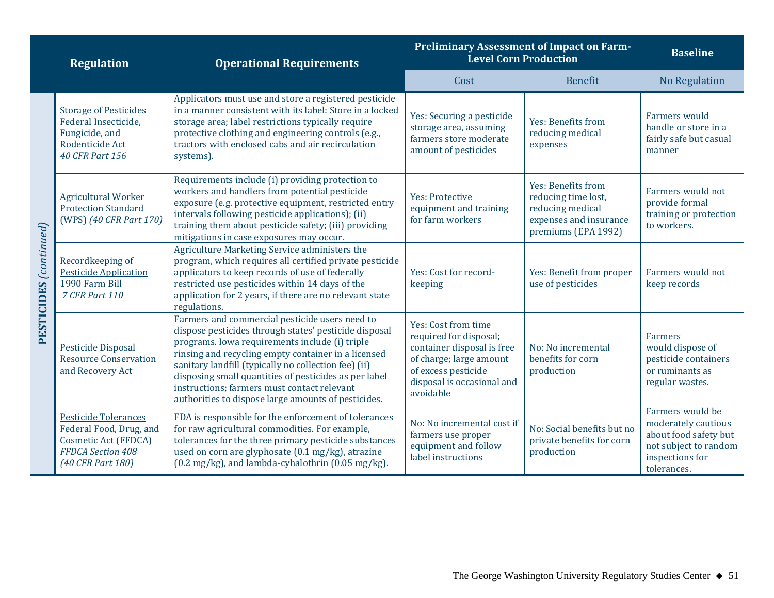| <b>Operational Requirements</b><br><b>Regulation</b> |                                                                                                                          |                                                                                                                                                                                                                                                                                                                                                                                                                                         | <b>Preliminary Assessment of Impact on Farm-</b><br><b>Level Corn Production</b>                                                                                         |                                                                                                                | <b>Baseline</b>                                                                                                             |  |
|------------------------------------------------------|--------------------------------------------------------------------------------------------------------------------------|-----------------------------------------------------------------------------------------------------------------------------------------------------------------------------------------------------------------------------------------------------------------------------------------------------------------------------------------------------------------------------------------------------------------------------------------|--------------------------------------------------------------------------------------------------------------------------------------------------------------------------|----------------------------------------------------------------------------------------------------------------|-----------------------------------------------------------------------------------------------------------------------------|--|
|                                                      |                                                                                                                          |                                                                                                                                                                                                                                                                                                                                                                                                                                         | Cost                                                                                                                                                                     | <b>Benefit</b>                                                                                                 | <b>No Regulation</b>                                                                                                        |  |
| PESTICIDES (continued)                               | <b>Storage of Pesticides</b><br>Federal Insecticide,<br>Fungicide, and<br>Rodenticide Act<br><b>40 CFR Part 156</b>      | Applicators must use and store a registered pesticide<br>in a manner consistent with its label: Store in a locked<br>storage area; label restrictions typically require<br>protective clothing and engineering controls (e.g.,<br>tractors with enclosed cabs and air recirculation<br>systems).                                                                                                                                        | Yes: Securing a pesticide<br>storage area, assuming<br>farmers store moderate<br>amount of pesticides                                                                    | Yes: Benefits from<br>reducing medical<br>expenses                                                             | Farmers would<br>handle or store in a<br>fairly safe but casual<br>manner                                                   |  |
|                                                      | <b>Agricultural Worker</b><br><b>Protection Standard</b><br>(WPS) (40 CFR Part 170)                                      | Requirements include (i) providing protection to<br>workers and handlers from potential pesticide<br><b>Yes: Protective</b><br>exposure (e.g. protective equipment, restricted entry<br>equipment and training<br>intervals following pesticide applications); (ii)<br>for farm workers<br>training them about pesticide safety; (iii) providing<br>mitigations in case exposures may occur.                                            |                                                                                                                                                                          | Yes: Benefits from<br>reducing time lost,<br>reducing medical<br>expenses and insurance<br>premiums (EPA 1992) | Farmers would not<br>provide formal<br>training or protection<br>to workers.                                                |  |
|                                                      | Recordkeeping of<br><b>Pesticide Application</b><br>1990 Farm Bill<br>7 CFR Part 110                                     | Agriculture Marketing Service administers the<br>program, which requires all certified private pesticide<br>applicators to keep records of use of federally<br>restricted use pesticides within 14 days of the<br>application for 2 years, if there are no relevant state<br>regulations.                                                                                                                                               | Yes: Cost for record-<br>keeping                                                                                                                                         | Yes: Benefit from proper<br>use of pesticides                                                                  | Farmers would not<br>keep records                                                                                           |  |
|                                                      | <b>Pesticide Disposal</b><br><b>Resource Conservation</b><br>and Recovery Act                                            | Farmers and commercial pesticide users need to<br>dispose pesticides through states' pesticide disposal<br>programs. Iowa requirements include (i) triple<br>rinsing and recycling empty container in a licensed<br>sanitary landfill (typically no collection fee) (ii)<br>disposing small quantities of pesticides as per label<br>instructions; farmers must contact relevant<br>authorities to dispose large amounts of pesticides. | Yes: Cost from time<br>required for disposal;<br>container disposal is free<br>of charge; large amount<br>of excess pesticide<br>disposal is occasional and<br>avoidable | No: No incremental<br>benefits for corn<br>production                                                          | <b>Farmers</b><br>would dispose of<br>pesticide containers<br>or ruminants as<br>regular wastes.                            |  |
|                                                      | <b>Pesticide Tolerances</b><br>Federal Food, Drug, and<br>Cosmetic Act (FFDCA)<br>FFDCA Section 408<br>(40 CFR Part 180) | FDA is responsible for the enforcement of tolerances<br>for raw agricultural commodities. For example,<br>tolerances for the three primary pesticide substances<br>used on corn are glyphosate (0.1 mg/kg), atrazine<br>(0.2 mg/kg), and lambda-cyhalothrin (0.05 mg/kg).                                                                                                                                                               |                                                                                                                                                                          | No: Social benefits but no<br>private benefits for corn<br>production                                          | Farmers would be<br>moderately cautious<br>about food safety but<br>not subject to random<br>inspections for<br>tolerances. |  |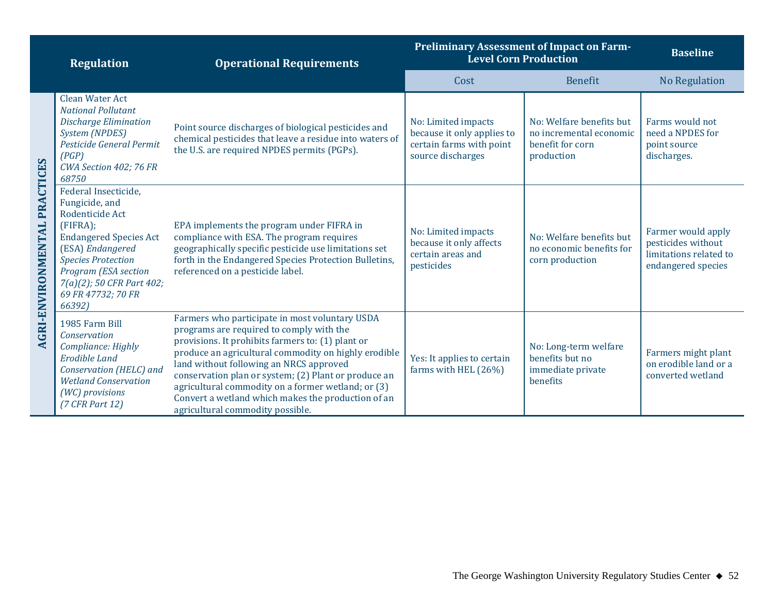| <b>Regulation</b>                   |                                                                                                                                                                                                                                               | <b>Operational Requirements</b>                                                                                                                                                                                                                                                                                                                                                                                                                            | <b>Preliminary Assessment of Impact on Farm-</b><br><b>Level Corn Production</b>                   | <b>Baseline</b>                                                                       |                                                                                          |
|-------------------------------------|-----------------------------------------------------------------------------------------------------------------------------------------------------------------------------------------------------------------------------------------------|------------------------------------------------------------------------------------------------------------------------------------------------------------------------------------------------------------------------------------------------------------------------------------------------------------------------------------------------------------------------------------------------------------------------------------------------------------|----------------------------------------------------------------------------------------------------|---------------------------------------------------------------------------------------|------------------------------------------------------------------------------------------|
|                                     |                                                                                                                                                                                                                                               |                                                                                                                                                                                                                                                                                                                                                                                                                                                            | Cost                                                                                               | <b>Benefit</b>                                                                        | <b>No Regulation</b>                                                                     |
| <b>AGRI-ENVIRONMENTAL PRACTICES</b> | Clean Water Act<br><b>National Pollutant</b><br><b>Discharge Elimination</b><br><b>System (NPDES)</b><br>Pesticide General Permit<br>(PGP)<br>CWA Section 402; 76 FR<br>68750                                                                 | Point source discharges of biological pesticides and<br>chemical pesticides that leave a residue into waters of<br>the U.S. are required NPDES permits (PGPs).                                                                                                                                                                                                                                                                                             | No: Limited impacts<br>because it only applies to<br>certain farms with point<br>source discharges | No: Welfare benefits but<br>no incremental economic<br>benefit for corn<br>production | Farms would not<br>need a NPDES for<br>point source<br>discharges.                       |
|                                     | Federal Insecticide,<br>Fungicide, and<br>Rodenticide Act<br>$FIFRA$ ;<br><b>Endangered Species Act</b><br>(ESA) Endangered<br><b>Species Protection</b><br>Program (ESA section<br>7(a)(2); 50 CFR Part 402;<br>69 FR 47732; 70 FR<br>66392) | EPA implements the program under FIFRA in<br>compliance with ESA. The program requires<br>geographically specific pesticide use limitations set<br>forth in the Endangered Species Protection Bulletins,<br>referenced on a pesticide label.                                                                                                                                                                                                               | No: Limited impacts<br>because it only affects<br>certain areas and<br>pesticides                  | No: Welfare benefits but<br>no economic benefits for<br>corn production               | Farmer would apply<br>pesticides without<br>limitations related to<br>endangered species |
|                                     | 1985 Farm Bill<br>Conservation<br>Compliance: Highly<br><b>Erodible Land</b><br>Conservation (HELC) and<br><b>Wetland Conservation</b><br>(WC) provisions<br>$(7$ CFR Part 12)                                                                | Farmers who participate in most voluntary USDA<br>programs are required to comply with the<br>provisions. It prohibits farmers to: (1) plant or<br>produce an agricultural commodity on highly erodible<br>land without following an NRCS approved<br>conservation plan or system; (2) Plant or produce an<br>agricultural commodity on a former wetland; or (3)<br>Convert a wetland which makes the production of an<br>agricultural commodity possible. | Yes: It applies to certain<br>farms with HEL (26%)                                                 | No: Long-term welfare<br>benefits but no<br>immediate private<br>benefits             | Farmers might plant<br>on erodible land or a<br>converted wetland                        |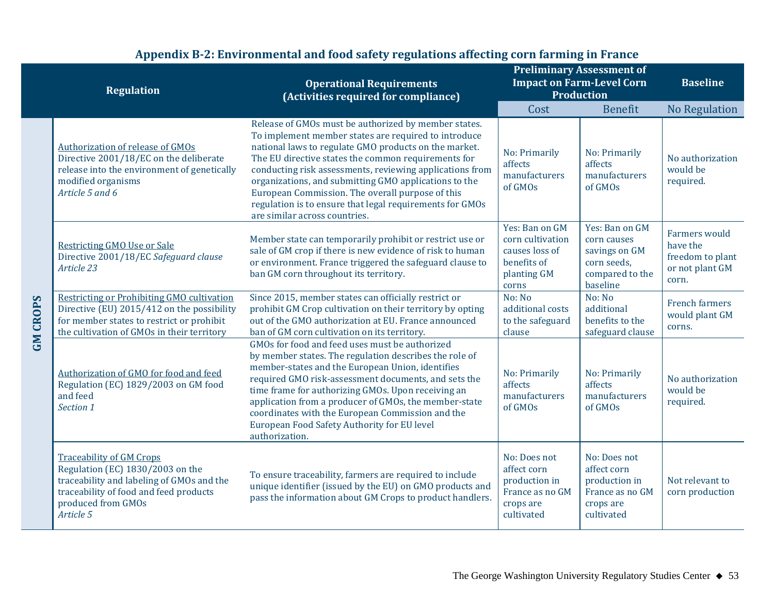| <b>Regulation</b> |                                                                                                                                                                                               | <b>Operational Requirements</b><br>(Activities required for compliance)                                                                                                                                                                                                                                                                                                                                                                                                                            | <b>Preliminary Assessment of</b><br><b>Impact on Farm-Level Corn</b><br><b>Production</b>   | <b>Baseline</b>                                                                              |                                                                                  |
|-------------------|-----------------------------------------------------------------------------------------------------------------------------------------------------------------------------------------------|----------------------------------------------------------------------------------------------------------------------------------------------------------------------------------------------------------------------------------------------------------------------------------------------------------------------------------------------------------------------------------------------------------------------------------------------------------------------------------------------------|---------------------------------------------------------------------------------------------|----------------------------------------------------------------------------------------------|----------------------------------------------------------------------------------|
|                   |                                                                                                                                                                                               |                                                                                                                                                                                                                                                                                                                                                                                                                                                                                                    | Cost                                                                                        | <b>Benefit</b>                                                                               | No Regulation                                                                    |
|                   | <b>Authorization of release of GMOs</b><br>Directive 2001/18/EC on the deliberate<br>release into the environment of genetically<br>modified organisms<br>Article 5 and 6                     | Release of GMOs must be authorized by member states.<br>To implement member states are required to introduce<br>national laws to regulate GMO products on the market.<br>The EU directive states the common requirements for<br>conducting risk assessments, reviewing applications from<br>organizations, and submitting GMO applications to the<br>European Commission. The overall purpose of this<br>regulation is to ensure that legal requirements for GMOs<br>are similar across countries. | No: Primarily<br>affects<br>manufacturers<br>of GMOs                                        | No: Primarily<br>affects<br>manufacturers<br>of GMOs                                         | No authorization<br>would be<br>required.                                        |
|                   | Restricting GMO Use or Sale<br>Directive 2001/18/EC Safeguard clause<br>Article 23                                                                                                            | Member state can temporarily prohibit or restrict use or<br>sale of GM crop if there is new evidence of risk to human<br>or environment. France triggered the safeguard clause to<br>ban GM corn throughout its territory.                                                                                                                                                                                                                                                                         | Yes: Ban on GM<br>corn cultivation<br>causes loss of<br>benefits of<br>planting GM<br>corns | Yes: Ban on GM<br>corn causes<br>savings on GM<br>corn seeds,<br>compared to the<br>baseline | <b>Farmers</b> would<br>have the<br>freedom to plant<br>or not plant GM<br>corn. |
| <b>GM CROPS</b>   | Restricting or Prohibiting GMO cultivation<br>Directive (EU) 2015/412 on the possibility<br>for member states to restrict or prohibit<br>the cultivation of GMOs in their territory           | Since 2015, member states can officially restrict or<br>prohibit GM Crop cultivation on their territory by opting<br>out of the GMO authorization at EU. France announced<br>ban of GM corn cultivation on its territory.                                                                                                                                                                                                                                                                          | No: No<br>additional costs<br>to the safeguard<br>clause                                    | No: No<br>additional<br>benefits to the<br>safeguard clause                                  | <b>French farmers</b><br>would plant GM<br>corns.                                |
|                   | Authorization of GMO for food and feed<br>Regulation (EC) 1829/2003 on GM food<br>and feed<br>Section 1                                                                                       | GMOs for food and feed uses must be authorized<br>by member states. The regulation describes the role of<br>member-states and the European Union, identifies<br>required GMO risk-assessment documents, and sets the<br>time frame for authorizing GMOs. Upon receiving an<br>application from a producer of GMOs, the member-state<br>coordinates with the European Commission and the<br>European Food Safety Authority for EU level<br>authorization.                                           | No: Primarily<br>affects<br>manufacturers<br>of GMOs                                        | No: Primarily<br>affects<br>manufacturers<br>of GMOs                                         | No authorization<br>would be<br>required.                                        |
|                   | <b>Traceability of GM Crops</b><br>Regulation (EC) 1830/2003 on the<br>traceability and labeling of GMOs and the<br>traceability of food and feed products<br>produced from GMOs<br>Article 5 | To ensure traceability, farmers are required to include<br>unique identifier (issued by the EU) on GMO products and<br>pass the information about GM Crops to product handlers.                                                                                                                                                                                                                                                                                                                    | No: Does not<br>affect corn<br>production in<br>France as no GM<br>crops are<br>cultivated  | No: Does not<br>affect corn<br>production in<br>France as no GM<br>crops are<br>cultivated   | Not relevant to<br>corn production                                               |

## **Appendix B-2: Environmental and food safety regulations affecting corn farming in France**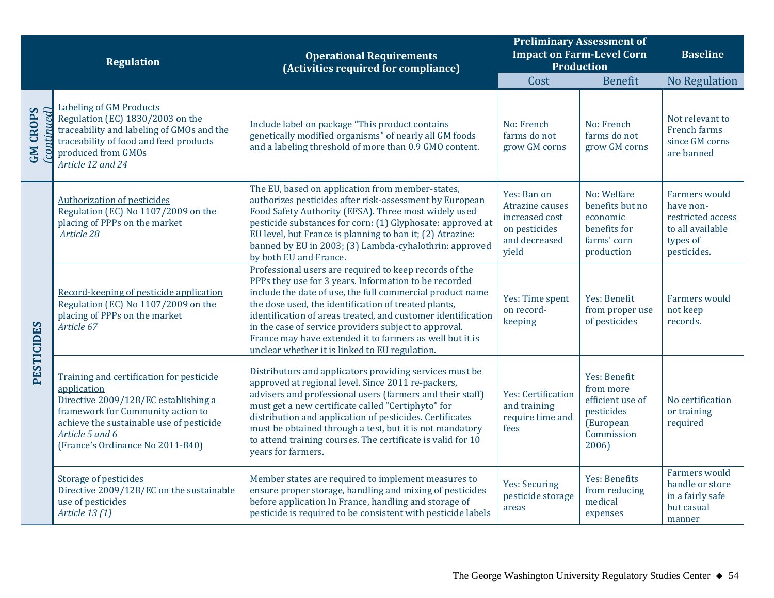| <b>Regulation</b>              |                                                                                                                                                                                                                                         | <b>Operational Requirements</b><br>(Activities required for compliance)                                                                                                                                                                                                                                                                                                                                                                                                     | <b>Preliminary Assessment of</b><br><b>Impact on Farm-Level Corn</b><br><b>Production</b>   | <b>Baseline</b>                                                                                 |                                                                                                       |
|--------------------------------|-----------------------------------------------------------------------------------------------------------------------------------------------------------------------------------------------------------------------------------------|-----------------------------------------------------------------------------------------------------------------------------------------------------------------------------------------------------------------------------------------------------------------------------------------------------------------------------------------------------------------------------------------------------------------------------------------------------------------------------|---------------------------------------------------------------------------------------------|-------------------------------------------------------------------------------------------------|-------------------------------------------------------------------------------------------------------|
|                                |                                                                                                                                                                                                                                         |                                                                                                                                                                                                                                                                                                                                                                                                                                                                             | Cost                                                                                        | <b>Benefit</b>                                                                                  | <b>No Regulation</b>                                                                                  |
| <b>GM CROPS</b><br>(continued) | <b>Labeling of GM Products</b><br>Regulation (EC) 1830/2003 on the<br>traceability and labeling of GMOs and the<br>traceability of food and feed products<br>produced from GMOs<br>Article 12 and 24                                    | Include label on package "This product contains<br>genetically modified organisms" of nearly all GM foods<br>and a labeling threshold of more than 0.9 GMO content.                                                                                                                                                                                                                                                                                                         | No: French<br>farms do not<br>grow GM corns                                                 | No: French<br>farms do not<br>grow GM corns                                                     | Not relevant to<br>French farms<br>since GM corns<br>are banned                                       |
| PESTICIDES                     | <b>Authorization of pesticides</b><br>Regulation (EC) No 1107/2009 on the<br>placing of PPPs on the market<br>Article 28                                                                                                                | The EU, based on application from member-states,<br>authorizes pesticides after risk-assessment by European<br>Food Safety Authority (EFSA). Three most widely used<br>pesticide substances for corn: (1) Glyphosate: approved at<br>EU level, but France is planning to ban it; (2) Atrazine:<br>banned by EU in 2003; (3) Lambda-cyhalothrin: approved<br>by both EU and France.                                                                                          | Yes: Ban on<br>Atrazine causes<br>increased cost<br>on pesticides<br>and decreased<br>yield | No: Welfare<br>benefits but no<br>economic<br>benefits for<br>farms' corn<br>production         | <b>Farmers would</b><br>have non-<br>restricted access<br>to all available<br>types of<br>pesticides. |
|                                | Record-keeping of pesticide application<br>Regulation (EC) No 1107/2009 on the<br>placing of PPPs on the market<br>Article 67                                                                                                           | Professional users are required to keep records of the<br>PPPs they use for 3 years. Information to be recorded<br>include the date of use, the full commercial product name<br>the dose used, the identification of treated plants,<br>identification of areas treated, and customer identification<br>in the case of service providers subject to approval.<br>France may have extended it to farmers as well but it is<br>unclear whether it is linked to EU regulation. | Yes: Time spent<br>on record-<br>keeping                                                    | <b>Yes: Benefit</b><br>from proper use<br>of pesticides                                         | Farmers would<br>not keep<br>records.                                                                 |
|                                | Training and certification for pesticide<br>application<br>Directive 2009/128/EC establishing a<br>framework for Community action to<br>achieve the sustainable use of pesticide<br>Article 5 and 6<br>(France's Ordinance No 2011-840) | Distributors and applicators providing services must be<br>approved at regional level. Since 2011 re-packers,<br>advisers and professional users (farmers and their staff)<br>must get a new certificate called "Certiphyto" for<br>distribution and application of pesticides. Certificates<br>must be obtained through a test, but it is not mandatory<br>to attend training courses. The certificate is valid for 10<br>years for farmers.                               | Yes: Certification<br>and training<br>require time and<br>fees                              | Yes: Benefit<br>from more<br>efficient use of<br>pesticides<br>(European<br>Commission<br>2006) | No certification<br>or training<br>required                                                           |
|                                | <b>Storage of pesticides</b><br>Directive 2009/128/EC on the sustainable<br>use of pesticides<br>Article 13 (1)                                                                                                                         | Member states are required to implement measures to<br>ensure proper storage, handling and mixing of pesticides<br>before application In France, handling and storage of<br>pesticide is required to be consistent with pesticide labels                                                                                                                                                                                                                                    | <b>Yes: Securing</b><br>pesticide storage<br>areas                                          | Yes: Benefits<br>from reducing<br>medical<br>expenses                                           | <b>Farmers</b> would<br>handle or store<br>in a fairly safe<br>but casual<br>manner                   |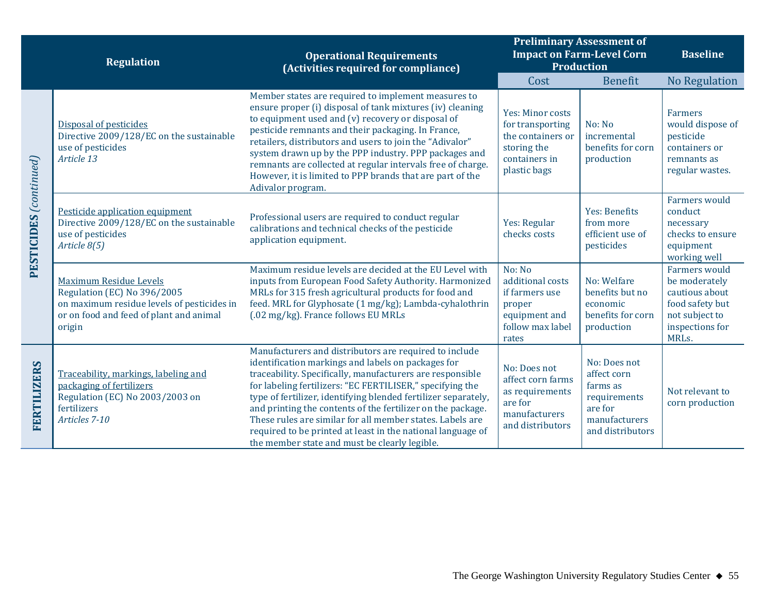|                                   | <b>Regulation</b>                                                                                                                                        | <b>Operational Requirements</b><br>(Activities required for compliance)                                                                                                                                                                                                                                                                                                                                                                                                                                                                              | <b>Preliminary Assessment of</b><br><b>Impact on Farm-Level Corn</b><br><b>Production</b>                 |                                                                                                         | <b>Baseline</b>                                                                                                   |
|-----------------------------------|----------------------------------------------------------------------------------------------------------------------------------------------------------|------------------------------------------------------------------------------------------------------------------------------------------------------------------------------------------------------------------------------------------------------------------------------------------------------------------------------------------------------------------------------------------------------------------------------------------------------------------------------------------------------------------------------------------------------|-----------------------------------------------------------------------------------------------------------|---------------------------------------------------------------------------------------------------------|-------------------------------------------------------------------------------------------------------------------|
|                                   |                                                                                                                                                          |                                                                                                                                                                                                                                                                                                                                                                                                                                                                                                                                                      | Cost                                                                                                      | Benefit                                                                                                 | <b>No Regulation</b>                                                                                              |
|                                   | Disposal of pesticides<br>Directive 2009/128/EC on the sustainable<br>use of pesticides<br>Article 13                                                    | Member states are required to implement measures to<br>ensure proper (i) disposal of tank mixtures (iv) cleaning<br>to equipment used and (v) recovery or disposal of<br>pesticide remnants and their packaging. In France,<br>retailers, distributors and users to join the "Adivalor"<br>system drawn up by the PPP industry. PPP packages and<br>remnants are collected at regular intervals free of charge.<br>However, it is limited to PPP brands that are part of the<br>Adivalor program.                                                    | Yes: Minor costs<br>for transporting<br>the containers or<br>storing the<br>containers in<br>plastic bags | No: No<br>incremental<br>benefits for corn<br>production                                                | <b>Farmers</b><br>would dispose of<br>pesticide<br>containers or<br>remnants as<br>regular wastes.                |
| $\mathrm{PESTICIDES}$ (continued) | Pesticide application equipment<br>Directive 2009/128/EC on the sustainable<br>use of pesticides<br>Article 8(5)                                         | Professional users are required to conduct regular<br>calibrations and technical checks of the pesticide<br>application equipment.                                                                                                                                                                                                                                                                                                                                                                                                                   | Yes: Regular<br>checks costs                                                                              | Yes: Benefits<br>from more<br>efficient use of<br>pesticides                                            | <b>Farmers</b> would<br>conduct<br>necessary<br>checks to ensure<br>equipment<br>working well                     |
|                                   | Maximum Residue Levels<br>Regulation (EC) No 396/2005<br>on maximum residue levels of pesticides in<br>or on food and feed of plant and animal<br>origin | Maximum residue levels are decided at the EU Level with<br>inputs from European Food Safety Authority. Harmonized<br>MRLs for 315 fresh agricultural products for food and<br>feed. MRL for Glyphosate (1 mg/kg); Lambda-cyhalothrin<br>(.02 mg/kg). France follows EU MRLs                                                                                                                                                                                                                                                                          | No: No<br>additional costs<br>if farmers use<br>proper<br>equipment and<br>follow max label<br>rates      | No: Welfare<br>benefits but no<br>economic<br>benefits for corn<br>production                           | Farmers would<br>be moderately<br>cautious about<br>food safety but<br>not subject to<br>inspections for<br>MRLs. |
| FERTILIZERS                       | Traceability, markings, labeling and<br>packaging of fertilizers<br>Regulation (EC) No 2003/2003 on<br>fertilizers<br>Articles 7-10                      | Manufacturers and distributors are required to include<br>identification markings and labels on packages for<br>traceability. Specifically, manufacturers are responsible<br>for labeling fertilizers: "EC FERTILISER," specifying the<br>type of fertilizer, identifying blended fertilizer separately,<br>and printing the contents of the fertilizer on the package.<br>These rules are similar for all member states. Labels are<br>required to be printed at least in the national language of<br>the member state and must be clearly legible. | No: Does not<br>affect corn farms<br>as requirements<br>are for<br>manufacturers<br>and distributors      | No: Does not<br>affect corn<br>farms as<br>requirements<br>are for<br>manufacturers<br>and distributors | Not relevant to<br>corn production                                                                                |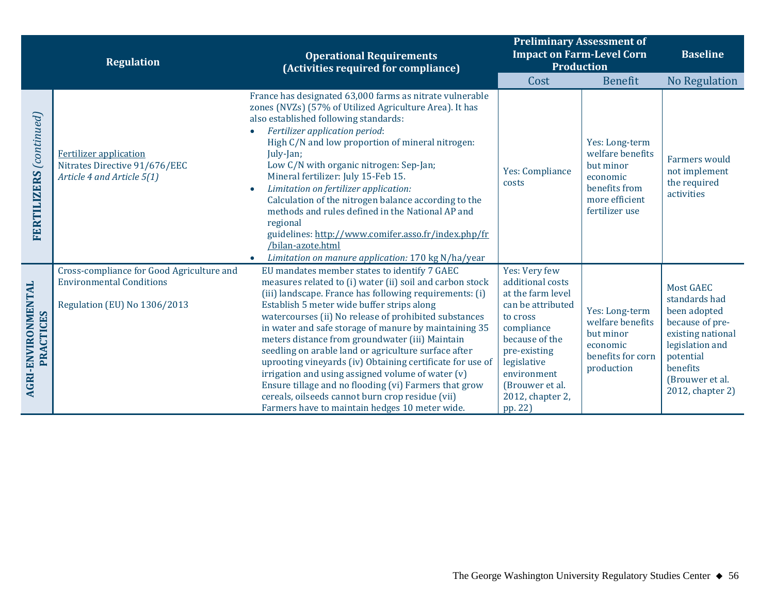|                                        | <b>Regulation</b>                                                                            | <b>Operational Requirements</b><br>(Activities required for compliance)                                                                                                                                                                                                                                                                                                                                                                                                                                                                                                                                                                              | <b>Preliminary Assessment of</b><br><b>Impact on Farm-Level Corn</b><br><b>Production</b>                                                                                          | <b>Baseline</b>                                                                                                  |                                                                                                                                                          |
|----------------------------------------|----------------------------------------------------------------------------------------------|------------------------------------------------------------------------------------------------------------------------------------------------------------------------------------------------------------------------------------------------------------------------------------------------------------------------------------------------------------------------------------------------------------------------------------------------------------------------------------------------------------------------------------------------------------------------------------------------------------------------------------------------------|------------------------------------------------------------------------------------------------------------------------------------------------------------------------------------|------------------------------------------------------------------------------------------------------------------|----------------------------------------------------------------------------------------------------------------------------------------------------------|
|                                        |                                                                                              |                                                                                                                                                                                                                                                                                                                                                                                                                                                                                                                                                                                                                                                      | Cost                                                                                                                                                                               | <b>Benefit</b>                                                                                                   | No Regulation                                                                                                                                            |
| FERTILIZERS (continued)                | <b>Fertilizer</b> application<br>Nitrates Directive 91/676/EEC<br>Article 4 and Article 5(1) | France has designated 63,000 farms as nitrate vulnerable<br>zones (NVZs) (57% of Utilized Agriculture Area). It has<br>also established following standards:<br>Fertilizer application period:<br>High C/N and low proportion of mineral nitrogen:<br>July-Jan;<br>Low C/N with organic nitrogen: Sep-Jan;<br>Mineral fertilizer: July 15-Feb 15.<br>Limitation on fertilizer application:<br>Calculation of the nitrogen balance according to the<br>methods and rules defined in the National AP and<br>regional<br>guidelines: http://www.comifer.asso.fr/index.php/fr<br>/bilan-azote.html<br>Limitation on manure application: 170 kg N/ha/year | Yes: Compliance<br>costs                                                                                                                                                           | Yes: Long-term<br>welfare benefits<br>but minor<br>economic<br>benefits from<br>more efficient<br>fertilizer use | <b>Farmers</b> would<br>not implement<br>the required<br>activities                                                                                      |
|                                        | Cross-compliance for Good Agriculture and                                                    | EU mandates member states to identify 7 GAEC                                                                                                                                                                                                                                                                                                                                                                                                                                                                                                                                                                                                         | Yes: Very few                                                                                                                                                                      |                                                                                                                  |                                                                                                                                                          |
|                                        | <b>Environmental Conditions</b>                                                              | measures related to (i) water (ii) soil and carbon stock                                                                                                                                                                                                                                                                                                                                                                                                                                                                                                                                                                                             | additional costs                                                                                                                                                                   |                                                                                                                  | <b>Most GAEC</b>                                                                                                                                         |
| <b>AGRI-ENVIRONMENTAL</b><br>PRACTICES | Regulation (EU) No 1306/2013                                                                 | (iii) landscape. France has following requirements: (i)<br>Establish 5 meter wide buffer strips along<br>watercourses (ii) No release of prohibited substances<br>in water and safe storage of manure by maintaining 35<br>meters distance from groundwater (iii) Maintain<br>seedling on arable land or agriculture surface after<br>uprooting vineyards (iv) Obtaining certificate for use of<br>irrigation and using assigned volume of water (v)<br>Ensure tillage and no flooding (vi) Farmers that grow<br>cereals, oilseeds cannot burn crop residue (vii)<br>Farmers have to maintain hedges 10 meter wide.                                  | at the farm level<br>can be attributed<br>to cross<br>compliance<br>because of the<br>pre-existing<br>legislative<br>environment<br>(Brouwer et al.<br>2012, chapter 2,<br>pp. 22) | Yes: Long-term<br>welfare benefits<br>but minor<br>economic<br>benefits for corn<br>production                   | standards had<br>been adopted<br>because of pre-<br>existing national<br>legislation and<br>potential<br>benefits<br>(Brouwer et al.<br>2012, chapter 2) |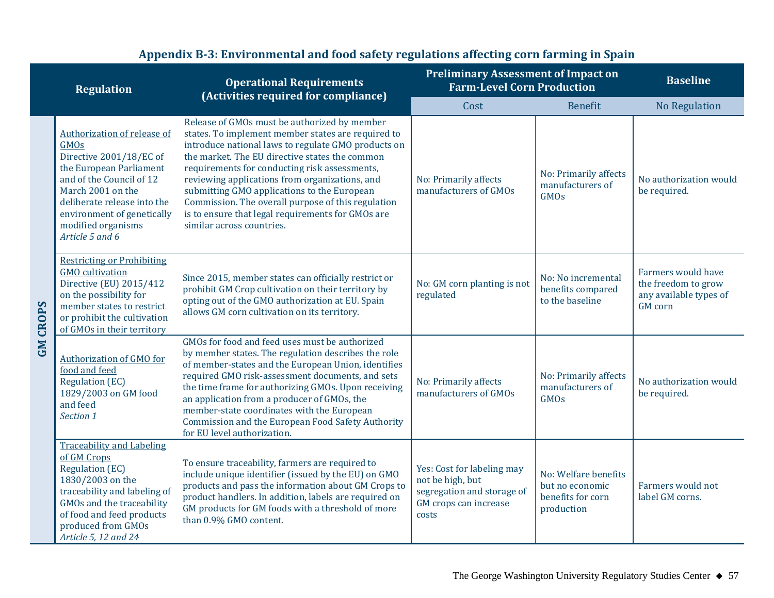|                 | <b>Regulation</b>                                                                                                                                                                                                                                                                                                                                                                                                                                                                                                                                                                | <b>Operational Requirements</b><br>(Activities required for compliance)                                                                                                                                                                                                                                                                                                                                                                                                                               | <b>Preliminary Assessment of Impact on</b><br><b>Farm-Level Corn Production</b>                                |                                                                            | <b>Baseline</b>                                                                       |  |
|-----------------|----------------------------------------------------------------------------------------------------------------------------------------------------------------------------------------------------------------------------------------------------------------------------------------------------------------------------------------------------------------------------------------------------------------------------------------------------------------------------------------------------------------------------------------------------------------------------------|-------------------------------------------------------------------------------------------------------------------------------------------------------------------------------------------------------------------------------------------------------------------------------------------------------------------------------------------------------------------------------------------------------------------------------------------------------------------------------------------------------|----------------------------------------------------------------------------------------------------------------|----------------------------------------------------------------------------|---------------------------------------------------------------------------------------|--|
|                 |                                                                                                                                                                                                                                                                                                                                                                                                                                                                                                                                                                                  |                                                                                                                                                                                                                                                                                                                                                                                                                                                                                                       | Cost                                                                                                           | <b>Benefit</b>                                                             | <b>No Regulation</b>                                                                  |  |
|                 | Authorization of release of<br>GMOs<br>Directive 2001/18/EC of<br>the European Parliament<br>and of the Council of 12<br>March 2001 on the<br>deliberate release into the<br>environment of genetically<br>modified organisms<br>Article 5 and 6                                                                                                                                                                                                                                                                                                                                 | Release of GMOs must be authorized by member<br>states. To implement member states are required to<br>introduce national laws to regulate GMO products on<br>the market. The EU directive states the common<br>requirements for conducting risk assessments,<br>reviewing applications from organizations, and<br>submitting GMO applications to the European<br>Commission. The overall purpose of this regulation<br>is to ensure that legal requirements for GMOs are<br>similar across countries. | No: Primarily affects<br>manufacturers of GMOs                                                                 | No: Primarily affects<br>manufacturers of<br><b>GMOs</b>                   | No authorization would<br>be required.                                                |  |
| <b>GM CROPS</b> | <b>Restricting or Prohibiting</b><br><b>GMO</b> cultivation<br>Directive (EU) 2015/412<br>on the possibility for<br>member states to restrict<br>or prohibit the cultivation<br>of GMOs in their territory                                                                                                                                                                                                                                                                                                                                                                       | Since 2015, member states can officially restrict or<br>prohibit GM Crop cultivation on their territory by<br>opting out of the GMO authorization at EU. Spain<br>allows GM corn cultivation on its territory.                                                                                                                                                                                                                                                                                        | No: GM corn planting is not<br>regulated                                                                       | No: No incremental<br>benefits compared<br>to the baseline                 | Farmers would have<br>the freedom to grow<br>any available types of<br><b>GM</b> corn |  |
|                 | GMOs for food and feed uses must be authorized<br>by member states. The regulation describes the role<br>Authorization of GMO for<br>of member-states and the European Union, identifies<br>food and feed<br>required GMO risk-assessment documents, and sets<br><b>Regulation (EC)</b><br>the time frame for authorizing GMOs. Upon receiving<br>1829/2003 on GM food<br>an application from a producer of GMOs, the<br>and feed<br>member-state coordinates with the European<br>Section 1<br>Commission and the European Food Safety Authority<br>for EU level authorization. |                                                                                                                                                                                                                                                                                                                                                                                                                                                                                                       | No: Primarily affects<br>manufacturers of GMOs                                                                 | No: Primarily affects<br>manufacturers of<br><b>GMOs</b>                   | No authorization would<br>be required.                                                |  |
|                 | <b>Traceability and Labeling</b><br>of GM Crops<br><b>Regulation (EC)</b><br>1830/2003 on the<br>traceability and labeling of<br>GMOs and the traceability<br>of food and feed products<br>produced from GMOs<br>Article 5, 12 and 24                                                                                                                                                                                                                                                                                                                                            | To ensure traceability, farmers are required to<br>include unique identifier (issued by the EU) on GMO<br>products and pass the information about GM Crops to<br>product handlers. In addition, labels are required on<br>GM products for GM foods with a threshold of more<br>than 0.9% GMO content.                                                                                                                                                                                                 | Yes: Cost for labeling may<br>not be high, but<br>segregation and storage of<br>GM crops can increase<br>costs | No: Welfare benefits<br>but no economic<br>benefits for corn<br>production | Farmers would not<br>label GM corns.                                                  |  |

## **Appendix B-3: Environmental and food safety regulations affecting corn farming in Spain**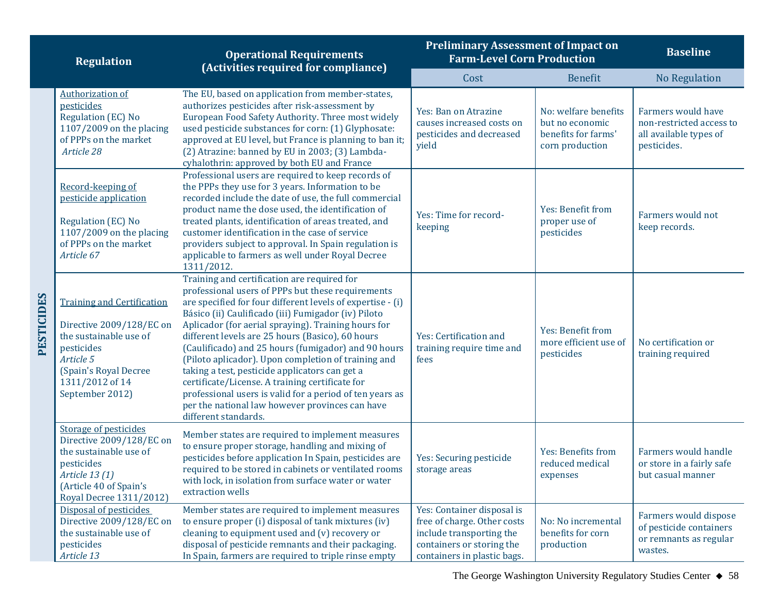|                   | <b>Regulation</b>                                                                                                                                                                 | <b>Operational Requirements</b><br>(Activities required for compliance)                                                                                                                                                                                                                                                                                                                                                                                                                                                                                                                                                                                                                    | <b>Preliminary Assessment of Impact on</b><br><b>Farm-Level Corn Production</b>                                                                   |                                                                                   | <b>Baseline</b>                                                                         |  |
|-------------------|-----------------------------------------------------------------------------------------------------------------------------------------------------------------------------------|--------------------------------------------------------------------------------------------------------------------------------------------------------------------------------------------------------------------------------------------------------------------------------------------------------------------------------------------------------------------------------------------------------------------------------------------------------------------------------------------------------------------------------------------------------------------------------------------------------------------------------------------------------------------------------------------|---------------------------------------------------------------------------------------------------------------------------------------------------|-----------------------------------------------------------------------------------|-----------------------------------------------------------------------------------------|--|
|                   |                                                                                                                                                                                   |                                                                                                                                                                                                                                                                                                                                                                                                                                                                                                                                                                                                                                                                                            | Cost                                                                                                                                              | <b>Benefit</b>                                                                    | <b>No Regulation</b>                                                                    |  |
|                   | <b>Authorization of</b><br>pesticides<br>Regulation (EC) No<br>$1107/2009$ on the placing<br>of PPPs on the market<br>Article 28                                                  | The EU, based on application from member-states,<br>authorizes pesticides after risk-assessment by<br>European Food Safety Authority. Three most widely<br>used pesticide substances for corn: (1) Glyphosate:<br>approved at EU level, but France is planning to ban it;<br>(2) Atrazine: banned by EU in 2003; (3) Lambda-<br>cyhalothrin: approved by both EU and France                                                                                                                                                                                                                                                                                                                | Yes: Ban on Atrazine<br>causes increased costs on<br>pesticides and decreased<br>yield                                                            | No: welfare benefits<br>but no economic<br>benefits for farms'<br>corn production | Farmers would have<br>non-restricted access to<br>all available types of<br>pesticides. |  |
|                   | Record-keeping of<br>pesticide application<br>Regulation (EC) No<br>$1107/2009$ on the placing<br>of PPPs on the market<br>Article 67                                             | Professional users are required to keep records of<br>the PPPs they use for 3 years. Information to be<br>recorded include the date of use, the full commercial<br>product name the dose used, the identification of<br>treated plants, identification of areas treated, and<br>customer identification in the case of service<br>providers subject to approval. In Spain regulation is<br>applicable to farmers as well under Royal Decree<br>1311/2012.                                                                                                                                                                                                                                  | Yes: Time for record-<br>keeping                                                                                                                  | Yes: Benefit from<br>proper use of<br>pesticides                                  | Farmers would not<br>keep records.                                                      |  |
| <b>PESTICIDES</b> | <b>Training and Certification</b><br>Directive 2009/128/EC on<br>the sustainable use of<br>pesticides<br>Article 5<br>(Spain's Royal Decree<br>1311/2012 of 14<br>September 2012) | Training and certification are required for<br>professional users of PPPs but these requirements<br>are specified for four different levels of expertise - (i)<br>Básico (ii) Caulificado (iii) Fumigador (iv) Piloto<br>Aplicador (for aerial spraying). Training hours for<br>different levels are 25 hours (Basico), 60 hours<br>(Caulificado) and 25 hours (fumigador) and 90 hours<br>(Piloto aplicador). Upon completion of training and<br>taking a test, pesticide applicators can get a<br>certificate/License. A training certificate for<br>professional users is valid for a period of ten years as<br>per the national law however provinces can have<br>different standards. | Yes: Certification and<br>training require time and<br>fees                                                                                       | Yes: Benefit from<br>more efficient use of<br>pesticides                          | No certification or<br>training required                                                |  |
|                   | <b>Storage of pesticides</b><br>Directive 2009/128/EC on<br>the sustainable use of<br>pesticides<br>Article 13 (1)<br>(Article 40 of Spain's<br>Royal Decree 1311/2012)           | Member states are required to implement measures<br>to ensure proper storage, handling and mixing of<br>pesticides before application In Spain, pesticides are<br>required to be stored in cabinets or ventilated rooms<br>with lock, in isolation from surface water or water<br>extraction wells                                                                                                                                                                                                                                                                                                                                                                                         | Yes: Securing pesticide<br>storage areas                                                                                                          | Yes: Benefits from<br>reduced medical<br>expenses                                 | Farmers would handle<br>or store in a fairly safe<br>but casual manner                  |  |
|                   | Disposal of pesticides<br>Directive 2009/128/EC on<br>the sustainable use of<br>pesticides<br>Article 13                                                                          | Member states are required to implement measures<br>to ensure proper (i) disposal of tank mixtures (iv)<br>cleaning to equipment used and (v) recovery or<br>disposal of pesticide remnants and their packaging.<br>In Spain, farmers are required to triple rinse empty                                                                                                                                                                                                                                                                                                                                                                                                                   | Yes: Container disposal is<br>free of charge. Other costs<br>include transporting the<br>containers or storing the<br>containers in plastic bags. | No: No incremental<br>benefits for corn<br>production                             | Farmers would dispose<br>of pesticide containers<br>or remnants as regular<br>wastes.   |  |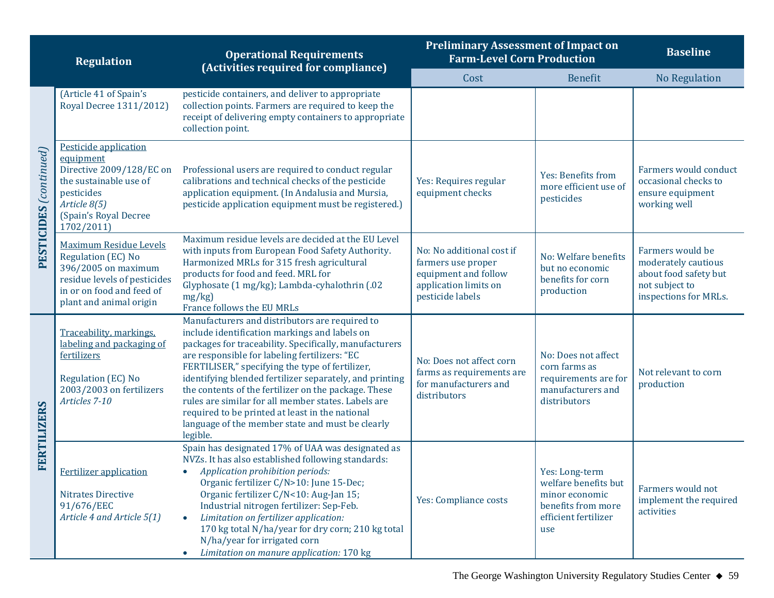|                                   | <b>Regulation</b>                                                                                                                                             | <b>Operational Requirements</b><br>(Activities required for compliance)                                                                                                                                                                                                                                                                                                                                                                                                                                                                                    | <b>Preliminary Assessment of Impact on</b><br><b>Farm-Level Corn Production</b>                                      |                                                                                                               | <b>Baseline</b>                                                                                             |  |
|-----------------------------------|---------------------------------------------------------------------------------------------------------------------------------------------------------------|------------------------------------------------------------------------------------------------------------------------------------------------------------------------------------------------------------------------------------------------------------------------------------------------------------------------------------------------------------------------------------------------------------------------------------------------------------------------------------------------------------------------------------------------------------|----------------------------------------------------------------------------------------------------------------------|---------------------------------------------------------------------------------------------------------------|-------------------------------------------------------------------------------------------------------------|--|
|                                   |                                                                                                                                                               |                                                                                                                                                                                                                                                                                                                                                                                                                                                                                                                                                            | Cost                                                                                                                 | <b>Benefit</b>                                                                                                | <b>No Regulation</b>                                                                                        |  |
|                                   | (Article 41 of Spain's<br>Royal Decree 1311/2012)                                                                                                             | pesticide containers, and deliver to appropriate<br>collection points. Farmers are required to keep the<br>receipt of delivering empty containers to appropriate<br>collection point.                                                                                                                                                                                                                                                                                                                                                                      |                                                                                                                      |                                                                                                               |                                                                                                             |  |
| $\mathrm{PESTICIDES}$ (continued) | Pesticide application<br>equipment<br>Directive 2009/128/EC on<br>the sustainable use of<br>pesticides<br>Article 8(5)<br>(Spain's Royal Decree<br>1702/2011) | Professional users are required to conduct regular<br>calibrations and technical checks of the pesticide<br>application equipment. (In Andalusia and Mursia,<br>pesticide application equipment must be registered.)                                                                                                                                                                                                                                                                                                                                       | Yes: Requires regular<br>equipment checks                                                                            | Yes: Benefits from<br>more efficient use of<br>pesticides                                                     | Farmers would conduct<br>occasional checks to<br>ensure equipment<br>working well                           |  |
|                                   | Maximum Residue Levels<br>Regulation (EC) No<br>396/2005 on maximum<br>residue levels of pesticides<br>in or on food and feed of<br>plant and animal origin   | Maximum residue levels are decided at the EU Level<br>with inputs from European Food Safety Authority.<br>Harmonized MRLs for 315 fresh agricultural<br>products for food and feed. MRL for<br>Glyphosate (1 mg/kg); Lambda-cyhalothrin (.02<br>mg/kg<br>France follows the EU MRLs                                                                                                                                                                                                                                                                        | No: No additional cost if<br>farmers use proper<br>equipment and follow<br>application limits on<br>pesticide labels | No: Welfare benefits<br>but no economic<br>benefits for corn<br>production                                    | Farmers would be<br>moderately cautious<br>about food safety but<br>not subject to<br>inspections for MRLs. |  |
| FERTILIZERS                       | Traceability, markings,<br>labeling and packaging of<br>fertilizers<br>Regulation (EC) No<br>2003/2003 on fertilizers<br>Articles 7-10                        | Manufacturers and distributors are required to<br>include identification markings and labels on<br>packages for traceability. Specifically, manufacturers<br>are responsible for labeling fertilizers: "EC<br>FERTILISER," specifying the type of fertilizer,<br>identifying blended fertilizer separately, and printing<br>the contents of the fertilizer on the package. These<br>rules are similar for all member states. Labels are<br>required to be printed at least in the national<br>language of the member state and must be clearly<br>legible. | No: Does not affect corn<br>farms as requirements are<br>for manufacturers and<br>distributors                       | No: Does not affect<br>corn farms as<br>requirements are for<br>manufacturers and<br>distributors             | Not relevant to corn<br>production                                                                          |  |
|                                   | <b>Fertilizer application</b><br>Nitrates Directive<br>91/676/EEC<br>Article 4 and Article 5(1)                                                               | Spain has designated 17% of UAA was designated as<br>NVZs. It has also established following standards:<br>Application prohibition periods:<br>$\bullet$<br>Organic fertilizer C/N>10: June 15-Dec;<br>Organic fertilizer C/N<10: Aug-Jan 15;<br>Industrial nitrogen fertilizer: Sep-Feb.<br>Limitation on fertilizer application:<br>170 kg total N/ha/year for dry corn; 210 kg total<br>N/ha/year for irrigated corn<br>Limitation on manure application: 170 kg<br>$\bullet$                                                                           | Yes: Compliance costs                                                                                                | Yes: Long-term<br>welfare benefits but<br>minor economic<br>benefits from more<br>efficient fertilizer<br>use | Farmers would not<br>implement the required<br>activities                                                   |  |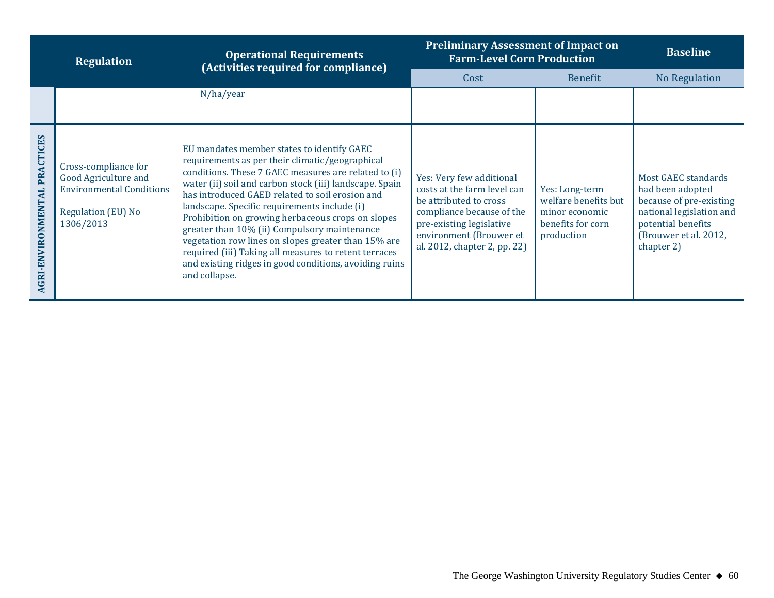|                                               | <b>Regulation</b>                                                                                                  | <b>Operational Requirements</b><br>(Activities required for compliance)                                                                                                                                                                                                                                                                                                                                                                                                                                                                                                                                             | <b>Preliminary Assessment of Impact on</b><br><b>Farm-Level Corn Production</b>                                                                                                                       | <b>Baseline</b>                                                                             |                                                                                                                                                             |
|-----------------------------------------------|--------------------------------------------------------------------------------------------------------------------|---------------------------------------------------------------------------------------------------------------------------------------------------------------------------------------------------------------------------------------------------------------------------------------------------------------------------------------------------------------------------------------------------------------------------------------------------------------------------------------------------------------------------------------------------------------------------------------------------------------------|-------------------------------------------------------------------------------------------------------------------------------------------------------------------------------------------------------|---------------------------------------------------------------------------------------------|-------------------------------------------------------------------------------------------------------------------------------------------------------------|
|                                               |                                                                                                                    |                                                                                                                                                                                                                                                                                                                                                                                                                                                                                                                                                                                                                     | Cost                                                                                                                                                                                                  | <b>Benefit</b>                                                                              | No Regulation                                                                                                                                               |
|                                               |                                                                                                                    | N/ha/year                                                                                                                                                                                                                                                                                                                                                                                                                                                                                                                                                                                                           |                                                                                                                                                                                                       |                                                                                             |                                                                                                                                                             |
| <b>PRACTICES</b><br><b>AGRI-ENVIRONMENTAL</b> | Cross-compliance for<br>Good Agriculture and<br><b>Environmental Conditions</b><br>Regulation (EU) No<br>1306/2013 | EU mandates member states to identify GAEC<br>requirements as per their climatic/geographical<br>conditions. These 7 GAEC measures are related to (i)<br>water (ii) soil and carbon stock (iii) landscape. Spain<br>has introduced GAED related to soil erosion and<br>landscape. Specific requirements include (i)<br>Prohibition on growing herbaceous crops on slopes<br>greater than 10% (ii) Compulsory maintenance<br>vegetation row lines on slopes greater than 15% are<br>required (iii) Taking all measures to retent terraces<br>and existing ridges in good conditions, avoiding ruins<br>and collapse. | Yes: Very few additional<br>costs at the farm level can<br>be attributed to cross<br>compliance because of the<br>pre-existing legislative<br>environment (Brouwer et<br>al. 2012, chapter 2, pp. 22) | Yes: Long-term<br>welfare benefits but<br>minor economic<br>benefits for corn<br>production | Most GAEC standards<br>had been adopted<br>because of pre-existing<br>national legislation and<br>potential benefits<br>(Brouwer et al. 2012,<br>chapter 2) |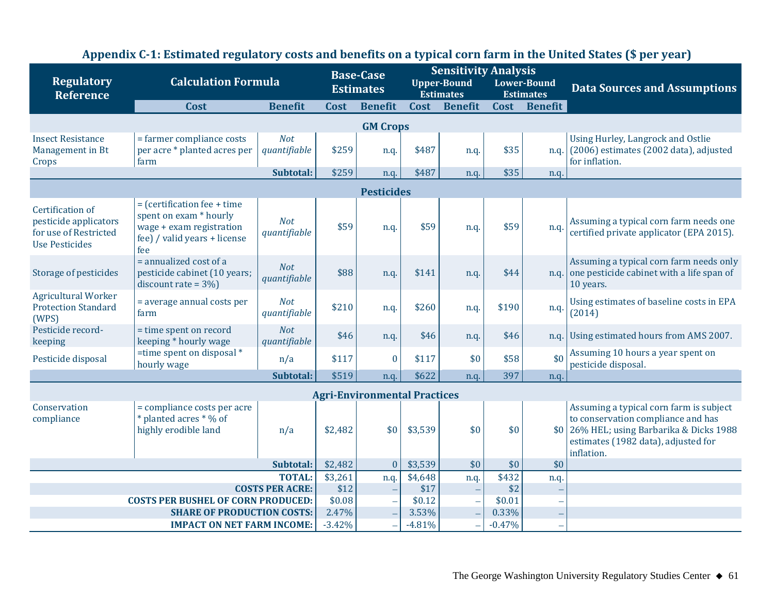|                                                                                             |                                                                                                                             |                            | <b>Base-Case</b>  |                                     | <b>Sensitivity Analysis</b> |                                        |                   |                                               |                                                                                                                                                                                 |
|---------------------------------------------------------------------------------------------|-----------------------------------------------------------------------------------------------------------------------------|----------------------------|-------------------|-------------------------------------|-----------------------------|----------------------------------------|-------------------|-----------------------------------------------|---------------------------------------------------------------------------------------------------------------------------------------------------------------------------------|
| <b>Regulatory</b><br><b>Reference</b>                                                       | <b>Calculation Formula</b>                                                                                                  |                            |                   | <b>Estimates</b>                    |                             | <b>Upper-Bound</b><br><b>Estimates</b> |                   | <b>Lower-Bound</b><br><b>Estimates</b>        | <b>Data Sources and Assumptions</b>                                                                                                                                             |
|                                                                                             | Cost                                                                                                                        | <b>Benefit</b>             | Cost              | <b>Benefit</b>                      | Cost                        | <b>Benefit</b>                         |                   | Cost Benefit                                  |                                                                                                                                                                                 |
|                                                                                             |                                                                                                                             |                            |                   | <b>GM Crops</b>                     |                             |                                        |                   |                                               |                                                                                                                                                                                 |
| <b>Insect Resistance</b><br>Management in Bt<br>Crops                                       | = farmer compliance costs<br>per acre * planted acres per<br>farm                                                           | <b>Not</b><br>quantifiable | \$259             | n.q.                                | \$487                       | n.q.                                   | \$35              | n.q.                                          | Using Hurley, Langrock and Ostlie<br>(2006) estimates (2002 data), adjusted<br>for inflation.                                                                                   |
|                                                                                             |                                                                                                                             | Subtotal:                  | \$259             | n.q.                                | \$487                       | n.q.                                   | \$35              | n.q.                                          |                                                                                                                                                                                 |
|                                                                                             |                                                                                                                             |                            |                   | <b>Pesticides</b>                   |                             |                                        |                   |                                               |                                                                                                                                                                                 |
| Certification of<br>pesticide applicators<br>for use of Restricted<br><b>Use Pesticides</b> | $=$ (certification fee + time)<br>spent on exam * hourly<br>wage + exam registration<br>fee) / valid years + license<br>fee | <b>Not</b><br>quantifiable | \$59              | n.q.                                | \$59                        | n.q.                                   | \$59              | n.q.                                          | Assuming a typical corn farm needs one<br>certified private applicator (EPA 2015).                                                                                              |
| Storage of pesticides                                                                       | = annualized cost of a<br>pesticide cabinet (10 years;<br>discount rate = $3\%$                                             | <b>Not</b><br>quantifiable | \$88              | n.q.                                | \$141                       | n.q.                                   | \$44              |                                               | Assuming a typical corn farm needs only<br>n.q. one pesticide cabinet with a life span of<br>10 years.                                                                          |
| <b>Agricultural Worker</b><br><b>Protection Standard</b><br>(WPS)                           | = average annual costs per<br>farm                                                                                          | <b>Not</b><br>quantifiable | \$210             | n.q.                                | \$260                       | n.q.                                   | \$190             | n.q.                                          | Using estimates of baseline costs in EPA<br>(2014)                                                                                                                              |
| Pesticide record-<br>keeping                                                                | = time spent on record<br>keeping * hourly wage                                                                             | <b>Not</b><br>quantifiable | \$46              | n.q.                                | \$46                        | n.q.                                   | \$46              | n.q.                                          | Using estimated hours from AMS 2007.                                                                                                                                            |
| Pesticide disposal                                                                          | =time spent on disposal $*$<br>hourly wage                                                                                  | n/a                        | \$117             | $\bf{0}$                            | \$117                       | \$0                                    | \$58              | \$0                                           | Assuming 10 hours a year spent on<br>pesticide disposal.                                                                                                                        |
|                                                                                             |                                                                                                                             | Subtotal:                  | \$519             | n.q.                                | \$622                       | n.q.                                   | 397               | n.q.                                          |                                                                                                                                                                                 |
|                                                                                             |                                                                                                                             |                            |                   | <b>Agri-Environmental Practices</b> |                             |                                        |                   |                                               |                                                                                                                                                                                 |
| Conservation<br>compliance                                                                  | = compliance costs per acre<br>* planted acres * % of<br>highly erodible land                                               | n/a                        | \$2,482           | \$0                                 | \$3,539                     | \$0                                    | \$0               |                                               | Assuming a typical corn farm is subject<br>to conservation compliance and has<br>\$0 26% HEL; using Barbarika & Dicks 1988<br>estimates (1982 data), adjusted for<br>inflation. |
|                                                                                             |                                                                                                                             | \$2,482                    | $\boldsymbol{0}$  | \$3,539                             | \$0                         | \$0                                    | \$0               |                                               |                                                                                                                                                                                 |
|                                                                                             |                                                                                                                             | \$3,261                    | n.q.              | \$4,648                             | n.q.                        | \$432                                  | n.q.              |                                               |                                                                                                                                                                                 |
|                                                                                             |                                                                                                                             | <b>COSTS PER ACRE:</b>     | \$12              | $\overline{\phantom{0}}$            | \$17                        |                                        | \$2               |                                               |                                                                                                                                                                                 |
|                                                                                             | <b>COSTS PER BUSHEL OF CORN PRODUCED:</b>                                                                                   |                            | \$0.08            | $\overline{\phantom{0}}$            | \$0.12                      |                                        | \$0.01            |                                               |                                                                                                                                                                                 |
|                                                                                             | <b>SHARE OF PRODUCTION COSTS:</b><br><b>IMPACT ON NET FARM INCOME:</b>                                                      |                            | 2.47%<br>$-3.42%$ |                                     | 3.53%<br>$-4.81%$           |                                        | 0.33%<br>$-0.47%$ | $\qquad \qquad -$<br>$\overline{\phantom{a}}$ |                                                                                                                                                                                 |
|                                                                                             |                                                                                                                             |                            |                   |                                     |                             |                                        |                   |                                               |                                                                                                                                                                                 |

## **Appendix C-1: Estimated regulatory costs and benefits on a typical corn farm in the United States (\$ per year)**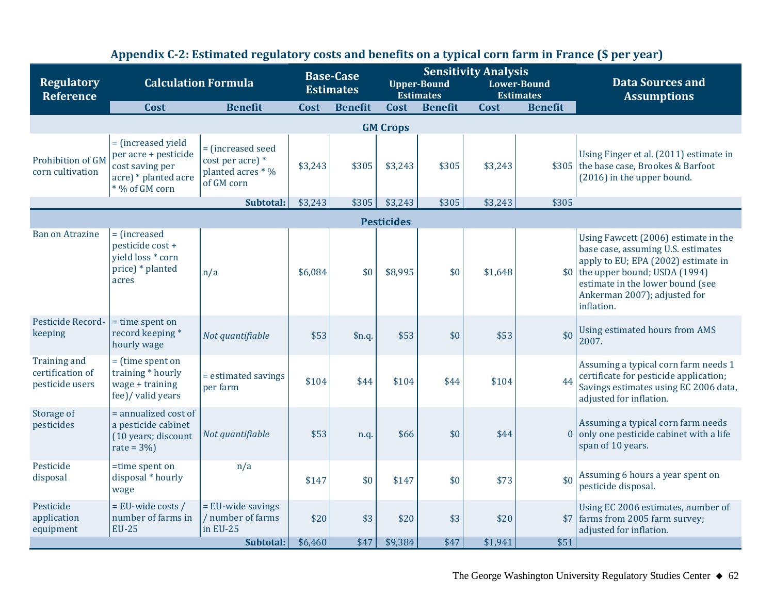| <b>Regulatory</b><br><b>Reference</b>                      | <b>Calculation Formula</b>                                                                              |                                                                          | <b>Base-Case</b><br><b>Estimates</b> |                | <b>Upper-Bound</b><br><b>Estimates</b> |                | <b>Sensitivity Analysis</b> | <b>Lower-Bound</b><br><b>Estimates</b> | <b>Data Sources and</b><br><b>Assumptions</b>                                                                                                                                                                                                         |
|------------------------------------------------------------|---------------------------------------------------------------------------------------------------------|--------------------------------------------------------------------------|--------------------------------------|----------------|----------------------------------------|----------------|-----------------------------|----------------------------------------|-------------------------------------------------------------------------------------------------------------------------------------------------------------------------------------------------------------------------------------------------------|
|                                                            | Cost                                                                                                    | <b>Benefit</b>                                                           | Cost                                 | <b>Benefit</b> | Cost                                   | <b>Benefit</b> | Cost                        | <b>Benefit</b>                         |                                                                                                                                                                                                                                                       |
|                                                            |                                                                                                         |                                                                          |                                      |                | <b>GM Crops</b>                        |                |                             |                                        |                                                                                                                                                                                                                                                       |
| Prohibition of GM<br>corn cultivation                      | = (increased yield<br>per acre + pesticide<br>cost saving per<br>acre) * planted acre<br>* % of GM corn | = (increased seed<br>cost per acre) *<br>planted acres * %<br>of GM corn | \$3,243                              | \$305          | \$3,243                                | \$305          | \$3,243                     |                                        | Using Finger et al. (2011) estimate in<br>\$305 the base case, Brookes & Barfoot<br>(2016) in the upper bound.                                                                                                                                        |
|                                                            |                                                                                                         | Subtotal:                                                                | \$3,243                              | \$305          | \$3,243                                | \$305          | \$3,243                     | \$305                                  |                                                                                                                                                                                                                                                       |
|                                                            |                                                                                                         |                                                                          |                                      |                | <b>Pesticides</b>                      |                |                             |                                        |                                                                                                                                                                                                                                                       |
| <b>Ban on Atrazine</b>                                     | = (increased<br>pesticide cost +<br>yield loss * corn<br>price) * planted<br>acres                      | n/a                                                                      | \$6,084                              | \$0            | \$8,995                                | \$0            | \$1,648                     |                                        | Using Fawcett (2006) estimate in the<br>base case, assuming U.S. estimates<br>apply to EU; EPA (2002) estimate in<br>$\vert \$0 \vert$ the upper bound; USDA (1994)<br>estimate in the lower bound (see<br>Ankerman 2007); adjusted for<br>inflation. |
| Pesticide Record-<br>keeping                               | = time spent on<br>record keeping*<br>hourly wage                                                       | Not quantifiable                                                         | \$53                                 | \$n.q.         | \$53                                   | \$0            | \$53                        | \$0                                    | Using estimated hours from AMS<br>2007.                                                                                                                                                                                                               |
| <b>Training and</b><br>certification of<br>pesticide users | $=$ (time spent on<br>training * hourly<br>wage + training<br>fee)/ valid years                         | = estimated savings<br>per farm                                          | \$104                                | \$44           | \$104                                  | \$44           | \$104                       | 44                                     | Assuming a typical corn farm needs 1<br>certificate for pesticide application;<br>Savings estimates using EC 2006 data,<br>adjusted for inflation.                                                                                                    |
| Storage of<br>pesticides                                   | = annualized cost of<br>a pesticide cabinet<br>(10 years; discount<br>rate = $3\%$ )                    | Not quantifiable                                                         | \$53                                 | n.q.           | \$66                                   | \$0            | \$44                        |                                        | Assuming a typical corn farm needs<br>$0$ only one pesticide cabinet with a life<br>span of 10 years.                                                                                                                                                 |
| Pesticide<br>disposal                                      | =time spent on<br>disposal * hourly<br>wage                                                             | n/a                                                                      | \$147                                | \$0            | \$147                                  | \$0            | \$73                        | \$0                                    | Assuming 6 hours a year spent on<br>pesticide disposal.                                                                                                                                                                                               |
| Pesticide<br>application<br>equipment                      | = EU-wide costs /<br>number of farms in<br><b>EU-25</b>                                                 | = EU-wide savings<br>/ number of farms<br>in EU-25                       | \$20                                 | \$3            | \$20                                   | \$3            | \$20                        |                                        | Using EC 2006 estimates, number of<br>\$7 farms from 2005 farm survey;<br>adjusted for inflation.                                                                                                                                                     |
|                                                            |                                                                                                         | Subtotal:                                                                | \$6,460                              | \$47           | \$9,384                                | \$47           | \$1,941                     | \$51                                   |                                                                                                                                                                                                                                                       |

## **Appendix C-2: Estimated regulatory costs and benefits on a typical corn farm in France (\$ per year)**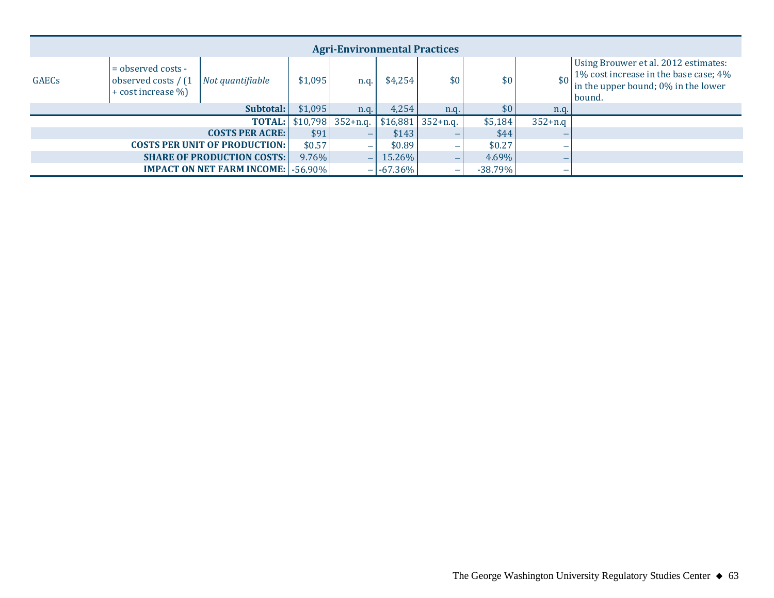|                                                                                                       | <b>Agri-Environmental Practices</b>  |                                               |                          |                                  |                          |                          |            |                                                                                                                                |  |  |  |  |  |
|-------------------------------------------------------------------------------------------------------|--------------------------------------|-----------------------------------------------|--------------------------|----------------------------------|--------------------------|--------------------------|------------|--------------------------------------------------------------------------------------------------------------------------------|--|--|--|--|--|
| $=$ observed costs -<br><b>GAECs</b><br>observed costs / (1<br>Not quantifiable<br>+ cost increase %) |                                      | \$1,095                                       | n.g.                     | \$4,254                          | \$0                      | \$0                      |            | Using Brouwer et al. 2012 estimates:<br>1% cost increase in the base case; 4%<br>in the upper bound; 0% in the lower<br>bound. |  |  |  |  |  |
|                                                                                                       |                                      | Subtotal:                                     | \$1,095                  | n.q.                             | 4,254                    | n.q.                     | \$0        | n.q.                                                                                                                           |  |  |  |  |  |
|                                                                                                       |                                      |                                               |                          | <b>TOTAL:</b> $$10,798$ 352+n.q. | \$16,881                 | $352 + n.q.$             | \$5,184    | $352 + n.q$                                                                                                                    |  |  |  |  |  |
|                                                                                                       |                                      | <b>COSTS PER ACRE:</b>                        | \$91                     | $\overline{\phantom{0}}$         | \$143                    |                          | \$44       |                                                                                                                                |  |  |  |  |  |
|                                                                                                       | <b>COSTS PER UNIT OF PRODUCTION:</b> | \$0.57                                        | $\overline{\phantom{a}}$ | \$0.89                           |                          | \$0.27                   |            |                                                                                                                                |  |  |  |  |  |
|                                                                                                       | <b>SHARE OF PRODUCTION COSTS:</b>    | $9.76\%$                                      | $\overline{\phantom{m}}$ | 15.26%                           | $\overline{\phantom{0}}$ | $4.69\%$                 |            |                                                                                                                                |  |  |  |  |  |
|                                                                                                       |                                      | <b>IMPACT ON NET FARM INCOME:   -56.90%  </b> |                          | $\overline{\phantom{a}}$         | $-67.36\%$               | $\overline{\phantom{0}}$ | $-38.79\%$ | -                                                                                                                              |  |  |  |  |  |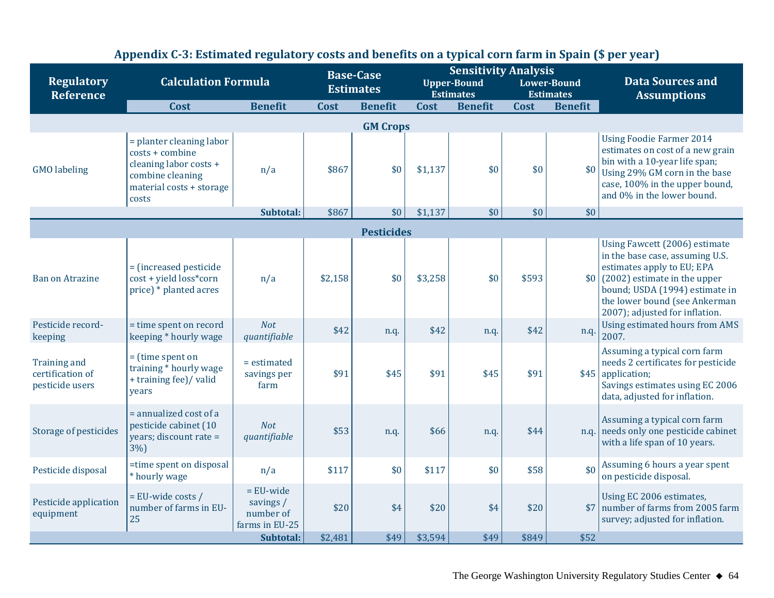| <b>Regulatory</b><br><b>Reference</b>                      | <b>Calculation Formula</b>                                                                                                     | <b>Base-Case</b><br><b>Estimates</b>                    |         | <b>Sensitivity Analysis</b><br><b>Upper-Bound</b><br><b>Estimates</b> |         | <b>Lower-Bound</b><br><b>Estimates</b> |       | <b>Data Sources and</b><br><b>Assumptions</b> |                                                                                                                                                                                                                                                      |  |  |  |
|------------------------------------------------------------|--------------------------------------------------------------------------------------------------------------------------------|---------------------------------------------------------|---------|-----------------------------------------------------------------------|---------|----------------------------------------|-------|-----------------------------------------------|------------------------------------------------------------------------------------------------------------------------------------------------------------------------------------------------------------------------------------------------------|--|--|--|
|                                                            | Cost                                                                                                                           | <b>Benefit</b>                                          | Cost    | <b>Benefit</b>                                                        | Cost    | <b>Benefit</b>                         | Cost  | <b>Benefit</b>                                |                                                                                                                                                                                                                                                      |  |  |  |
|                                                            | <b>GM Crops</b>                                                                                                                |                                                         |         |                                                                       |         |                                        |       |                                               |                                                                                                                                                                                                                                                      |  |  |  |
| <b>GMO</b> labeling                                        | = planter cleaning labor<br>costs + combine<br>cleaning labor costs +<br>combine cleaning<br>material costs + storage<br>costs | n/a                                                     | \$867   | \$0                                                                   | \$1,137 | \$0                                    | \$0   | \$0                                           | <b>Using Foodie Farmer 2014</b><br>estimates on cost of a new grain<br>bin with a 10-year life span;<br>Using 29% GM corn in the base<br>case, 100% in the upper bound,<br>and 0% in the lower bound.                                                |  |  |  |
|                                                            |                                                                                                                                | Subtotal:                                               | \$867   | \$0                                                                   | \$1,137 | \$0                                    | \$0   | \$0                                           |                                                                                                                                                                                                                                                      |  |  |  |
|                                                            |                                                                                                                                |                                                         |         | <b>Pesticides</b>                                                     |         |                                        |       |                                               |                                                                                                                                                                                                                                                      |  |  |  |
| <b>Ban on Atrazine</b>                                     | = (increased pesticide<br>cost + yield loss*corn<br>price) * planted acres                                                     | n/a                                                     | \$2,158 | \$0                                                                   | \$3,258 | \$0                                    | \$593 |                                               | Using Fawcett (2006) estimate<br>in the base case, assuming U.S.<br>estimates apply to EU; EPA<br>$\vert 10 \vert$ (2002) estimate in the upper<br>bound; USDA (1994) estimate in<br>the lower bound (see Ankerman<br>2007); adjusted for inflation. |  |  |  |
| Pesticide record-<br>keeping                               | = time spent on record<br>keeping * hourly wage                                                                                | <b>Not</b><br>quantifiable                              | \$42    | n.q.                                                                  | \$42    | n.q.                                   | \$42  | n.q.                                          | Using estimated hours from AMS<br>2007.                                                                                                                                                                                                              |  |  |  |
| <b>Training and</b><br>certification of<br>pesticide users | $=$ (time spent on<br>training * hourly wage<br>+ training fee)/ valid<br>vears                                                | = estimated<br>savings per<br>farm                      | \$91    | \$45                                                                  | \$91    | \$45                                   | \$91  |                                               | Assuming a typical corn farm<br>needs 2 certificates for pesticide<br>$$45$ application;<br>Savings estimates using EC 2006<br>data, adjusted for inflation.                                                                                         |  |  |  |
| Storage of pesticides                                      | = annualized cost of a<br>pesticide cabinet (10<br>years; discount rate =<br>3%                                                | <b>Not</b><br>quantifiable                              | \$53    | n.q.                                                                  | \$66    | n.q.                                   | \$44  |                                               | Assuming a typical corn farm<br>n.q. needs only one pesticide cabinet<br>with a life span of 10 years.                                                                                                                                               |  |  |  |
| Pesticide disposal                                         | =time spent on disposal<br>* hourly wage                                                                                       | n/a                                                     | \$117   | \$0                                                                   | \$117   | \$0                                    | \$58  | \$0                                           | Assuming 6 hours a year spent<br>on pesticide disposal.                                                                                                                                                                                              |  |  |  |
| Pesticide application<br>equipment                         | $=$ EU-wide costs /<br>number of farms in EU-<br>25                                                                            | $=$ EU-wide<br>savings /<br>number of<br>farms in EU-25 | \$20    | \$4                                                                   | \$20    | \$4                                    | \$20  | \$7                                           | Using EC 2006 estimates,<br>number of farms from 2005 farm<br>survey; adjusted for inflation.                                                                                                                                                        |  |  |  |
|                                                            |                                                                                                                                | Subtotal:                                               | \$2,481 | \$49                                                                  | \$3,594 | \$49                                   | \$849 | \$52                                          |                                                                                                                                                                                                                                                      |  |  |  |

## **Appendix C-3: Estimated regulatory costs and benefits on a typical corn farm in Spain (\$ per year)**